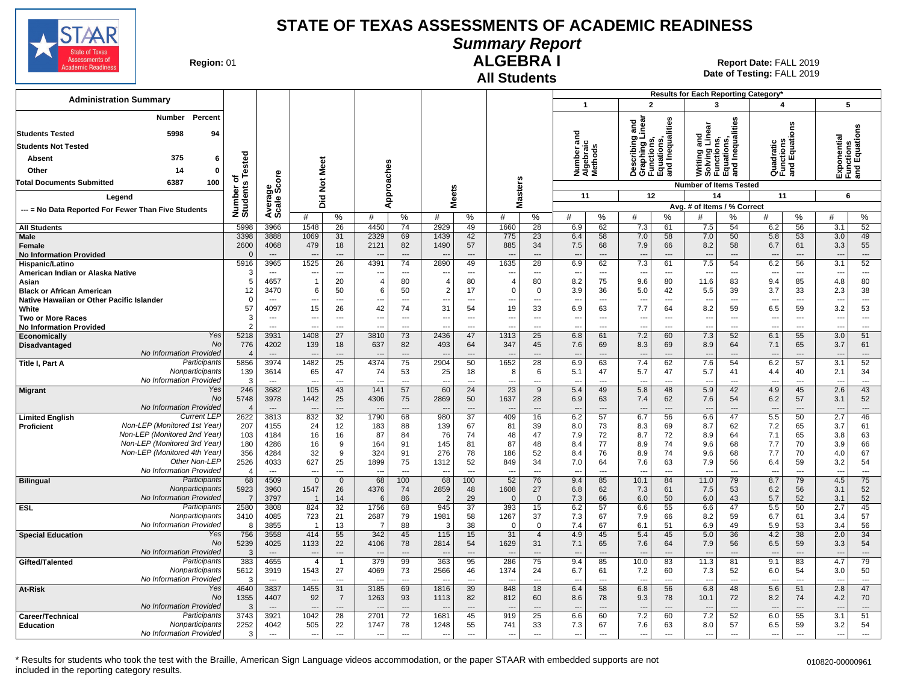

### **Summary Report**

**Region: 01** 

#### **All Students ALGEBRA I**

| <b>Administration Summary</b>                                  |                          |                                            |                          |                                            |                                  |                                  |                                    |                          |                          |                                  |                                 |                                  |                                 |                                                                                   | Results for Each Reporting Category'                                         |                                  |                                      |                       |            |                                |
|----------------------------------------------------------------|--------------------------|--------------------------------------------|--------------------------|--------------------------------------------|----------------------------------|----------------------------------|------------------------------------|--------------------------|--------------------------|----------------------------------|---------------------------------|----------------------------------|---------------------------------|-----------------------------------------------------------------------------------|------------------------------------------------------------------------------|----------------------------------|--------------------------------------|-----------------------|------------|--------------------------------|
|                                                                |                          |                                            |                          |                                            |                                  |                                  |                                    |                          |                          |                                  | $\overline{1}$                  |                                  |                                 | $\overline{2}$                                                                    | 3                                                                            |                                  | 4                                    |                       | 5          |                                |
| Percent<br>Number<br><b>Students Tested</b><br>5998<br>94      |                          |                                            |                          |                                            |                                  |                                  |                                    |                          |                          |                                  | ᅙ<br>a<br><u>ي</u>              |                                  |                                 | Describing and<br>Graphing Linear<br>Functions,<br>Equations,<br>and Inequalities | Writing and<br>Solving Linear<br>Functions,<br>Equations,<br>and Inequalitie | Inequalities                     |                                      | g                     | ponential  | Functions<br> and Equations    |
| <b>Students Not Tested</b>                                     |                          |                                            |                          |                                            |                                  |                                  |                                    |                          |                          |                                  | umber                           | trai<br>Dog                      |                                 |                                                                                   |                                                                              |                                  | Quadratic<br>Functions<br>and Equati |                       |            |                                |
| 375<br>6<br>Absent                                             | Tested                   |                                            | Meet                     |                                            |                                  |                                  |                                    |                          |                          |                                  |                                 |                                  |                                 |                                                                                   |                                                                              |                                  |                                      |                       |            |                                |
| 14<br>Other<br>$\mathbf 0$                                     |                          |                                            |                          |                                            |                                  |                                  |                                    |                          |                          |                                  | Numt<br>Alget<br>Metho          |                                  |                                 |                                                                                   |                                                                              |                                  |                                      |                       | 쪼달         |                                |
| 100<br><b>Total Documents Submitted</b><br>6387                | ъ                        | ge<br>Score                                | $\breve{\mathbf{z}}$     |                                            |                                  |                                  |                                    |                          |                          |                                  |                                 |                                  |                                 |                                                                                   | <b>Number of Items Tested</b>                                                |                                  |                                      |                       |            |                                |
|                                                                |                          |                                            |                          |                                            |                                  |                                  |                                    |                          |                          |                                  | 11                              |                                  |                                 | 12                                                                                | 14                                                                           |                                  | 11                                   |                       | 6          |                                |
| Legend                                                         |                          |                                            | Did                      |                                            |                                  | Approaches                       |                                    | <b>Meets</b>             | <b>Masters</b>           |                                  |                                 |                                  |                                 |                                                                                   | Avg. # of Items / % Correct                                                  |                                  |                                      |                       |            |                                |
| --- = No Data Reported For Fewer Than Five Students            | Number of<br>Students    | Averare<br>Scale                           | #                        | %                                          | #                                | %                                | #                                  | %                        | #                        | $\%$                             | #                               | %                                | #                               | %                                                                                 | #                                                                            | ℅                                | #                                    | %                     | #          | %                              |
| <b>All Students</b>                                            | 5998                     | 3966                                       | 1548                     | 26                                         | 4450                             | 74                               | 2929                               | 49                       | 1660                     | 28                               | 6.9                             | 62                               | 7.3                             | 61                                                                                | 7.5                                                                          | 54                               | 6.2                                  | 56                    | 3.1        | 52                             |
| Male                                                           | 3398                     | 3888                                       | 1069                     | 31                                         | 2329                             | 69                               | 1439                               | 42                       | 775                      | 23                               | 6.4                             | 58                               | 7.0                             | 58                                                                                | 7.0                                                                          | 50                               | 5.8                                  | 53                    | 3.0        | 49                             |
| Female                                                         | 2600                     | 4068                                       | 479                      | 18                                         | 2121                             | 82                               | 1490                               | 57                       | 885                      | 34                               | 7.5                             | 68                               | 7.9                             | 66                                                                                | 8.2                                                                          | 58                               | 6.7                                  | 61                    | 3.3        | 55                             |
| <b>No Information Provided</b>                                 | $\Omega$<br>5916         | $---$<br>3965                              | $\overline{a}$<br>1525   | $---$<br>26                                | --<br>4391                       | $\overline{\phantom{a}}$<br>74   | $\overline{\phantom{a}}$<br>2890   | ---<br>49                | $\overline{a}$<br>1635   | ---<br>28                        | $\overline{\phantom{a}}$        | ---<br>62                        | $\overline{\phantom{a}}$<br>7.3 | $\overline{\phantom{a}}$                                                          | $\overline{\phantom{a}}$<br>7.5                                              | ---                              | $\overline{\phantom{a}}$             | ---<br>56             | ---        | $---$<br>52                    |
| Hispanic/Latino<br>American Indian or Alaska Native            | 3                        | $\overline{\phantom{a}}$                   | ---                      | $\overline{\phantom{a}}$                   | $\overline{a}$                   | $\overline{a}$                   | ---                                | ---                      | --                       | $\overline{a}$                   | 6.9<br>$\overline{\phantom{a}}$ | $\overline{a}$                   | $\overline{\phantom{a}}$        | 61<br>$\overline{\phantom{a}}$                                                    | $\overline{\phantom{a}}$                                                     | 54<br>---                        | 6.2<br>---                           | ---                   | 3.1<br>--- | $\overline{\phantom{a}}$       |
| Asian                                                          | 5                        | 4657                                       | $\overline{1}$           | 20                                         | $\overline{4}$                   | 80                               | $\overline{4}$                     | 80                       | $\overline{4}$           | 80                               | 8.2                             | 75                               | 9.6                             | 80                                                                                | 11.6                                                                         | 83                               | 9.4                                  | 85                    | 4.8        | 80                             |
| <b>Black or African American</b>                               | 12                       | 3470                                       | 6                        | 50                                         | 6                                | 50                               | $\overline{2}$                     | 17                       | $\Omega$                 | $\Omega$                         | 3.9                             | 36                               | 5.0                             | 42                                                                                | 5.5                                                                          | 39                               | 3.7                                  | 33                    | 2.3        | 38                             |
| Native Hawaiian or Other Pacific Islander                      | $\mathbf 0$              | $\overline{a}$                             |                          | $\overline{\phantom{a}}$                   |                                  | $\overline{a}$                   | ---                                | ---                      | ٠.                       |                                  |                                 | ---                              | $\overline{a}$                  | $\overline{\phantom{a}}$                                                          |                                                                              | $\overline{a}$                   |                                      | ---                   | Ξ.         | $\overline{\phantom{a}}$       |
| White                                                          | 57                       | 4097                                       | 15                       | 26                                         | 42                               | 74                               | 31                                 | 54                       | 19                       | 33                               | 6.9                             | 63                               | 7.7                             | 64                                                                                | 8.2                                                                          | 59                               | 6.5                                  | 59                    | 3.2        | 53                             |
| <b>Two or More Races</b>                                       | 3<br>$\overline{2}$      | $\overline{\phantom{a}}$<br>$\overline{a}$ | ---<br>---               | $\overline{\phantom{a}}$<br>$\overline{a}$ | $\overline{a}$                   | $\overline{a}$<br>$\overline{a}$ | $\overline{\phantom{a}}$<br>$\sim$ | ---<br>$\sim$            | --                       | $\overline{a}$<br>$\overline{a}$ | ---                             | $\overline{a}$<br>$\overline{a}$ | $\overline{\phantom{a}}$        | $\overline{\phantom{a}}$<br>$\overline{a}$                                        | $\overline{a}$<br>$\sim$                                                     | $\overline{a}$<br>$\overline{a}$ | $\overline{a}$                       | $\overline{a}$<br>$-$ | ---        | $\overline{\phantom{a}}$       |
| <b>No Information Provided</b><br>Yes<br>Economically          | 5218                     | 3931                                       | 1408                     | $\overline{27}$                            | 3810                             | 73                               | 2436                               | 47                       | 1313                     | 25                               | $\overline{a}$<br>6.8           | 61                               | $\overline{\phantom{a}}$<br>7.2 | 60                                                                                | 7.3                                                                          | 52                               | ---<br>6.1                           | 55                    | ---<br>3.0 | ---<br>51                      |
| No<br>Disadvantaged                                            | 776                      | 4202                                       | 139                      | 18                                         | 637                              | 82                               | 493                                | 64                       | 347                      | 45                               | 7.6                             | 69                               | 8.3                             | 69                                                                                | 8.9                                                                          | 64                               | 7.1                                  | 65                    | 3.7        | 61                             |
| No Information Provided                                        | $\overline{\mathcal{A}}$ | $---$                                      |                          | $---$                                      |                                  | $---$                            | $---$                              | $\overline{a}$           | $\overline{a}$           | ---                              | $---$                           | ---                              | $\overline{\phantom{a}}$        | $\overline{\phantom{a}}$                                                          | $\overline{a}$                                                               | $---$                            | $\overline{\phantom{a}}$             | ---                   | ---        | $---$                          |
| Participants<br>Title I, Part A                                | 5856                     | 3974                                       | 1482                     | $\overline{25}$                            | 4374                             | 75                               | 2904                               | 50                       | 1652                     | $\overline{28}$                  | 6.9                             | 63                               | 7.4                             | 62                                                                                | 7.6                                                                          | 54                               | 6.2                                  | 57                    | 3.1        | 52                             |
| Nonparticipants                                                | 139                      | 3614                                       | 65                       | 47                                         | 74                               | 53                               | 25                                 | 18                       | 8                        | 6                                | 5.1                             | 47                               | 5.7                             | 47                                                                                | 5.7                                                                          | 41                               | 4.4                                  | 40                    | 2.1        | 34                             |
| No Information Provideo<br>Yes                                 | 3<br>246                 | $\overline{\phantom{a}}$<br>3682           | -−<br>105                | ---<br>43                                  | $\overline{\phantom{a}}$<br>141  | ---<br>57                        | ---<br>60                          | ---<br>24                | $\overline{a}$<br>23     | ---<br>9                         | ---                             | ---<br>49                        | $\overline{\phantom{a}}$<br>5.8 | ---<br>48                                                                         | $\overline{\phantom{a}}$<br>5.9                                              | ---<br>42                        | ---                                  | ---<br>45             | ---<br>2.6 | $\overline{\phantom{a}}$<br>43 |
| <b>Migrant</b><br>No                                           | 5748                     | 3978                                       | 1442                     | 25                                         | 4306                             | 75                               | 2869                               | 50                       | 1637                     | 28                               | 5.4<br>6.9                      | 63                               | 7.4                             | 62                                                                                | 7.6                                                                          | 54                               | 4.9<br>6.2                           | 57                    | 3.1        | 52                             |
| No Information Provided                                        |                          | $\overline{a}$                             |                          | $\overline{\phantom{a}}$                   |                                  | $\overline{a}$                   | $\overline{a}$                     | $\overline{a}$           |                          | ---                              | $\overline{a}$                  | $\sim$                           | $\overline{\phantom{a}}$        | $\overline{\phantom{a}}$                                                          | $\overline{\phantom{a}}$                                                     | $\overline{a}$                   | $\overline{a}$                       | $\overline{a}$        | ---        | $\overline{\phantom{a}}$       |
| <b>Current LEP</b><br><b>Limited English</b>                   | 2622                     | 3813                                       | 832                      | $\overline{32}$                            | 1790                             | 68                               | 980                                | 37                       | 409                      | 16                               | 6.2                             | 57                               | 6.7                             | $\overline{56}$                                                                   | 6.6                                                                          | 47                               | 5.5                                  | 50                    | 2.7        | 46                             |
| Non-LEP (Monitored 1st Year)<br>Proficient                     | 207                      | 4155                                       | 24                       | 12                                         | 183                              | 88                               | 139                                | 67                       | 81                       | 39                               | 8.0                             | 73                               | 8.3                             | 69                                                                                | 8.7                                                                          | 62                               | 7.2                                  | 65                    | 3.7        | 61                             |
| Non-LEP (Monitored 2nd Year)                                   | 103                      | 4184                                       | 16                       | 16                                         | 87                               | 84                               | 76                                 | 74                       | 48                       | 47                               | 7.9                             | 72                               | 8.7                             | 72                                                                                | 8.9                                                                          | 64                               | 7.1                                  | 65                    | 3.8        | 63                             |
| Non-LEP (Monitored 3rd Year)<br>Non-LEP (Monitored 4th Year)   | 180<br>356               | 4286<br>4284                               | 16<br>32                 | 9<br>9                                     | 164<br>324                       | 91                               | 145<br>276                         | 81                       | 87<br>186                | 48<br>52                         | 8.4<br>8.4                      | 77<br>76                         | 8.9<br>8.9                      | 74<br>74                                                                          | 9.6<br>9.6                                                                   | 68<br>68                         | 7.7<br>7.7                           | 70<br>70              | 3.9<br>4.0 | 66<br>67                       |
| Other Non-LEF                                                  | 2526                     | 4033                                       | 627                      | 25                                         | 1899                             | 91<br>75                         | 1312                               | 78<br>52                 | 849                      | 34                               | 7.0                             | 64                               | 7.6                             | 63                                                                                | 7.9                                                                          | 56                               | 6.4                                  | 59                    | 3.2        | 54                             |
| No Information Provideo                                        | $\overline{4}$           | $\overline{\phantom{a}}$                   | ---                      | $---$                                      | $\overline{\phantom{a}}$         | $\overline{a}$                   | ---                                | $\overline{a}$           | --                       | $\overline{a}$                   | ---                             | $\overline{a}$                   | $\overline{\phantom{a}}$        | ---                                                                               | $\overline{\phantom{a}}$                                                     | $\overline{a}$                   | ---                                  | ---                   | ---        | $\hspace{0.05cm} \cdots$       |
| Participants<br><b>Bilingual</b>                               | 68                       | 4509                                       | $\mathbf 0$              | $\mathbf 0$                                | 68                               | 100                              | 68                                 | 100                      | 52                       | 76                               | 9.4                             | 85                               | 10.1                            | 84                                                                                | 11.0                                                                         | 79                               | 8.7                                  | 79                    | 4.5        | 75                             |
| Nonparticipants                                                | 5923                     | 3960                                       | 1547                     | 26                                         | 4376                             | 74                               | 2859                               | 48                       | 1608                     | 27                               | 6.8                             | 62                               | 7.3                             | 61                                                                                | 7.5                                                                          | 53                               | 6.2                                  | 56                    | 3.1        | 52                             |
| No Information Provideo<br>Participants                        | $\overline{7}$           | 3797                                       | $\overline{\mathbf{1}}$  | 14                                         | 6                                | 86                               | $\overline{2}$                     | 29                       | $\Omega$                 | $\Omega$                         | 7.3                             | 66                               | 6.0                             | 50                                                                                | 6.0                                                                          | 43                               | 5.7                                  | 52                    | 3.1        | 52                             |
| ESL<br>Nonparticipants                                         | 2580<br>3410             | 3808<br>4085                               | 824<br>723               | $\overline{32}$<br>21                      | 1756<br>2687                     | 68<br>79                         | 945<br>1981                        | $\overline{37}$<br>58    | 393<br>1267              | 15<br>37                         | 6.2<br>7.3                      | 57<br>67                         | 6.6<br>7.9                      | 55<br>66                                                                          | 6.6<br>8.2                                                                   | 47<br>59                         | 5.5<br>6.7                           | 50<br>61              | 2.7<br>3.4 | 45<br>57                       |
| No Information Provided                                        | 8                        | 3855                                       | $\overline{\mathbf{1}}$  | 13                                         | -7                               | 88                               | 3                                  | 38                       | $\Omega$                 | $\mathbf 0$                      | 7.4                             | 67                               | 6.1                             | 51                                                                                | 6.9                                                                          | 49                               | 5.9                                  | 53                    | 3.4        | 56                             |
| <b>Special Education</b><br>Yes                                | 756                      | 3558                                       | 414                      | 55                                         | 342                              | 45                               | 115                                | 15                       | 31                       | $\overline{4}$                   | 4.9                             | 45                               | 5.4                             | 45                                                                                | 5.0                                                                          | 36                               | 4.2                                  | 38                    | 2.0        | 34                             |
| <b>No</b>                                                      | 5239                     | 4025                                       | 1133                     | 22                                         | 4106                             | 78                               | 2814                               | 54                       | 1629                     | 31                               | 7.1                             | 65                               | 7.6                             | 64                                                                                | 7.9                                                                          | 56                               | 6.5                                  | 59                    | 3.3        | 54                             |
| No Information Provided                                        | 3                        | $\overline{a}$                             | $\overline{a}$           | $\overline{\phantom{a}}$                   | $\overline{\phantom{a}}$         | $\overline{a}$                   | $\overline{a}$                     | $\overline{a}$           |                          | $\overline{a}$                   | $\overline{a}$                  | $\sim$                           | $\overline{\phantom{a}}$        | $\overline{\phantom{a}}$                                                          | $\overline{\phantom{a}}$                                                     | $\overline{a}$                   | $\overline{a}$                       | $\overline{a}$        | ---        | $---$                          |
| Participants<br>Gifted/Talented<br>Nonparticipants             | 383                      | 4655                                       | $\overline{4}$           | $\overline{1}$                             | 379                              | 99                               | 363                                | 95                       | 286                      | 75                               | 9.4                             | 85                               | 10.0                            | 83                                                                                | 11.3                                                                         | 81                               | 9.1                                  | 83                    | 4.7        | 79                             |
| No Information Provideo                                        | 5612<br>3                | 3919<br>$\overline{a}$                     | 1543                     | 27<br>---                                  | 4069<br>$\overline{\phantom{a}}$ | 73<br>$\overline{a}$             | 2566<br>---                        | 46<br>---                | 1374<br>--               | 24<br>---                        | 6.7<br>---                      | 61<br>---                        | 7.2<br>$\overline{a}$           | 60<br>$\overline{\phantom{a}}$                                                    | 7.3<br>$\overline{\phantom{a}}$                                              | 52<br>$\overline{a}$             | 6.0<br>---                           | 54<br>---             | 3.0<br>--- | 50<br>$\overline{\phantom{a}}$ |
| Yes<br>At-Risk                                                 | 4640                     | 3837                                       | 1455                     | $\overline{31}$                            | 3185                             | 69                               | 1816                               | 39                       | 848                      | 18                               | 6.4                             | 58                               | 6.8                             | 56                                                                                | 6.8                                                                          | 48                               | 5.6                                  | 51                    | 2.8        | 47                             |
| No                                                             | 1355                     | 4407                                       | 92                       | $\overline{7}$                             | 1263                             | 93                               | 1113                               | 82                       | 812                      | 60                               | 8.6                             | 78                               | 9.3                             | 78                                                                                | 10.1                                                                         | 72                               | 8.2                                  | 74                    | 4.2        | 70                             |
| No Information Provideo                                        | Э                        | $---$                                      |                          | $---$                                      |                                  | ---                              |                                    | $\overline{a}$           |                          | ---                              |                                 | ---                              |                                 | $\overline{\phantom{a}}$                                                          |                                                                              | $\overline{a}$                   |                                      | ---                   |            | $\overline{\phantom{a}}$       |
| Participants<br>Career/Technical                               | 3743                     | 3921                                       | 1042                     | 28                                         | 2701                             | 72                               | 1681                               | 45                       | 919                      | 25                               | 6.6                             | 60                               | 7.2                             | 60                                                                                | 7.2                                                                          | 52                               | 6.0                                  | 55                    | 3.1        | 51                             |
| Nonparticipants<br><b>Education</b><br>No Information Provideo | 2252                     | 4042                                       | 505                      | 22                                         | 1747                             | 78                               | 1248                               | 55                       | 741                      | 33                               | 7.3                             | 67                               | 7.6                             | 63                                                                                | 8.0                                                                          | 57                               | 6.5                                  | 59                    | 3.2        | 54                             |
|                                                                | 3                        | $\overline{\phantom{a}}$                   | $\hspace{0.05cm} \cdots$ | $\sim$                                     | $\overline{\phantom{a}}$         | $\overline{a}$                   | $\overline{a}$                     | $\overline{\phantom{a}}$ | $\overline{\phantom{a}}$ | $\overline{a}$                   | ---                             | $\overline{a}$                   | $\overline{\phantom{a}}$        | $\sim$                                                                            | $\overline{a}$                                                               | $\overline{\phantom{a}}$         | ---                                  | $\overline{a}$        | ---        | $---$                          |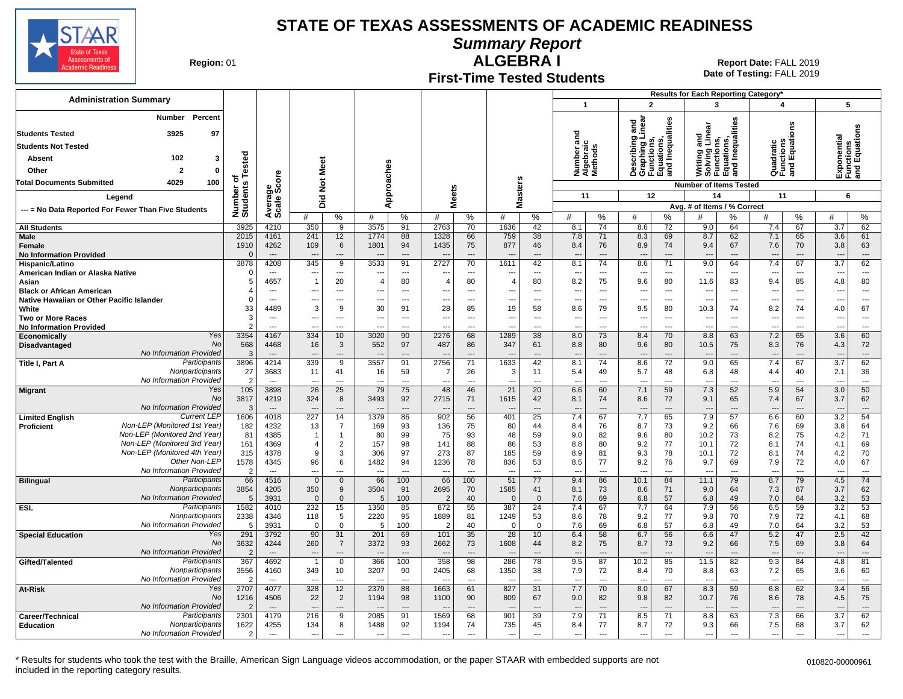

**Summary Report**

**Region: 01** 

#### **First-Time Tested Students ALGEBRA I** 01 **Report Date:** FALL 2019

**Date of Testing:**  FALL 2019

|                                                              |                        |                                  |                                 |                                  |                |                          |                                  |                                |                          |                                |                                 |                                    |                                                                       |                          |                                     |                                                                               | Results for Each Reporting Category* |                |                          |                                           |
|--------------------------------------------------------------|------------------------|----------------------------------|---------------------------------|----------------------------------|----------------|--------------------------|----------------------------------|--------------------------------|--------------------------|--------------------------------|---------------------------------|------------------------------------|-----------------------------------------------------------------------|--------------------------|-------------------------------------|-------------------------------------------------------------------------------|--------------------------------------|----------------|--------------------------|-------------------------------------------|
| <b>Administration Summary</b>                                |                        |                                  |                                 |                                  |                |                          |                                  |                                |                          |                                | $\mathbf{1}$                    |                                    | $\overline{2}$                                                        |                          | $\overline{\mathbf{3}}$             |                                                                               | 4                                    |                | 5                        |                                           |
| <b>Percent</b><br>Number                                     |                        |                                  |                                 |                                  |                |                          |                                  |                                |                          |                                |                                 |                                    | ठ                                                                     |                          |                                     |                                                                               |                                      |                |                          |                                           |
| 3925<br>97<br><b>Students Tested</b>                         |                        |                                  |                                 |                                  |                |                          |                                  |                                |                          |                                | ъ                               |                                    | inear<br>ā                                                            | Inequalities             |                                     | Writing and<br>Solving Linear<br>Functions,<br>Equations,<br>and Inequalities |                                      | ens            |                          | Exponential<br>Functions<br>and Equations |
| <b>Students Not Tested</b>                                   |                        |                                  |                                 |                                  |                |                          |                                  |                                |                          |                                |                                 |                                    |                                                                       |                          |                                     |                                                                               |                                      |                |                          |                                           |
| 102<br>3<br>Absent                                           |                        |                                  |                                 |                                  |                |                          |                                  |                                |                          |                                |                                 | Number anc<br>Algebraic<br>Methods | Describing<br>Graphing Li<br>Functions,<br>Equations,<br>and Inequali |                          |                                     |                                                                               | Quadratic<br>Functions<br>and Equati |                |                          |                                           |
| $\overline{2}$<br>$\mathbf 0$<br>Other                       | Tested                 |                                  | Meet                            |                                  |                |                          |                                  |                                |                          |                                |                                 |                                    |                                                                       |                          |                                     |                                                                               |                                      |                |                          |                                           |
| 100<br><b>Total Documents Submitted</b><br>4029              | ত                      |                                  |                                 |                                  |                |                          |                                  |                                |                          |                                |                                 |                                    |                                                                       |                          |                                     |                                                                               |                                      |                |                          |                                           |
|                                                              | Number o<br>Students   |                                  | $\overline{5}$                  |                                  |                | Approaches               | <b>Meets</b>                     |                                |                          | <b>Masters</b>                 | 11                              |                                    | 12                                                                    |                          | <b>Number of Items Tested</b><br>14 |                                                                               | 11                                   |                | 6                        |                                           |
| Leaend                                                       |                        |                                  | Did                             |                                  |                |                          |                                  |                                |                          |                                |                                 |                                    |                                                                       |                          | Avg. # of Items / % Correct         |                                                                               |                                      |                |                          |                                           |
| --- = No Data Reported For Fewer Than Five Students          |                        | Average<br>Scale Score           | #                               | $\%$                             | #              | %                        | #                                | %                              | #                        | %                              | #                               | %                                  | #                                                                     | ℅                        | #                                   | %                                                                             | #                                    | %              | #                        | $\%$                                      |
| <b>All Students</b>                                          | 3925                   | 4210                             | 350                             | 9                                | 3575           | 91                       | 2763                             | 70                             | 1636                     | 42                             | 8.1                             | 74                                 | 8.6                                                                   | 72                       | 9.0                                 | 64                                                                            | 7.4                                  | 67             | 3.7                      | 62                                        |
| <b>Male</b>                                                  | 2015                   | 4161                             | 241                             | 12                               | 1774           | 88                       | 1328                             | 66                             | 759                      | 38                             | 7.8                             | 71                                 | 8.3                                                                   | 69                       | 8.7                                 | 62                                                                            | 7.1                                  | 65             | 3.6                      | 61                                        |
| Female                                                       | 1910<br>$\Omega$       | 4262<br>$\overline{\phantom{a}}$ | 109<br>$\overline{\phantom{a}}$ | 6<br>---                         | 1801           | 94<br>---                | 1435<br>$\overline{\phantom{a}}$ | 75<br>$\overline{\phantom{a}}$ | 877                      | 46                             | 8.4<br>$\overline{a}$           | 76<br>$\overline{\phantom{a}}$     | 8.9<br>$\overline{\phantom{a}}$                                       | 74                       | 9.4<br>$\overline{a}$               | 67<br>$\overline{a}$                                                          | 7.6<br>$\overline{\phantom{a}}$      | 70<br>$---$    | 3.8<br>---               | 63<br>$\overline{\phantom{a}}$            |
| <b>No Information Provided</b><br>Hispanic/Latino            | 3878                   | 4208                             | 345                             | 9                                | 3533           | 91                       | 2727                             | 70                             | 1611                     | 42                             | 8.1                             | 74                                 | 8.6                                                                   | 71                       | 9.0                                 | 64                                                                            | 7.4                                  | 67             | 3.7                      | 62                                        |
| American Indian or Alaska Native                             | $\Omega$               | $\overline{a}$                   | --                              | $\overline{\phantom{a}}$         |                | $\hspace{0.05cm} \ldots$ |                                  | ---                            |                          | $\overline{a}$                 | ---                             | $\hspace{0.05cm} \ldots$           | $\overline{\phantom{a}}$                                              | $\overline{\phantom{a}}$ | $\overline{\phantom{a}}$            | ---                                                                           | $\overline{\phantom{a}}$             | ---            | ---                      | ---                                       |
| Asian                                                        | 5                      | 4657                             | $\overline{1}$                  | 20                               | 4              | 80                       | $\overline{4}$                   | 80                             | $\overline{4}$           | 80                             | 8.2                             | 75                                 | 9.6                                                                   | 80                       | 11.6                                | 83                                                                            | 9.4                                  | 85             | 4.8                      | 80                                        |
| <b>Black or African American</b>                             | $\overline{4}$         | $---$                            | ---                             | $\sim$                           | ---            | $---$                    | ---                              | $\sim$                         | $---$                    | $\overline{a}$                 | $\overline{a}$                  | $---$                              | $\overline{\phantom{a}}$                                              | $---$                    | $\overline{\phantom{a}}$            | $\overline{\phantom{a}}$                                                      | $\overline{\phantom{a}}$             | $---$          | ---                      | $\overline{\phantom{a}}$                  |
| Native Hawaiian or Other Pacific Islander<br>White           | $\mathbf 0$<br>33      | $---$<br>4489                    | $\overline{\phantom{a}}$<br>3   | $---$<br>9                       | ---<br>30      | $---$<br>91              | ---<br>28                        | $\sim$<br>85                   | $\sim$<br>19             | $\overline{a}$<br>58           | ---<br>8.6                      | $---$<br>79                        | $\overline{\phantom{a}}$<br>9.5                                       | $---$<br>80              | $\overline{\phantom{a}}$<br>10.3    | ---<br>74                                                                     | $\overline{\phantom{a}}$<br>8.2      | $---$<br>74    | ---<br>4.0               | $\overline{a}$<br>67                      |
| <b>Two or More Races</b>                                     | 3                      | $\overline{\phantom{a}}$         | ---                             | ---                              | ---            | $\overline{\phantom{a}}$ | ---                              | $\overline{\phantom{a}}$       | $\overline{\phantom{a}}$ | ---                            | $\overline{a}$                  | $\overline{a}$                     | $\overline{\phantom{a}}$                                              | $\overline{a}$           | $\overline{\phantom{a}}$            | $\overline{a}$                                                                | $\overline{a}$                       | $\overline{a}$ | $\overline{\phantom{a}}$ | $\overline{a}$                            |
| <b>No Information Provided</b>                               | $\mathfrak{p}$         | $\overline{a}$                   | --                              | ---                              |                | $\overline{a}$           |                                  | $\overline{a}$                 |                          | ---                            | -−                              | $\overline{a}$                     | $\overline{a}$                                                        | ---                      | $\overline{a}$                      | --                                                                            | $\overline{\phantom{a}}$             | $\overline{a}$ |                          | $\overline{a}$                            |
| Yes<br>Economically                                          | 3354                   | 4167                             | 334                             | 10                               | 3020           | 90                       | 2276                             | 68                             | 1289                     | 38                             | 8.0                             | 73                                 | 8.4                                                                   | 70                       | 8.8                                 | 63                                                                            | 7.2                                  | 65             | 3.6                      | 60                                        |
| <b>No</b><br>Disadvantaged<br>No Information Provided        | 568<br>3               | 4468<br>$-$                      | 16                              | 3<br>---                         | 552            | 97<br>$\sim$             | 487                              | 86<br>$\overline{\phantom{a}}$ | 347                      | 61<br>$\overline{a}$           | 8.8                             | 80<br>$---$                        | 9.6<br>$\overline{\phantom{a}}$                                       | 80<br>$\sim$             | 10.5                                | 75<br>$\sim$                                                                  | 8.3                                  | 76<br>$\sim$   | 4.3<br>$\overline{a}$    | 72<br>$\overline{\phantom{a}}$            |
| Participants<br>Title I, Part A                              | 3896                   | 4214                             | 339                             | 9                                | 3557           | 91                       | 2756                             | 71                             | 1633                     | 42                             | 8.1                             | 74                                 | 8.6                                                                   | 72                       | $\overline{\phantom{a}}$<br>9.0     | 65                                                                            | 7.4                                  | 67             | 3.7                      | 62                                        |
| Nonparticipants                                              | 27                     | 3683                             | 11                              | 41                               | 16             | 59                       | -7                               | 26                             | 3                        | 11                             | 5.4                             | 49                                 | 5.7                                                                   | 48                       | 6.8                                 | 48                                                                            | 4.4                                  | 40             | 2.1                      | 36                                        |
| No Information Provideo                                      | $\overline{2}$         | $---$                            | --                              | $---$                            | $\overline{a}$ | $---$                    | $\overline{\phantom{a}}$         | $\overline{\phantom{a}}$       | $\overline{a}$           | $\overline{a}$                 | $\overline{a}$                  | $---$                              | $\overline{\phantom{a}}$                                              | $---$                    | $\overline{\phantom{a}}$            | $\overline{\phantom{a}}$                                                      | $\overline{\phantom{a}}$             | $---$          | ---                      | $\overline{a}$                            |
| Yes<br><b>Migrant</b>                                        | 105                    | 3898                             | 26                              | 25                               | 79             | 75                       | 48                               | 46                             | 21                       | 20                             | 6.6                             | 60                                 | 7.1                                                                   | 59                       | 7.3                                 | 52                                                                            | 5.9                                  | 54             | 3.0                      | 50                                        |
| No<br>No Information Provideo                                | 3817<br>3              | 4219<br>$\overline{a}$           | 324<br>$\overline{a}$           | 8<br>---                         | 3493           | 92<br>$\sim$             | 2715<br>$\overline{a}$           | 71<br>$\overline{\phantom{a}}$ | 1615                     | 42<br>$\overline{\phantom{a}}$ | 8.1<br>$\overline{a}$           | 74<br>$\overline{a}$               | 8.6<br>$\overline{\phantom{a}}$                                       | 72<br>---                | 9.1<br>$\overline{a}$               | 65<br>$\overline{a}$                                                          | 7.4<br>$\overline{\phantom{a}}$      | 67<br>$---$    | 3.7                      | 62<br>---                                 |
| <b>Current LEP</b><br><b>Limited English</b>                 | 1606                   | 4018                             | 227                             | 14                               | 1379           | 86                       | 902                              | 56                             | 401                      | $\overline{25}$                | 7.4                             | 67                                 | 7.7                                                                   | 65                       | 7.9                                 | 57                                                                            | 6.6                                  | 60             | 3.2                      | 54                                        |
| Non-LEP (Monitored 1st Year)<br><b>Proficient</b>            | 182                    | 4232                             | 13                              | 7                                | 169            | 93                       | 136                              | 75                             | 80                       | 44                             | 8.4                             | 76                                 | 8.7                                                                   | 73                       | 9.2                                 | 66                                                                            | 7.6                                  | 69             | 3.8                      | 64                                        |
| Non-LEP (Monitored 2nd Year)                                 | 81                     | 4385                             | $\overline{1}$                  | $\overline{1}$                   | 80             | 99                       | 75                               | 93                             | 48                       | 59                             | 9.0                             | 82                                 | 9.6                                                                   | 80                       | 10.2                                | 73                                                                            | 8.2                                  | 75             | 4.2                      | 71                                        |
| Non-LEP (Monitored 3rd Year)<br>Non-LEP (Monitored 4th Year) | 161<br>315             | 4369<br>4378                     | Δ<br>9                          | $\overline{2}$<br>3              | 157<br>306     | 98<br>97                 | 141<br>273                       | 88<br>87                       | 86<br>185                | 53<br>59                       | 8.8<br>8.9                      | 80<br>81                           | 9.2<br>9.3                                                            | 77<br>78                 | 10.1<br>10.1                        | 72<br>72                                                                      | 8.1<br>8.1                           | 74<br>74       | 4.1<br>4.2               | 69<br>70                                  |
| Other Non-LEF                                                | 1578                   | 4345                             | 96                              | 6                                | 1482           | 94                       | 1236                             | 78                             | 836                      | 53                             | 8.5                             | 77                                 | 9.2                                                                   | 76                       | 9.7                                 | 69                                                                            | 7.9                                  | 72             | 4.0                      | 67                                        |
| No Information Provided                                      | $\overline{2}$         | $\overline{a}$                   | ---                             | ---                              |                | $\sim$                   | $\sim$                           | $\sim$                         | $\sim$                   | $\overline{a}$                 | $\overline{a}$                  | $\overline{a}$                     | $\sim$                                                                | $\overline{a}$           | $\sim$                              | $\sim$                                                                        | $\overline{\phantom{a}}$             | $\overline{a}$ | $\overline{a}$           | $\overline{\phantom{a}}$                  |
| Participants<br><b>Bilingual</b>                             | 66                     | 4516                             | $\overline{0}$                  | $\mathbf 0$                      | 66             | 100                      | 66                               | 100                            | 51                       | 77                             | 9.4                             | 86                                 | 10.1                                                                  | 84                       | 11.1                                | 79                                                                            | 8.7                                  | 79             | 4.5                      | 74                                        |
| Nonparticipants<br>No Information Provided                   | 3854<br>5              | 4205<br>3931                     | 350<br>$\Omega$                 | 9<br>$\mathbf{0}$                | 3504<br>5      | 91<br>100                | 2695<br>-2                       | 70<br>40                       | 1585<br>$\overline{0}$   | 41<br>$\Omega$                 | 8.1                             | 73<br>69                           | 8.6<br>6.8                                                            | 71<br>57                 | 9.0<br>6.8                          | 64<br>49                                                                      | 7.3<br>7.0                           | 67<br>64       | 3.7<br>3.2               | 62<br>53                                  |
| <b>ESL</b><br>Participants                                   | 1582                   | 4010                             | 232                             | 15                               | 1350           | 85                       | 872                              | 55                             | 387                      | $\overline{24}$                | 7.6<br>7.4                      | 67                                 | 7.7                                                                   | 64                       | 7.9                                 | 56                                                                            | 6.5                                  | 59             | 3.2                      | 53                                        |
| Nonparticipants                                              | 2338                   | 4346                             | 118                             | 5                                | 2220           | 95                       | 1889                             | 81                             | 1249                     | 53                             | 8.6                             | 78                                 | 9.2                                                                   | 77                       | 9.8                                 | 70                                                                            | 7.9                                  | 72             | 4.1                      | 68                                        |
| No Information Provideo                                      | .5                     | 3931                             | $\Omega$                        | $\mathbf{0}$                     | 5              | 100                      | -2                               | 40                             | $\Omega$                 | $\mathbf 0$                    | 7.6                             | 69                                 | 6.8                                                                   | 57                       | 6.8                                 | 49                                                                            | 7.0                                  | 64             | 3.2                      | 53                                        |
| Yes<br><b>Special Education</b>                              | 291                    | 3792                             | 90                              | 31                               | 201            | 69                       | 101                              | 35                             | 28                       | 10                             | 6.4                             | 58                                 | 6.7                                                                   | 56                       | 6.6                                 | 47                                                                            | 5.2                                  | 47             | 2.5                      | 42                                        |
| No<br>No Information Provideo                                | 3632<br>$\overline{2}$ | 4244<br>$\overline{a}$           | 260<br>$\overline{a}$           | $\overline{7}$<br>$\overline{a}$ | 3372           | 93<br>$\sim$             | 2662<br>$\overline{\phantom{a}}$ | 73<br>$\overline{\phantom{a}}$ | 1608                     | 44<br>$\sim$                   | 8.2<br>$\overline{\phantom{a}}$ | 75<br>$\overline{a}$               | 8.7<br>$\overline{\phantom{a}}$                                       | 73<br>$\overline{a}$     | 9.2<br>$\overline{a}$               | 66<br>---                                                                     | 7.5<br>$\overline{\phantom{a}}$      | 69<br>$---$    | 3.8<br>---               | 64<br>$\overline{\phantom{a}}$            |
| Participants<br>Gifted/Talented                              | 367                    | 4692                             | $\overline{1}$                  | $\mathbf 0$                      | 366            | 100                      | 358                              | 98                             | 286                      | 78                             | 9.5                             | 87                                 | 10.2                                                                  | 85                       | 11.5                                | 82                                                                            | 9.3                                  | 84             | 4.8                      | 81                                        |
| Nonparticipants                                              | 3556                   | 4160                             | 349                             | 10                               | 3207           | 90                       | 2405                             | 68                             | 1350                     | 38                             | 7.9                             | 72                                 | 8.4                                                                   | 70                       | 8.8                                 | 63                                                                            | 7.2                                  | 65             | 3.6                      | 60                                        |
| No Information Provideo                                      | $\overline{2}$         | $\overline{a}$                   | --                              |                                  |                | ---                      | $\overline{\phantom{a}}$         |                                |                          |                                | ---                             |                                    | $\overline{\phantom{a}}$                                              |                          | $\overline{\phantom{a}}$            | ---                                                                           | $\overline{\phantom{a}}$             |                |                          | $\overline{a}$                            |
| Yes<br>At-Risk<br>No                                         | 2707                   | 4077                             | 328                             | 12                               | 2379           | 88                       | 1663                             | 61                             | 827                      | 31                             | 7.7                             | 70                                 | 8.0                                                                   | 67                       | 8.3                                 | 59                                                                            | 6.8                                  | 62             | 3.4                      | 56                                        |
| No Information Provideo                                      | 1216<br>$\mathcal{P}$  | 4506<br>$---$                    | 22                              | $\overline{2}$<br>---            | 1194           | 98<br>---                | 1100                             | 90                             | 809                      | 67                             | 9.0                             | 82<br>$\overline{a}$               | 9.8                                                                   | 82<br>---                | 10.7                                | 76<br>$\overline{a}$                                                          | 8.6                                  | 78<br>$---$    | 4.5                      | 75<br>---                                 |
| Participants<br>Career/Technical                             | 2301                   | 4179                             | 216                             | 9                                | 2085           | 91                       | 1569                             | 68                             | 901                      | 39                             | 7.9                             | 71                                 | 8.5                                                                   | 71                       | 8.8                                 | 63                                                                            | 7.3                                  | 66             | 3.7                      | 62                                        |
| Nonparticipants<br><b>Education</b>                          | 1622                   | 4255                             | 134                             | 8                                | 1488           | 92                       | 1194                             | 74                             | 735                      | 45                             | 8.4                             | 77                                 | 8.7                                                                   | 72                       | 9.3                                 | 66                                                                            | 7.5                                  | 68             | 3.7                      | 62                                        |
| <b>No Information Provided</b>                               | $\mathfrak{p}$         | $\sim$                           | $\overline{a}$                  | $---$                            | $\overline{a}$ | $\sim$                   | $\overline{\phantom{a}}$         | $\overline{a}$                 | $---$                    | $\overline{a}$                 | $\overline{a}$                  | $-$                                | $\sim$                                                                | $-$                      | $---$                               | $\overline{a}$                                                                | $\overline{\phantom{a}}$             | $---$          | $\overline{a}$           | $\sim$                                    |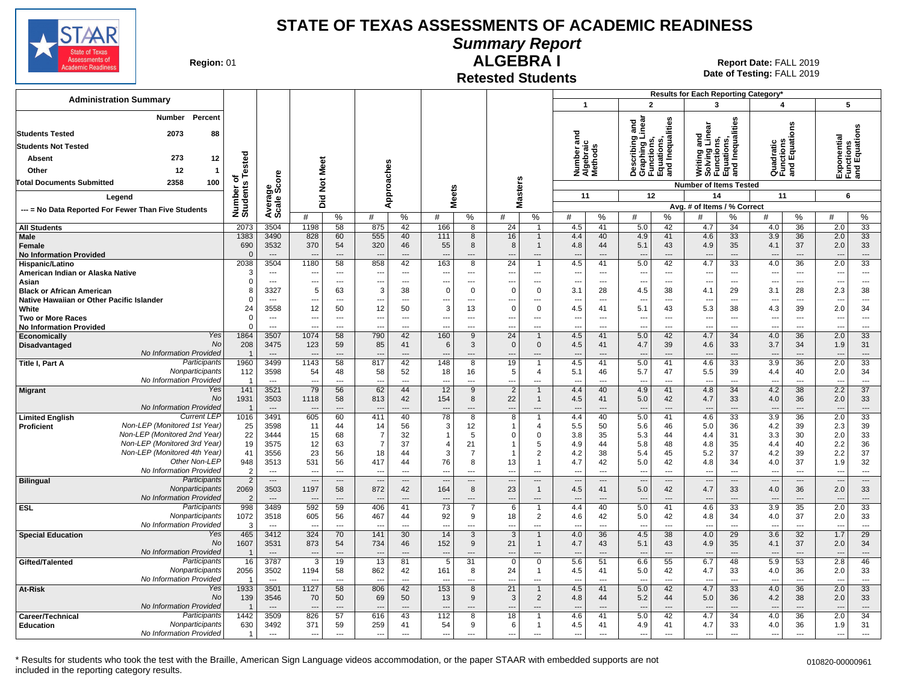

**Summary Report**

**Region: 01** 

# **ALGEBRA I**

**Date of Testing:**  FALL 2019 01 **Report Date:** FALL 2019

**Retested Students**

| <b>Administration Summary</b>                                                                                                                 |                         |                          |                          |                                            |                                 |                      |                          |                               |                          |                               |                                         |                       |                                                                                   |                      | <b>Results for Each Reporting Category*</b>                                   |                          |                                      |                                            |                          |                                            |
|-----------------------------------------------------------------------------------------------------------------------------------------------|-------------------------|--------------------------|--------------------------|--------------------------------------------|---------------------------------|----------------------|--------------------------|-------------------------------|--------------------------|-------------------------------|-----------------------------------------|-----------------------|-----------------------------------------------------------------------------------|----------------------|-------------------------------------------------------------------------------|--------------------------|--------------------------------------|--------------------------------------------|--------------------------|--------------------------------------------|
|                                                                                                                                               |                         |                          |                          |                                            |                                 |                      |                          |                               |                          |                               | $\mathbf{1}$                            |                       | $\overline{2}$                                                                    |                      | 3                                                                             |                          | 4                                    |                                            | 5                        |                                            |
| Percent<br>Number<br>88<br><b>Students Tested</b><br>2073<br><b>Students Not Tested</b><br>273<br>12<br>Absent<br>12<br>Other<br>$\mathbf{1}$ | Tested                  |                          | <b>Not Meet</b>          |                                            |                                 | Approaches           |                          |                               |                          |                               | ಕ<br>Number ano<br>Algebraic<br>Methods |                       | Describing and<br>Graphing Linear<br>Functions,<br>Equations,<br>and Inequalities |                      | Writing and<br>Solving Linear<br>Functions,<br>Equations,<br>and Inequalities |                          | Quadratic<br>Functions<br>and Equati | g                                          | ponential<br>요<br>또는 또   | ictions<br>  Equations                     |
| 100<br><b>Total Documents Submitted</b><br>2358                                                                                               | ৳                       |                          |                          |                                            |                                 |                      |                          |                               | s                        |                               |                                         |                       |                                                                                   |                      | <b>Number of Items Tested</b>                                                 |                          |                                      |                                            |                          |                                            |
|                                                                                                                                               |                         |                          |                          |                                            |                                 |                      |                          |                               | laster:                  |                               | 11                                      |                       | 12                                                                                |                      | 14                                                                            |                          | 11                                   |                                            | 6                        |                                            |
| Legend                                                                                                                                        |                         |                          | Did                      |                                            |                                 |                      | <b>Meets</b>             |                               | Σ                        |                               |                                         |                       |                                                                                   |                      | Avg. # of Items / % Correct                                                   |                          |                                      |                                            |                          |                                            |
| --- = No Data Reported For Fewer Than Five Students                                                                                           | Number of<br>Students   | Average<br>Scale Score   | #                        | $\%$                                       | #                               | $\frac{0}{0}$        | #                        | %                             | #                        | %                             | #                                       | %                     | #                                                                                 | %                    |                                                                               | %                        | #                                    | $\%$                                       | #                        | %                                          |
| <b>All Students</b>                                                                                                                           | 2073                    | 3504                     | 1198                     | 58                                         | 875                             | 42                   | 166                      | 8                             | 24                       | $\mathbf{1}$                  | 4.5                                     | 41                    | 5.0                                                                               | 42                   | 4.7                                                                           | 34                       | 4.0                                  | 36                                         | 2.0                      | 33                                         |
| <b>Male</b>                                                                                                                                   | 1383                    | 3490                     | 828                      | 60                                         | 555                             | 40                   | 111                      | 8                             | 16                       | $\mathbf{1}$                  | 4.4                                     | 40                    | 4.9                                                                               | 41                   | 4.6                                                                           | 33                       | 3.9                                  | 36                                         | 2.0                      | 33                                         |
| Female<br><b>No Information Provided</b>                                                                                                      | 690<br>$\Omega$         | 3532<br>$\sim$           | 370                      | 54<br>$\overline{\phantom{a}}$             | 320                             | 46<br>---            | 55<br>---                | 8<br>$\overline{a}$           | 8                        | $\mathbf{1}$                  | 4.8                                     | 44<br>---             | 5.1<br>$\overline{\phantom{a}}$                                                   | 43<br>---            | 4.9                                                                           | 35<br>---                | 4.1                                  | 37<br>$---$                                | 2.0                      | 33<br>$\overline{\phantom{a}}$             |
| Hispanic/Latino                                                                                                                               | 2038                    | 3504                     | 1180                     | 58                                         | 858                             | 42                   | 163                      | 8                             | 24                       | $\mathbf{1}$                  | 4.5                                     | 41                    | 5.0                                                                               | 42                   | 4.7                                                                           | 33                       | 4.0                                  | $\overline{36}$                            | 2.0                      | 33                                         |
| American Indian or Alaska Native                                                                                                              | 3                       | $\hspace{0.05cm} \ldots$ |                          | $\overline{\phantom{a}}$                   | $\overline{\phantom{a}}$        | $\cdots$             | $\overline{\phantom{a}}$ | ---                           | $\overline{\phantom{a}}$ | ---                           | ---                                     | ---                   | $\overline{\phantom{a}}$                                                          | ---                  | $\overline{\phantom{a}}$                                                      | ---                      | $\overline{\phantom{a}}$             | $\overline{\phantom{a}}$                   | ---                      | $\overline{\phantom{a}}$                   |
| Asian                                                                                                                                         | $\Omega$                | $\sim$                   | ---                      | $\overline{a}$                             | $\overline{a}$                  | $---$                | $\overline{a}$           | $---$                         | $\overline{a}$           | $---$                         | $\overline{a}$                          | $\overline{a}$        | $\overline{a}$                                                                    | $---$                | $\overline{a}$                                                                | ---                      | $\overline{a}$                       | $---$                                      | ---                      | $---$                                      |
| <b>Black or African American</b>                                                                                                              | 8                       | 3327                     | 5                        | 63                                         | 3                               | 38                   | $\mathbf 0$              | $\mathbf 0$                   | $\Omega$                 | 0                             | 3.1                                     | 28                    | 4.5                                                                               | 38                   | 4.1                                                                           | 29                       | 3.1                                  | 28                                         | 2.3                      | 38                                         |
| Native Hawaiian or Other Pacific Islander                                                                                                     | $\Omega$                | $\sim$                   | ---                      | $---$                                      | $\overline{a}$                  | $---$                | ---                      | $\overline{a}$                | $\overline{a}$           | $\overline{a}$                | $\overline{\phantom{a}}$                | $\overline{a}$        | ---                                                                               | ---                  | $\overline{a}$                                                                | ---                      | ---                                  | $---$                                      | $\overline{a}$           | $\overline{\phantom{a}}$                   |
| White                                                                                                                                         | 24                      | 3558                     | 12                       | 50                                         | 12                              | 50                   | 3                        | 13                            | $\Omega$                 | $\mathbf 0$                   | 4.5                                     | 41                    | 5.1                                                                               | 43                   | 5.3                                                                           | 38                       | 4.3                                  | 39                                         | 2.0                      | 34                                         |
| <b>Two or More Races</b>                                                                                                                      | $\mathbf 0$<br>$\Omega$ | $---$<br>$\sim$          | ---                      | $\overline{\phantom{a}}$<br>$\overline{a}$ | $\overline{\phantom{a}}$        | $\overline{a}$       | ---                      | $\overline{\phantom{a}}$      | $\overline{\phantom{a}}$ | ---<br>---                    | $---$                                   | $\overline{a}$<br>--- | ---                                                                               | ---                  | $\overline{a}$                                                                | ---<br>---               | ---                                  | $\overline{\phantom{a}}$<br>$\overline{a}$ | ---                      | $\overline{\phantom{a}}$<br>$\overline{a}$ |
| <b>No Information Provided</b><br>Yes                                                                                                         | 1864                    | 3507                     | 1074                     | 58                                         | 790                             | $\overline{a}$<br>42 | --<br>160                | $\overline{\phantom{a}}$<br>9 | 24                       | $\mathbf{1}$                  | 4.5                                     | 41                    | $\overline{a}$<br>5.0                                                             | ---<br>42            | $\overline{a}$<br>4.7                                                         | 34                       | 4.0                                  | 36                                         | 2.0                      | 33                                         |
| Economically<br>No<br>Disadvantaged                                                                                                           | 208                     | 3475                     | 123                      | 59                                         | 85                              | 41                   | 6                        | 3                             | $\Omega$                 | $\Omega$                      | 4.5                                     | 41                    | 4.7                                                                               | 39                   | 4.6                                                                           | 33                       | 3.7                                  | 34                                         | 1.9                      | 31                                         |
| No Information Provided                                                                                                                       |                         | $\overline{a}$           |                          | $\overline{\phantom{a}}$                   |                                 |                      | $\overline{\phantom{a}}$ | $\overline{\phantom{a}}$      | $\overline{\phantom{a}}$ | ---                           | $\overline{\phantom{a}}$                | ---                   | $\overline{\phantom{a}}$                                                          |                      | $\overline{\phantom{a}}$                                                      | $\overline{\phantom{a}}$ | $\overline{\phantom{a}}$             |                                            |                          | $\overline{\phantom{a}}$                   |
| Participants<br>Title I, Part A                                                                                                               | 1960                    | 3499                     | 1143                     | 58                                         | 817                             | 42                   | 148                      | 8                             | 19                       |                               | 4.5                                     | 41                    | 5.0                                                                               | 41                   | 4.6                                                                           | 33                       | 3.9                                  | 36                                         | 2.0                      | 33                                         |
| Nonparticipants                                                                                                                               | 112                     | 3598                     | 54                       | 48                                         | 58                              | 52                   | 18                       | 16                            | 5                        | $\overline{4}$                | 5.1                                     | 46                    | 5.7                                                                               | 47                   | 5.5                                                                           | 39                       | 4.4                                  | 40                                         | 2.0                      | 34                                         |
| No Information Provided                                                                                                                       | -1                      | $\overline{a}$           |                          | $---$                                      | $\overline{\phantom{a}}$        | $\overline{a}$       | ---                      | $\overline{a}$                | $\overline{a}$           | ---                           | $\sim$                                  | $\overline{a}$        | $\overline{a}$                                                                    | $\overline{a}$       | $\overline{a}$                                                                | $\overline{a}$           | $\sim$                               | $\overline{a}$                             |                          | $\overline{\phantom{a}}$                   |
| Yes<br><b>Migrant</b>                                                                                                                         | 141                     | 3521                     | 79                       | 56                                         | 62                              | 44                   | 12                       | 9                             | $\overline{2}$           | $\mathbf{1}$                  | 4.4                                     | 40                    | 4.9                                                                               | 41                   | 4.8                                                                           | 34                       | 4.2                                  | 38                                         | 2.2                      | 37                                         |
| No                                                                                                                                            | 1931                    | 3503                     | 1118                     | 58                                         | 813                             | 42                   | 154                      | 8                             | 22                       | $\mathbf{1}$                  | 4.5                                     | 41                    | 5.0                                                                               | 42                   | 4.7                                                                           | 33                       | 4.0                                  | 36                                         | 2.0                      | 33                                         |
| No Information Provided                                                                                                                       |                         | $\overline{a}$           |                          | $---$                                      |                                 |                      |                          | $\overline{\phantom{a}}$      | $\overline{\phantom{a}}$ | $---$                         |                                         | $\sim$                | $\overline{\phantom{a}}$                                                          |                      |                                                                               | $\sim$                   |                                      |                                            |                          | $\overline{\phantom{a}}$                   |
| <b>Current LEP</b><br><b>Limited English</b><br>Non-LEP (Monitored 1st Year)                                                                  | 1016<br>25              | 3491<br>3598             | 605<br>11                | 60<br>44                                   | 411<br>14                       | 40<br>56             | 78<br>3                  | 8<br>12                       | 8                        | $\mathbf 1$<br>$\overline{4}$ | 4.4<br>5.5                              | 40<br>50              | 5.0                                                                               | 41<br>46             | 4.6<br>5.0                                                                    | $\overline{33}$<br>36    | $\overline{3.9}$<br>4.2              | 36<br>39                                   | 2.0<br>2.3               | 33<br>39                                   |
| <b>Proficient</b><br>Non-LEP (Monitored 2nd Year)                                                                                             | 22                      | 3444                     | 15                       | 68                                         | -7                              | 32                   | $\mathbf{1}$             | 5                             | $\Omega$                 | $\mathbf 0$                   | 3.8                                     | 35                    | 5.6<br>5.3                                                                        | 44                   | 4.4                                                                           | 31                       | 3.3                                  | 30                                         | 2.0                      | 33                                         |
| Non-LEP (Monitored 3rd Year)                                                                                                                  | 19                      | 3575                     | 12                       | 63                                         |                                 | 37                   | $\overline{4}$           | 21                            |                          | 5                             | 4.9                                     | 44                    | 5.8                                                                               | 48                   | 4.8                                                                           | 35                       | 4.4                                  | 40                                         | 2.2                      | 36                                         |
| Non-LEP (Monitored 4th Year)                                                                                                                  | 41                      | 3556                     | 23                       | 56                                         | 18                              | 44                   | 3                        | $\overline{7}$                |                          | 2                             | 4.2                                     | 38                    | 5.4                                                                               | 45                   | 5.2                                                                           | 37                       | 4.2                                  | 39                                         | 2.2                      | 37                                         |
| Other Non-LEP                                                                                                                                 | 948                     | 3513                     | 531                      | 56                                         | 417                             | 44                   | 76                       | 8                             | 13                       | $\mathbf{1}$                  | 4.7                                     | 42                    | 5.0                                                                               | 42                   | 4.8                                                                           | 34                       | 4.0                                  | 37                                         | 1.9                      | 32                                         |
| No Information Provided                                                                                                                       | $\overline{2}$          | $\overline{\phantom{a}}$ | $\overline{\phantom{a}}$ | ---                                        | $\overline{\phantom{a}}$        | $\overline{a}$       | $\overline{a}$           | $\overline{\phantom{a}}$      | $\sim$                   | $\overline{a}$                | $\overline{\phantom{a}}$                | $\overline{a}$        | ---                                                                               | $\overline{a}$       | $\overline{a}$                                                                | ---                      | ---                                  | $\overline{a}$                             | ---                      | $\overline{\phantom{a}}$                   |
| Participants<br><b>Bilingual</b>                                                                                                              | $\overline{2}$          | $\sim$                   |                          | $\overline{a}$                             |                                 | $---$                | $\overline{\phantom{a}}$ | $---$                         | $\overline{a}$           | $\overline{a}$                |                                         | $\overline{a}$        | $\overline{a}$                                                                    | ---                  | $\overline{a}$                                                                | $\overline{a}$           | $\overline{\phantom{a}}$             | $---$                                      |                          | $\hspace{0.05cm} \ldots$                   |
| Nonparticipants                                                                                                                               | 2069                    | 3503                     | 1197                     | 58                                         | 872                             | 42                   | 164                      | 8                             | 23                       | $\mathbf{1}$                  | 4.5                                     | 41                    | 5.0                                                                               | 42                   | 4.7                                                                           | 33                       | 4.0                                  | 36                                         | 2.0                      | 33                                         |
| No Information Provided                                                                                                                       | $\overline{2}$          | $\overline{a}$           |                          | ---                                        |                                 | ---                  | ---                      |                               | $\overline{\phantom{a}}$ | ---                           | $\overline{a}$                          | $\overline{a}$        |                                                                                   | ---                  |                                                                               | ---                      |                                      | ---                                        |                          | ---                                        |
| Participants<br><b>ESL</b><br>Nonparticipants                                                                                                 | 998                     | 3489                     | 592                      | 59<br>56                                   | 406                             | 41                   | 73<br>92                 | 7<br>9                        | 6                        | $\mathbf{1}$                  | 4.4                                     | 40                    | 5.0                                                                               | 41                   | 4.6                                                                           | $\overline{33}$          | 3.9                                  | 35                                         | 2.0                      | $\overline{33}$<br>33                      |
| No Information Provided                                                                                                                       | 1072<br>3               | 3518<br>$\sim$           | 605                      | ---                                        | 467                             | 44<br>---            | ---                      | ---                           | 18                       | $\overline{2}$<br>---         | 4.6<br>$\overline{a}$                   | 42<br>---             | 5.0<br>$\overline{\phantom{a}}$                                                   | 42<br>---            | 4.8<br>$\overline{\phantom{a}}$                                               | 34<br>---                | 4.0<br>$\overline{\phantom{a}}$      | 37<br>$\overline{a}$                       | 2.0                      | $\overline{\phantom{a}}$                   |
| <b>Special Education</b><br>Yes                                                                                                               | 465                     | 3412                     | 324                      | 70                                         | 141                             | 30                   | 14                       | 3                             | 3                        | $\mathbf{1}$                  | 4.0                                     | 36                    | 4.5                                                                               | 38                   | 4.0                                                                           | 29                       | 3.6                                  | 32                                         | 1.7                      | 29                                         |
| No                                                                                                                                            | 1607                    | 3531                     | 873                      | 54                                         | 734                             | 46                   | 152                      | 9                             | 21                       | -1                            | 4.7                                     | 43                    | 5.1                                                                               | 43                   | 4.9                                                                           | 35                       | 4.1                                  | 37                                         | 2.0                      | 34                                         |
| No Information Provided                                                                                                                       |                         | $\overline{a}$           |                          | $\overline{a}$                             |                                 | $---$                | $\overline{\phantom{a}}$ | $\overline{\phantom{a}}$      | $\overline{a}$           | $\overline{a}$                |                                         | $---$                 | $\overline{\phantom{a}}$                                                          |                      | $\overline{a}$                                                                | $\overline{a}$           |                                      | $-$                                        |                          | $---$                                      |
| Participants<br>Gifted/Talented                                                                                                               | 16                      | 3787                     | -3                       | 19                                         | 13                              | 81                   | 5                        | 31                            | $\Omega$                 | $\Omega$                      | 5.6                                     | 51                    | 6.6                                                                               | 55                   | 6.7                                                                           | 48                       | 5.9                                  | 53                                         | 2.8                      | 46                                         |
| Nonparticipants                                                                                                                               | 2056                    | 3502                     | 1194                     | 58                                         | 862                             | 42                   | 161                      | 8                             | 24                       | $\mathbf{1}$                  | 4.5                                     | 41                    | 5.0                                                                               | 42                   | 4.7                                                                           | 33                       | 4.0                                  | 36                                         | 2.0                      | 33                                         |
| No Information Provided                                                                                                                       | -1                      | $\overline{a}$           |                          | $---$                                      | $\sim$                          | $\overline{a}$       | $\overline{\phantom{a}}$ | $\overline{a}$                | $\overline{\phantom{a}}$ | ---                           | $\overline{a}$                          | ---                   | $\overline{\phantom{a}}$                                                          | ---                  | $\overline{a}$                                                                | ---                      | $\overline{a}$                       | $\overline{a}$                             | $\overline{a}$           | $\overline{\phantom{a}}$                   |
| Yes<br><b>At-Risk</b>                                                                                                                         | 1933                    | 3501                     | 1127                     | 58                                         | 806                             | 42                   | 153                      | 8                             | 21                       | $\mathbf{1}$                  | 4.5                                     | 41                    | 5.0                                                                               | 42                   | 4.7                                                                           | 33                       | 4.0                                  | 36                                         | 2.0                      | 33                                         |
| <b>No</b>                                                                                                                                     | 139                     | 3546                     | 70                       | 50                                         | 69                              | 50                   | 13                       | 9                             | 3                        | $\overline{2}$                | 4.8                                     | 44                    | 5.2                                                                               | 44                   | 5.0                                                                           | 36                       | 4.2                                  | 38                                         | 2.0                      | 33                                         |
| No Information Provided                                                                                                                       |                         | $\overline{a}$           | $\overline{\phantom{a}}$ | $\overline{\phantom{a}}$                   |                                 | $\overline{a}$       | $---$                    | $---$                         |                          | $---$                         | $---$                                   | $\overline{a}$        | $\overline{\phantom{a}}$                                                          | $---$                | $---$                                                                         | $\overline{a}$           | $\overline{\phantom{a}}$             | $---$                                      | $\overline{\phantom{a}}$ | $\overline{\phantom{a}}$                   |
| Participants<br>Career/Technical                                                                                                              | 1442                    | 3509                     | 826                      | 57                                         | 616                             | 43                   | 112                      | 8                             | 18                       | -1                            | 4.6                                     | 41                    | 5.0                                                                               | 42                   | 4.7                                                                           | 34                       | 4.0                                  | 36                                         | 2.0                      | 34                                         |
| Nonparticipants<br><b>Education</b><br>No Information Provided                                                                                | 630<br>$\overline{1}$   | 3492<br>$\sim$           | 371<br>$\overline{a}$    | 59<br>$\overline{\phantom{a}}$             | 259<br>$\overline{\phantom{a}}$ | 41<br>$\overline{a}$ | 54<br>$\overline{a}$     | 9<br>$\overline{a}$           | 6<br>$\overline{a}$      | 1<br>$\overline{a}$           | 4.5<br>$\overline{a}$                   | 41<br>$\overline{a}$  | 4.9<br>$\overline{\phantom{a}}$                                                   | 41<br>$\overline{a}$ | 4.7<br>$\overline{a}$                                                         | 33<br>---                | 4.0<br>$\overline{a}$                | 36<br>$\overline{a}$                       | 1.9<br>---               | 31<br>$\overline{a}$                       |
|                                                                                                                                               |                         |                          |                          |                                            |                                 |                      |                          |                               |                          |                               |                                         |                       |                                                                                   |                      |                                                                               |                          |                                      |                                            |                          |                                            |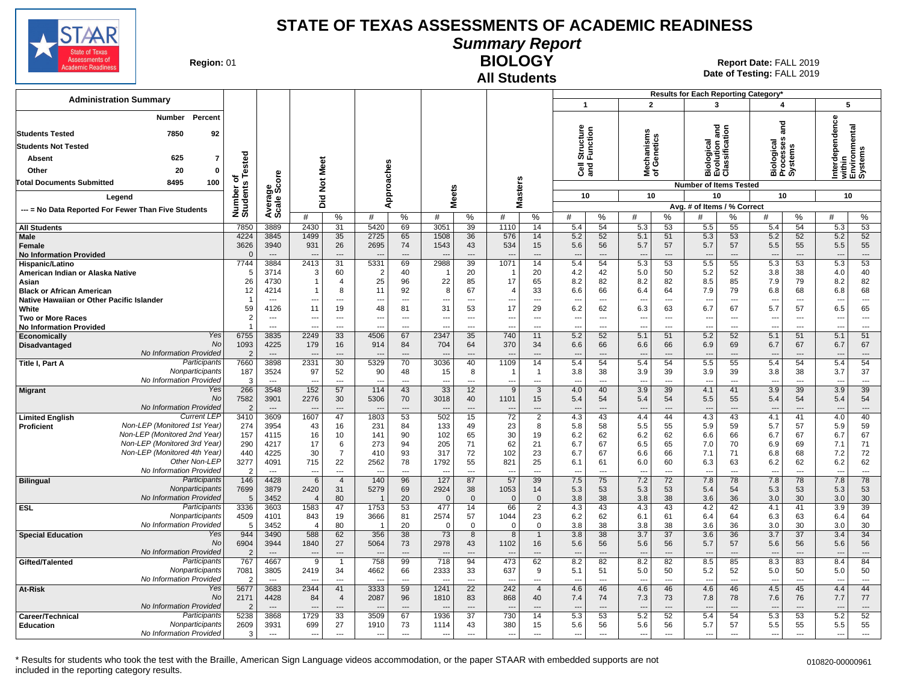

**Summary Report**

**Region: 01** 

#### **All Students BIOLOGY**

**Date of Testing:**  FALL 2019 01 **Report Date:** FALL 2019

|                                                                               |                        |                                  |                                  |                          |                          |                |                          |                                |                        |                    |                                 |                          |                                 |                                | Results for Each Reporting Category*          |                |                                 |           |                                 |                                    |
|-------------------------------------------------------------------------------|------------------------|----------------------------------|----------------------------------|--------------------------|--------------------------|----------------|--------------------------|--------------------------------|------------------------|--------------------|---------------------------------|--------------------------|---------------------------------|--------------------------------|-----------------------------------------------|----------------|---------------------------------|-----------|---------------------------------|------------------------------------|
| <b>Administration Summary</b>                                                 |                        |                                  |                                  |                          |                          |                |                          |                                |                        |                    | $\mathbf{1}$                    |                          | $\overline{2}$                  |                                | 3                                             |                | 4                               |           | 5                               |                                    |
| <b>Number</b><br>Percent                                                      |                        |                                  |                                  |                          |                          |                |                          |                                |                        |                    |                                 |                          |                                 |                                |                                               |                | ត<br>ត                          |           | dependence                      |                                    |
| 7850<br><b>Students Tested</b><br>92                                          |                        |                                  |                                  |                          |                          |                |                          |                                |                        |                    |                                 |                          |                                 |                                |                                               |                |                                 |           |                                 |                                    |
| <b>Students Not Tested</b>                                                    |                        |                                  |                                  |                          |                          |                |                          |                                |                        |                    |                                 |                          |                                 |                                |                                               |                |                                 |           |                                 |                                    |
| 625<br>Absent<br>7                                                            |                        |                                  |                                  |                          |                          |                |                          |                                |                        |                    | Structure<br>Function           |                          | lechanisms<br>f Genetics        |                                | Biological<br>Evolution and<br>Classification |                | iological<br>rocesses<br>ystems |           |                                 | within<br>Environmental<br>Systems |
| 20<br>$\mathbf 0$                                                             | Tested                 |                                  |                                  |                          |                          |                |                          |                                |                        |                    | ලි දි                           |                          |                                 |                                |                                               |                |                                 |           |                                 |                                    |
| Other                                                                         | ъ                      |                                  |                                  |                          |                          |                |                          |                                |                        |                    |                                 |                          | ঁই ঠ                            |                                |                                               |                | ក៏ដ៍តំ                          |           | Inter                           |                                    |
| 8495<br>100<br><b>Total Documents Submitted</b>                               |                        | ge<br>Score                      | Not Meet                         |                          |                          |                |                          |                                |                        |                    |                                 |                          |                                 |                                | <b>Number of Items Tested</b>                 |                |                                 |           |                                 |                                    |
| Legend                                                                        |                        |                                  | Did                              |                          |                          | Approaches     |                          | <b>Meets</b>                   | <b>Masters</b>         |                    | 10                              |                          | 10                              |                                | 10                                            |                | 10                              |           | 10                              |                                    |
| --- = No Data Reported For Fewer Than Five Students                           | Number of<br>Students  | Averare<br>Scale                 |                                  |                          |                          |                |                          |                                |                        |                    |                                 |                          |                                 |                                | Avg. # of Items / % Correct                   |                |                                 |           |                                 |                                    |
|                                                                               |                        |                                  | #                                | %                        | #                        | %              | #                        | %                              | #                      | %                  | #                               | %                        | #                               | %                              | #                                             | %              | #                               | %         | #                               | ℅                                  |
| <b>All Students</b><br><b>Male</b>                                            | 7850<br>4224           | 3889<br>3845                     | 2430<br>1499                     | 31<br>35                 | 5420<br>2725             | 69<br>65       | 3051<br>1508             | 39<br>36                       | 1110<br>576            | 14<br>14           | 5.4<br>5.2                      | 54<br>52                 | 5.3<br>5.1                      | 53<br>51                       | 5.5<br>5.3                                    | 55<br>53       | 5.4<br>5.2                      | 54<br>52  | 5.3<br>5.2                      | 53<br>52                           |
| Female                                                                        | 3626                   | 3940                             | 931                              | 26                       | 2695                     | 74             | 1543                     | 43                             | 534                    | 15                 | 5.6                             | 56                       | 5.7                             | 57                             | 5.7                                           | 57             | 5.5                             | 55        | 5.5                             | 55                                 |
| <b>No Information Provided</b>                                                | $\Omega$               | $---$                            |                                  | $\overline{\phantom{a}}$ |                          | $\overline{a}$ | $\overline{a}$           | $\overline{a}$                 |                        | ---                | $\overline{a}$                  | $\overline{a}$           | ---                             | ---                            | $\overline{a}$                                | ---            | $\overline{\phantom{a}}$        | ---       | $\overline{a}$                  | $\hspace{1.5cm} \cdots$            |
| Hispanic/Latino                                                               | 7744                   | 3884                             | 2413                             | $\overline{31}$          | 5331                     | 69             | 2988                     | 39                             | 1071                   | 14                 | 5.4                             | 54                       | 5.3                             | 53                             | 5.5                                           | 55             | 5.3                             | 53        | 5.3                             | 53                                 |
| American Indian or Alaska Native                                              | 5                      | 3714                             | 3                                | 60                       | -2                       | 40             | -1                       | 20                             | - 1                    | 20                 | 4.2                             | 42                       | 5.0                             | 50                             | 5.2                                           | 52             | 3.8                             | 38        | 4.0                             | 40                                 |
| Asian                                                                         | 26<br>12               | 4730<br>4214                     |                                  | $\overline{4}$<br>8      | 25<br>11                 | 96<br>92       | 22<br>8                  | 85<br>67                       | 17<br>4                | 65<br>33           | 8.2<br>6.6                      | 82<br>66                 | 8.2<br>6.4                      | 82<br>64                       | 8.5<br>7.9                                    | 85<br>79       | 7.9                             | 79<br>68  | 8.2                             | 82<br>68                           |
| <b>Black or African American</b><br>Native Hawaiian or Other Pacific Islander | $\overline{1}$         | $---$                            |                                  | $---$                    | $\overline{\phantom{a}}$ | $---$          | $\overline{\phantom{a}}$ | $\overline{a}$                 | ---                    | $\overline{a}$     | $\overline{\phantom{a}}$        | $\overline{a}$           | $\overline{\phantom{a}}$        | ---                            | $\overline{\phantom{a}}$                      | ---            | 6.8<br>$\overline{a}$           | $---$     | 6.8<br>$\overline{\phantom{a}}$ | $\overline{\phantom{a}}$           |
| White                                                                         | 59                     | 4126                             | 11                               | 19                       | 48                       | 81             | 31                       | 53                             | 17                     | 29                 | 6.2                             | 62                       | 6.3                             | 63                             | 6.7                                           | 67             | 5.7                             | 57        | 6.5                             | 65                                 |
| <b>Two or More Races</b>                                                      | 2                      | $---$                            | ---                              | $---$                    | $\sim$                   | $---$          | ---                      | $\overline{a}$                 | $\overline{a}$         | $---$              | ---                             | $\sim$                   | $\overline{\phantom{a}}$        | $\overline{a}$                 | $\overline{\phantom{a}}$                      | $---$          | $\overline{a}$                  | $\sim$    | $\overline{\phantom{a}}$        | $\sim$                             |
| <b>No Information Provided</b>                                                |                        | $\overline{a}$                   | ---                              | $---$                    | $\overline{\phantom{a}}$ | $---$          | $\overline{a}$           | ---                            | ---                    |                    | $\overline{a}$                  | $\overline{a}$           | $\overline{\phantom{a}}$        | ---                            | $\overline{\phantom{a}}$                      | ---            | $\overline{a}$                  | ---       | ---                             | $\overline{\phantom{a}}$           |
| Yes<br>Economically<br>No<br>Disadvantaged                                    | 6755<br>1093           | 3835<br>4225                     | 2249<br>179                      | 33<br>16                 | 4506<br>914              | 67<br>84       | 2347<br>704              | 35<br>64                       | 740<br>370             | 11<br>34           | 5.2<br>6.6                      | 52<br>66                 | 5.1<br>6.6                      | 51<br>66                       | 5.2<br>6.9                                    | 52<br>69       | 5.1<br>6.7                      | 51<br>67  | 5.1<br>6.7                      | 51<br>67                           |
| No Information Provided                                                       | $\overline{2}$         | $\overline{\phantom{a}}$         |                                  | ---                      |                          | $\overline{a}$ |                          | ---                            |                        | ---                |                                 | $\overline{\phantom{a}}$ | $\overline{\phantom{a}}$        | ---                            |                                               | ---            |                                 | ---       | $\overline{\phantom{a}}$        | $\hspace{0.05cm} \ldots$           |
| Participants<br>Title I, Part A                                               | 7660                   | 3898                             | 2331                             | 30                       | 5329                     | 70             | 3036                     | 40                             | 1109                   | 14                 | 5.4                             | 54                       | 5.4                             | 54                             | 5.5                                           | 55             | 5.4                             | 54        | 5.4                             | 54                                 |
| Nonparticipants                                                               | 187                    | 3524                             | 97                               | 52                       | 90                       | 48             | 15                       | 8                              | - 1                    | $\overline{1}$     | 3.8                             | 38                       | 3.9                             | 39                             | 3.9                                           | 39             | 3.8                             | 38        | 3.7                             | 37                                 |
| No Information Provided                                                       | $\mathcal{R}$          | $\overline{a}$                   |                                  | $---$                    | --                       | $\overline{a}$ | $\overline{a}$           | $\overline{a}$                 | ---                    | ---                | $\overline{a}$                  | $\overline{a}$           | $\sim$                          | $\overline{a}$                 | $\overline{\phantom{a}}$                      | ---            | --                              | $-$ --    | $\overline{a}$                  | $---$                              |
| Yes<br><b>Migrant</b><br>No                                                   | 266<br>7582            | 3548<br>3901                     | 152<br>2276                      | 57<br>30                 | 114<br>5306              | 43<br>70       | 33<br>3018               | 12<br>40                       | 9<br>1101              | 3<br>15            | 4.0<br>5.4                      | 40<br>54                 | 3.9<br>5.4                      | 39<br>54                       | 4.1<br>5.5                                    | 41<br>55       | 3.9<br>5.4                      | 39<br>54  | 3.9<br>5.4                      | 39<br>54                           |
| No Information Provided                                                       | 2                      | $\overline{a}$                   | ---                              | $\overline{\phantom{a}}$ | $\overline{\phantom{a}}$ | $\overline{a}$ | ---                      | $\overline{a}$                 | ---                    | ---                | $\overline{\phantom{a}}$        | $---$                    | $---$                           | $\overline{\phantom{a}}$       | $\overline{\phantom{a}}$                      | $---$          | $---$                           | ---       | ---                             | $\cdots$                           |
| <b>Current LEF</b><br><b>Limited English</b>                                  | 3410                   | 3609                             | 1607                             | 47                       | 1803                     | 53             | 502                      | 15                             | $\overline{72}$        | $\overline{2}$     | 4.3                             | 43                       | 4.4                             | 44                             | 4.3                                           | 43             | 4.1                             | 41        | 4.0                             | 40                                 |
| Non-LEP (Monitored 1st Year)<br><b>Proficient</b>                             | 274                    | 3954                             | 43                               | 16                       | 231                      | 84             | 133                      | 49                             | 23                     | 8                  | 5.8                             | 58                       | 5.5                             | 55                             | 5.9                                           | 59             | 5.7                             | 57        | 5.9                             | 59                                 |
| Non-LEP (Monitored 2nd Year)<br>Non-LEP (Monitored 3rd Year)                  | 157                    | 4115                             | 16                               | 10                       | 141                      | 90             | 102                      | 65                             | 30                     | 19                 | 6.2                             | 62                       | 6.2                             | 62                             | 6.6                                           | 66             | 6.7                             | 67        | 6.7                             | 67                                 |
| Non-LEP (Monitored 4th Year)                                                  | 290<br>440             | 4217<br>4225                     | 17<br>30                         | 6<br>$\overline{7}$      | 273<br>410               | 94<br>93       | 205<br>317               | 71<br>72                       | 62<br>102              | 21<br>23           | 6.7<br>6.7                      | 67<br>67                 | 6.5<br>6.6                      | 65<br>66                       | 7.0<br>7.1                                    | 70<br>71       | 6.9<br>6.8                      | 69<br>68  | 7.1<br>7.2                      | 71<br>72                           |
| Other Non-LEP                                                                 | 3277                   | 4091                             | 715                              | 22                       | 2562                     | 78             | 1792                     | 55                             | 821                    | 25                 | 6.1                             | 61                       | 6.0                             | 60                             | 6.3                                           | 63             | 6.2                             | 62        | 6.2                             | 62                                 |
| No Information Provided                                                       | $\overline{2}$         | $---$                            | $\sim$                           | $\sim$                   | $\overline{\phantom{a}}$ | $\overline{a}$ | $\overline{a}$           | $\overline{a}$                 | ---                    | ---                | $---$                           | $\sim$                   | $\sim$                          | $\sim$                         | $\sim$                                        | $\overline{a}$ | --                              | $-$ --    | $\overline{\phantom{a}}$        | $\sim$                             |
| Participants<br><b>Bilingual</b>                                              | 146                    | 4428                             | 6                                | $\overline{4}$           | 140                      | 96             | 127                      | 87                             | 57                     | 39                 | 7.5                             | 75                       | 7.2                             | 72                             | 7.8                                           | 78             | 7.8                             | 78        | 7.8                             | 78                                 |
| Nonparticipants<br>No Information Provided                                    | 7699<br>5              | 3879<br>3452                     | 2420<br>$\overline{4}$           | 31<br>80                 | 5279                     | 69<br>20       | 2924<br>$\mathbf{0}$     | 38<br>$\overline{0}$           | 1053<br>$\overline{0}$ | 14<br>$\mathbf{0}$ | 5.3                             | 53<br>38                 | 5.3                             | 53<br>38                       | 5.4                                           | 54<br>36       | 5.3<br>3.0                      | 53<br>30  | 5.3<br>3.0                      | 53<br>30                           |
| Participants<br><b>ESL</b>                                                    | 3336                   | 3603                             | 1583                             | 47                       | 1753                     | 53             | 477                      | 14                             | 66                     | $\overline{2}$     | 3.8<br>4.3                      | 43                       | 3.8<br>4.3                      | 43                             | 3.6<br>4.2                                    | 42             | 4.1                             | 41        | 3.9                             | 39                                 |
| Nonparticipants                                                               | 4509                   | 4101                             | 843                              | 19                       | 3666                     | 81             | 2574                     | 57                             | 1044                   | 23                 | 6.2                             | 62                       | 6.1                             | 61                             | 6.4                                           | 64             | 6.3                             | 63        | 6.4                             | 64                                 |
| No Information Provided                                                       | 5                      | 3452                             | $\overline{4}$                   | 80                       |                          | 20             | $\mathbf 0$              | $\mathbf 0$                    | $\Omega$               | $\mathbf 0$        | 3.8                             | 38                       | 3.8                             | 38                             | 3.6                                           | 36             | 3.0                             | 30        | 3.0                             | 30                                 |
| <b>Special Education</b><br>Yes                                               | 944                    | 3490                             | 588                              | 62                       | 356                      | 38             | 73                       | 8                              | 8                      | -1                 | 3.8                             | 38                       | 3.7                             | 37                             | 3.6                                           | 36             | 3.7                             | 37        | 3.4                             | 34                                 |
| No<br>No Information Provided                                                 | 6904<br>$\overline{2}$ | 3944<br>$---$                    | 1840<br>$\overline{\phantom{a}}$ | 27<br>$---$              | 5064<br>٠.               | 73<br>$---$    | 2978<br>$---$            | 43<br>$\overline{\phantom{a}}$ | 1102<br>---            | 16<br>$---$        | 5.6<br>$\overline{\phantom{a}}$ | 56<br>$\overline{a}$     | 5.6<br>$\overline{\phantom{a}}$ | 56<br>$\overline{\phantom{a}}$ | 5.7<br>$\overline{a}$                         | 57<br>$---$    | 5.6<br>$\overline{\phantom{a}}$ | 56<br>--- | 5.6<br>$\overline{\phantom{a}}$ | 56<br>$---$                        |
| Participants<br>Gifted/Talented                                               | 767                    | 4667                             | 9                                | $\overline{1}$           | 758                      | 99             | 718                      | 94                             | 473                    | 62                 | 8.2                             | 82                       | 8.2                             | 82                             | 8.5                                           | 85             | 8.3                             | 83        | 8.4                             | 84                                 |
| Nonparticipants                                                               | 7081                   | 3805                             | 2419                             | 34                       | 4662                     | 66             | 2333                     | 33                             | 637                    | 9                  | 5.1                             | 51                       | 5.0                             | 50                             | 5.2                                           | 52             | 5.0                             | 50        | 5.0                             | 50                                 |
| No Information Provided                                                       | $\mathcal{P}$          | $\overline{a}$                   |                                  | $\overline{a}$           | $\overline{a}$           | $\overline{a}$ | $\overline{a}$           | ---                            | ---                    | ---                | ---                             | $\overline{a}$           | $\overline{a}$                  | ---                            | $\overline{a}$                                | ---            | ---                             | ---       | $\overline{\phantom{a}}$        | $\overline{\phantom{a}}$           |
| Yes<br>At-Risk                                                                | 5677                   | 3683                             | 2344                             | 41                       | 3333                     | 59             | 1241                     | $\overline{22}$                | 242                    | $\overline{4}$     | 4.6                             | 46                       | 4.6                             | 46                             | 4.6                                           | 46             | 4.5                             | 45        | 4.4                             | 44                                 |
| No<br>No Information Provided                                                 | 2171<br>$\overline{2}$ | 4428<br>$\overline{\phantom{a}}$ | 84                               | 4                        | 2087                     | 96             | 1810                     | 83<br>$\overline{a}$           | 868                    | 40                 | 7.4                             | 74                       | 7.3<br>$\overline{\phantom{a}}$ | 73                             | 7.8                                           | 78             | 7.6                             | 76        | 7.7<br>$\overline{\phantom{a}}$ | 77<br>$\hspace{0.05cm} \ldots$     |
| Participants<br>Career/Technical                                              | 5238                   | 3868                             | 1729                             | 33                       | 3509                     | 67             | 1936                     | 37                             | 730                    | 14                 | 5.3                             | 53                       | 5.2                             | 52                             | 5.4                                           | 54             | 5.3                             | 53        | 5.2                             | 52                                 |
| Nonparticipants<br><b>Education</b>                                           | 2609                   | 3931                             | 699                              | 27                       | 1910                     | 73             | 1114                     | 43                             | 380                    | 15                 | 5.6                             | 56                       | 5.6                             | 56                             | 5.7                                           | 57             | 5.5                             | 55        | 5.5                             | 55                                 |
| No Information Provided                                                       | 3                      | $\overline{\phantom{a}}$         | $\overline{a}$                   | $\overline{\phantom{a}}$ | $\overline{\phantom{a}}$ | $\overline{a}$ | $\overline{\phantom{a}}$ | ---                            | $\overline{a}$         | ---                | $\overline{\phantom{a}}$        | $\overline{a}$           | $\overline{\phantom{a}}$        | $\overline{a}$                 | $\overline{a}$                                | $\overline{a}$ | ---                             | $\sim$    | ---                             | $\overline{\phantom{a}}$           |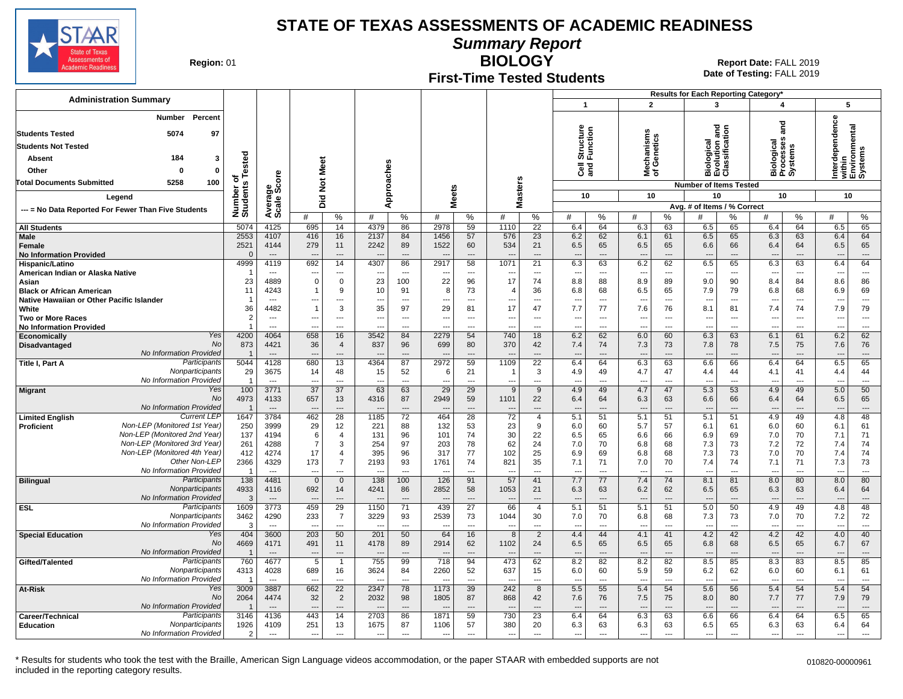

**Summary Report**

**Region: 01** 

### **First-Time Tested Students**

**BIOLOGY** Report Date: FALL 2019 **Date of Testing:**  FALL 2019

|                                                              |                                |                                  |                                            |                                  |                          |                                |                                  |                                             |                                             |                                   |                                 |                      |                                 |                      | Results for Each Reporting Category*          |                                |                                 |                                    |                                 |                                    |
|--------------------------------------------------------------|--------------------------------|----------------------------------|--------------------------------------------|----------------------------------|--------------------------|--------------------------------|----------------------------------|---------------------------------------------|---------------------------------------------|-----------------------------------|---------------------------------|----------------------|---------------------------------|----------------------|-----------------------------------------------|--------------------------------|---------------------------------|------------------------------------|---------------------------------|------------------------------------|
| <b>Administration Summary</b>                                |                                |                                  |                                            |                                  |                          |                                |                                  |                                             |                                             |                                   | $\mathbf{1}$                    |                      | $\overline{2}$                  |                      | 3                                             |                                | 4                               |                                    | 5                               |                                    |
| <b>Number</b><br>Percent                                     |                                |                                  |                                            |                                  |                          |                                |                                  |                                             |                                             |                                   |                                 |                      |                                 |                      |                                               |                                |                                 |                                    |                                 |                                    |
|                                                              |                                |                                  |                                            |                                  |                          |                                |                                  |                                             |                                             |                                   |                                 |                      |                                 |                      | ]                                             |                                |                                 | ក្ខ<br>ត                           | dependence                      | within<br>Environmental<br>Systems |
| <b>Students Tested</b><br>5074<br>97                         |                                |                                  |                                            |                                  |                          |                                |                                  |                                             |                                             |                                   | Structure<br>Function           |                      | Mechanisms<br>of Genetics       |                      | Biological<br>Evolution and<br>Classification |                                |                                 |                                    |                                 |                                    |
| <b>Students Not Tested</b>                                   |                                |                                  |                                            |                                  |                          |                                |                                  |                                             |                                             |                                   |                                 |                      |                                 |                      |                                               |                                |                                 |                                    |                                 |                                    |
| 184<br>Absent<br>3                                           |                                |                                  |                                            |                                  |                          |                                |                                  |                                             |                                             |                                   |                                 |                      |                                 |                      |                                               |                                |                                 |                                    |                                 |                                    |
| $\mathbf{0}$<br>Other<br>$\Omega$                            | Tested                         |                                  |                                            |                                  |                          |                                |                                  |                                             |                                             |                                   | ලි දි                           |                      |                                 |                      |                                               |                                |                                 | Biological<br>Processes<br>Systems | ত                               |                                    |
| 100<br><b>Total Documents Submitted</b><br>5258              | ъ                              | ge<br>Score                      | <b>Not Meet</b>                            |                                  |                          | Approaches                     |                                  |                                             |                                             |                                   |                                 |                      |                                 |                      | <b>Number of Items Tested</b>                 |                                |                                 |                                    |                                 |                                    |
|                                                              | Number o<br>Students           |                                  |                                            |                                  |                          |                                | <b>Meets</b>                     |                                             | Masters                                     |                                   | 10                              |                      | 10                              |                      | 10                                            |                                | 10                              |                                    | 10                              |                                    |
| Legend                                                       |                                | Avera<br>Scale                   | Did                                        |                                  |                          |                                |                                  |                                             |                                             |                                   |                                 |                      |                                 |                      | Avg. # of Items / % Correct                   |                                |                                 |                                    |                                 |                                    |
| --- = No Data Reported For Fewer Than Five Students          |                                |                                  | #                                          | %                                | #                        | %                              | #                                | %                                           | #                                           | %                                 | #                               | %                    | #                               | %                    | #                                             | %                              | #                               | %                                  | #                               | %                                  |
| <b>All Students</b>                                          | 5074                           | 4125                             | 695                                        | 14                               | 4379                     | 86                             | 2978                             | 59                                          | 1110                                        | 22                                | 6.4                             | 64                   | 6.3                             | 63                   | 6.5                                           | 65                             | 6.4                             | 64                                 | 6.5                             | 65                                 |
| Male                                                         | 2553                           | 4107                             | 416                                        | 16                               | 2137                     | 84                             | 1456                             | 57                                          | 576                                         | 23                                | 6.2                             | 62                   | 6.1                             | 61                   | 6.5                                           | 65                             | 6.3                             | 63                                 | 6.4                             | 64                                 |
| Female                                                       | 2521                           | 4144                             | 279                                        | 11                               | 2242                     | 89                             | 1522                             | 60                                          | 534                                         | 21                                | 6.5                             | 65                   | 6.5                             | 65                   | 6.6                                           | 66                             | 6.4                             | 64                                 | 6.5                             | 65                                 |
| <b>No Information Provided</b>                               | $\cap$<br>4999                 | $\overline{a}$<br>4119           | 692                                        | $---$<br>14                      | 4307                     | $\overline{a}$<br>86           | $\overline{\phantom{a}}$<br>2917 | $\overline{a}$<br>58                        | 1071                                        | $\overline{a}$<br>21              | $\overline{a}$<br>6.3           | $\overline{a}$<br>63 | $\sim$<br>6.2                   | $\overline{a}$<br>62 | $\overline{a}$<br>6.5                         | $\overline{a}$<br>65           | 6.3                             | $\overline{a}$<br>63               | $\overline{\phantom{a}}$<br>6.4 | $\overline{\phantom{a}}$<br>64     |
| Hispanic/Latino<br>American Indian or Alaska Native          |                                | $---$                            |                                            | $---$                            |                          | $---$                          |                                  | $\overline{a}$                              |                                             | $\overline{a}$                    |                                 | $\overline{a}$       | $\overline{\phantom{a}}$        | $\overline{a}$       | $\overline{a}$                                | $\overline{a}$                 |                                 | $\overline{a}$                     |                                 | $\overline{a}$                     |
| Asian                                                        | 23                             | 4889                             | $\overline{0}$                             | $\mathbf 0$                      | 23                       | 100                            | 22                               | 96                                          | 17                                          | 74                                | 8.8                             | 88                   | 8.9                             | 89                   | 9.0                                           | 90                             | 8.4                             | 84                                 | 8.6                             | 86                                 |
| <b>Black or African American</b>                             | 11                             | 4243                             |                                            | 9                                | 10                       | 91                             | 8                                | 73                                          | -4                                          | 36                                | 6.8                             | 68                   | 6.5                             | 65                   | 7.9                                           | 79                             | 6.8                             | 68                                 | 6.9                             | 69                                 |
| Native Hawaiian or Other Pacific Islander                    | -1                             | $\overline{a}$                   |                                            | $\overline{a}$                   |                          | $\overline{a}$                 | $\overline{\phantom{a}}$         | ---                                         |                                             | ---                               | $\overline{a}$                  | ---                  | $\overline{\phantom{a}}$        | $\overline{a}$       | $\overline{a}$                                | Ξ.                             | $\overline{\phantom{a}}$        | $\overline{\phantom{a}}$           |                                 | ---                                |
| White<br><b>Two or More Races</b>                            | 36<br>$\overline{2}$           | 4482<br>$---$                    | $\overline{1}$<br>$\overline{\phantom{a}}$ | 3<br>---                         | 35                       | 97<br>$\overline{\phantom{a}}$ | 29<br>$\overline{\phantom{a}}$   | 81<br>---                                   | 17<br>$\overline{\phantom{a}}$              | 47<br>$---$                       | 7.7<br>$\overline{\phantom{a}}$ | 77<br>$\overline{a}$ | 7.6<br>$\overline{\phantom{a}}$ | 76<br>---            | 8.1<br>$\overline{\phantom{a}}$               | 81<br>$\overline{\phantom{a}}$ | 7.4<br>$\overline{\phantom{a}}$ | 74<br>$---$                        | 7.9                             | 79<br>$\overline{\phantom{a}}$     |
| <b>No Information Provided</b>                               | $\mathbf{1}$                   | $---$                            | $\overline{a}$                             | $---$                            | $---$                    | $\overline{a}$                 | $\overline{a}$                   | $\overline{a}$                              | $\overline{a}$                              | $---$                             | $\overline{a}$                  | $---$                | $\overline{\phantom{a}}$        | $\overline{a}$       | $\overline{a}$                                | $\overline{a}$                 | $\overline{a}$                  | $---$                              | ---                             | $\overline{\phantom{a}}$           |
| Yes<br>Economically                                          | 4200                           | 4064                             | 658                                        | 16                               | 3542                     | 84                             | 2279                             | 54                                          | 740                                         | 18                                | 6.2                             | 62                   | 6.0                             | 60                   | 6.3                                           | 63                             | 6.1                             | 61                                 | 6.2                             | 62                                 |
| No<br>Disadvantaged                                          | 873                            | 4421                             | 36                                         | $\overline{4}$                   | 837                      | 96                             | 699                              | 80                                          | 370                                         | 42                                | 7.4                             | 74                   | 7.3                             | 73                   | 7.8                                           | 78                             | 7.5                             | 75                                 | 7.6                             | 76                                 |
| No Information Provided<br>Participants<br>Title I, Part A   | 5044                           | $\overline{a}$<br>4128           | 680                                        | $---$<br>$\overline{13}$         | 4364                     | $\overline{a}$<br>87           | 2972                             | 59                                          | 1109                                        | $\overline{a}$<br>$\overline{22}$ | 6.4                             | 64                   | $\overline{\phantom{a}}$<br>6.3 | 63                   | $\overline{a}$<br>6.6                         | ---<br>66                      | 6.4                             | $-$<br>64                          | 6.5                             | $\overline{a}$<br>65               |
| Nonparticipants                                              | 29                             | 3675                             | 14                                         | 48                               | 15                       | 52                             | 6                                | 21                                          | $\overline{\mathbf{1}}$                     | 3                                 | 4.9                             | 49                   | 4.7                             | 47                   | 4.4                                           | 44                             | 4.1                             | 41                                 | 4.4                             | 44                                 |
| No Information Provided                                      | $\overline{1}$                 | ---                              | ---                                        | $\overline{a}$                   |                          | $\overline{a}$                 | $\overline{\phantom{a}}$         | $\overline{a}$                              | $\overline{\phantom{a}}$                    | $\overline{a}$                    | $\overline{a}$                  | ---                  | $\overline{\phantom{a}}$        | ---                  | $\overline{a}$                                | Ξ.                             | $\overline{\phantom{a}}$        |                                    | ---                             | $\overline{a}$                     |
| Yes<br>Migrant                                               | 100                            | 3771                             | 37                                         | 37                               | 63                       | 63                             | 29                               | 29                                          | 9                                           | 9                                 | 4.9                             | 49                   | 4.7                             | 47                   | 5.3                                           | 53                             | 4.9                             | 49                                 | 5.0                             | 50                                 |
| No<br><b>No Information Provided</b>                         | 4973                           | 4133<br>$---$                    | 657<br>$\overline{a}$                      | 13<br>$---$                      | 4316                     | 87<br>$\overline{a}$           | 2949<br>$\overline{\phantom{a}}$ | 59<br>$\overline{a}$                        | 1101                                        | 22<br>$\overline{a}$              | 6.4<br>$\overline{a}$           | 64<br>$\overline{a}$ | 6.3<br>$\sim$                   | 63<br>$\overline{a}$ | 6.6<br>$\overline{a}$                         | 66<br>$\sim$                   | 6.4<br>$\overline{\phantom{a}}$ | 64<br>$\overline{a}$               | 6.5                             | 65<br>$---$                        |
| <b>Current LEF</b><br><b>Limited English</b>                 | $\overline{1}$<br>1647         | 3784                             | 462                                        | 28                               | 1185                     | 72                             | 464                              | 28                                          | $\overline{\phantom{a}}$<br>$\overline{72}$ | $\overline{4}$                    | 5.1                             | 51                   | 5.1                             | 51                   | 5.1                                           | 51                             | 4.9                             | 49                                 | 4.8                             | 48                                 |
| Non-LEP (Monitored 1st Year)<br>Proficient                   | 250                            | 3999                             | 29                                         | 12                               | 221                      | 88                             | 132                              | 53                                          | 23                                          | 9                                 | 6.0                             | 60                   | 5.7                             | 57                   | 6.1                                           | 61                             | 6.0                             | 60                                 | 6.1                             | 61                                 |
| Non-LEP (Monitored 2nd Year)                                 | 137                            | 4194                             | 6                                          | $\overline{4}$                   | 131                      | 96                             | 101                              | 74                                          | 30                                          | 22                                | 6.5                             | 65                   | 6.6                             | 66                   | 6.9                                           | 69                             | 7.0                             | 70                                 | 7.1                             | 71                                 |
| Non-LEP (Monitored 3rd Year)<br>Non-LEP (Monitored 4th Year) | 261                            | 4288                             | $\overline{7}$                             | 3                                | 254                      | 97                             | 203                              | 78                                          | 62                                          | 24                                | 7.0                             | 70                   | 6.8                             | 68                   | 7.3                                           | 73                             | 7.2                             | 72                                 | 7.4                             | 74                                 |
| Other Non-LEP                                                | 412<br>2366                    | 4274<br>4329                     | 17<br>173                                  | $\overline{4}$<br>$\overline{7}$ | 395<br>2193              | 96<br>93                       | 317<br>1761                      | 77<br>74                                    | 102<br>821                                  | 25<br>35                          | 6.9<br>7.1                      | 69<br>71             | 6.8<br>7.0                      | 68<br>70             | 7.3<br>7.4                                    | 73<br>74                       | 7.0<br>7.1                      | 70<br>71                           | 7.4<br>7.3                      | 74<br>73                           |
| No Information Provided                                      | -1                             | $\cdots$                         |                                            | $\overline{a}$                   |                          | $---$                          |                                  | $\overline{a}$                              |                                             | $---$                             |                                 | $\overline{a}$       |                                 | $\overline{a}$       | $\overline{a}$                                | $\overline{a}$                 |                                 | $\overline{a}$                     |                                 | $\overline{\phantom{a}}$           |
| Participants<br><b>Bilingual</b>                             | 138                            | 4481                             | $\overline{0}$                             | $\mathbf 0$                      | 138                      | 100                            | 126                              | 91                                          | 57                                          | 41                                | 7.7                             | 77                   | 7.4                             | 74                   | 8.1                                           | 81                             | 8.0                             | 80                                 | 8.0                             | 80                                 |
| Nonparticipants                                              | 4933                           | 4116                             | 692                                        | 14                               | 4241                     | 86                             | 2852                             | 58                                          | 1053                                        | 21                                | 6.3                             | 63                   | 6.2                             | 62                   | 6.5                                           | 65                             | 6.3                             | 63                                 | 6.4                             | 64                                 |
| <b>No Information Provided</b><br>Participants               | 3<br>1609                      | $\overline{a}$<br>3773           | $\overline{a}$<br>459                      | $---$<br>29                      |                          | $---$<br>71                    | ---<br>439                       | $\overline{\phantom{a}}$<br>$\overline{27}$ | 66                                          | $---$<br>$\overline{4}$           | $\overline{a}$                  | $\overline{a}$<br>51 | $\overline{\phantom{a}}$<br>5.1 | ---<br>51            | $\overline{\phantom{a}}$<br>5.0               | $\overline{a}$<br>50           | $\overline{\phantom{a}}$<br>4.9 | $---$<br>49                        | $\overline{a}$                  | $\overline{\phantom{a}}$<br>48     |
| <b>ESL</b><br>Nonparticipants                                | 3462                           | 4290                             | 233                                        | $\overline{7}$                   | 1150<br>3229             | 93                             | 2539                             | 73                                          | 1044                                        | 30                                | 5.1<br>7.0                      | 70                   | 6.8                             | 68                   | 7.3                                           | 73                             | 7.0                             | 70                                 | 4.8<br>7.2                      | 72                                 |
| No Information Provided                                      | 3                              | $\overline{a}$                   | $\overline{a}$                             | $---$                            | $\overline{a}$           | $\overline{a}$                 | $\overline{a}$                   | $\overline{a}$                              | $\sim$                                      | $\overline{a}$                    | $\overline{a}$                  | $\overline{a}$       | $\overline{\phantom{a}}$        | $\overline{a}$       | $\overline{a}$                                | $\overline{a}$                 | $\overline{a}$                  | $---$                              | $\overline{\phantom{a}}$        | $\overline{\phantom{a}}$           |
| Yes<br><b>Special Education</b>                              | 404                            | 3600                             | 203                                        | 50                               | 201                      | 50                             | 64                               | 16                                          | 8                                           | $\overline{2}$                    | 4.4                             | 44                   | 4.1                             | 41                   | 4.2                                           | 42                             | 4.2                             | 42                                 | 4.0                             | 40                                 |
| No                                                           | 4669                           | 4171                             | 491                                        | 11                               | 4178                     | 89                             | 2914                             | 62                                          | 1102                                        | 24                                | 6.5                             | 65                   | 6.5                             | 65                   | 6.8                                           | 68                             | 6.5                             | 65                                 | 6.7                             | 67                                 |
| No Information Provided<br>Participants<br>Gifted/Talented   | $\overline{\mathbf{1}}$<br>760 | $\overline{\phantom{a}}$<br>4677 | 5                                          | $\overline{a}$<br>$\overline{1}$ | 755                      | $---$<br>99                    | 718                              | $\overline{\phantom{a}}$<br>94              | 473                                         | $\overline{a}$<br>62              | 8.2                             | $\overline{a}$<br>82 | $\overline{\phantom{a}}$<br>8.2 | $---$<br>82          | $\overline{\phantom{a}}$<br>8.5               | ---<br>85                      | 8.3                             | $\overline{a}$<br>83               | 8.5                             | $---$<br>85                        |
| Nonparticipants                                              | 4313                           | 4028                             | 689                                        | 16                               | 3624                     | 84                             | 2260                             | 52                                          | 637                                         | 15                                | 6.0                             | 60                   | 5.9                             | 59                   | 6.2                                           | 62                             | 6.0                             | 60                                 | 6.1                             | 61                                 |
| No Information Provided                                      | $\overline{1}$                 | $---$                            |                                            | $---$                            |                          | $---$                          |                                  | $\overline{a}$                              |                                             | $---$                             | $\overline{a}$                  | $\overline{a}$       | $\overline{\phantom{a}}$        | $\overline{a}$       | $\overline{a}$                                | $\overline{a}$                 | $\overline{\phantom{a}}$        | $\overline{a}$                     | $\overline{a}$                  | $\overline{\phantom{a}}$           |
| Yes<br>At-Risk                                               | 3009                           | 3887                             | 662                                        | $\overline{22}$                  | 2347                     | 78                             | 1173                             | 39                                          | 242                                         | 8                                 | 5.5                             | 55                   | 5.4                             | 54                   | 5.6                                           | 56                             | 5.4                             | 54                                 | 5.4                             | 54                                 |
| No<br>No Information Provided                                | 2064                           | 4474                             | 32                                         | $\overline{2}$                   | 2032                     | 98                             | 1805                             | 87                                          | 868                                         | 42                                | 7.6                             | 76                   | 7.5                             | 75                   | 8.0                                           | 80                             | 7.7                             | 77                                 | 7.9                             | 79                                 |
| Participants<br>Career/Technical                             | $\mathbf 1$<br>3146            | $---$<br>4136                    | ---<br>443                                 | $---$<br>14                      | 2703                     | $---$<br>86                    | ---<br>1871                      | $- - -$<br>59                               | $\overline{\phantom{a}}$<br>730             | $---$<br>23                       | $---$<br>6.4                    | $---$<br>64          | $\overline{\phantom{a}}$<br>6.3 | $-$<br>63            | $\overline{a}$<br>6.6                         | ---<br>66                      | $\overline{\phantom{a}}$<br>6.4 | $-$ --<br>64                       | ---<br>6.5                      | $---$<br>65                        |
| Nonparticipants<br><b>Education</b>                          | 1926                           | 4109                             | 251                                        | 13                               | 1675                     | 87                             | 1106                             | 57                                          | 380                                         | 20                                | 6.3                             | 63                   | 6.3                             | 63                   | 6.5                                           | 65                             | 6.3                             | 63                                 | 6.4                             | 64                                 |
| No Information Provided                                      | 2                              | $\overline{\phantom{a}}$         | $\overline{\phantom{a}}$                   | $\overline{\phantom{a}}$         | $\overline{\phantom{a}}$ | $\overline{a}$                 | $\overline{\phantom{a}}$         | $\overline{a}$                              | $\overline{a}$                              | ---                               | $\overline{a}$                  | $\overline{a}$       | $\overline{\phantom{a}}$        | $\overline{a}$       | $\overline{a}$                                | ---                            | $\overline{a}$                  | ---                                | ---                             | $\overline{a}$                     |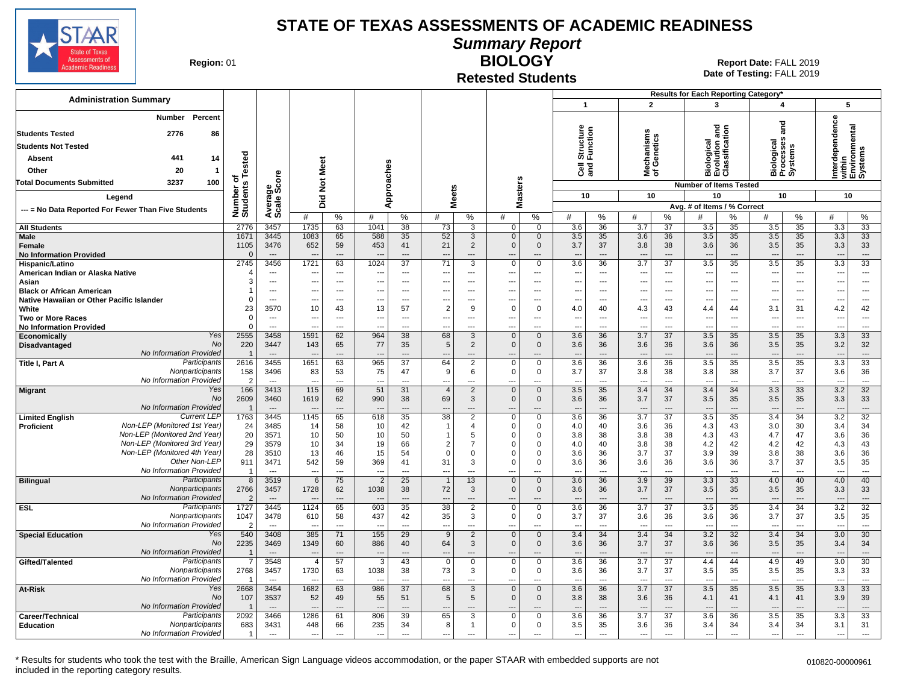

**Summary Report**

**Region: 01** 

#### **Retested Students BIOLOGY**

**Date of Testing:**  FALL 2019 01 **Report Date:** FALL 2019

| $\mathbf{1}$<br>$\overline{2}$<br>3<br>4<br>5<br>Percent<br>Number<br>Interdependence<br>and<br>and<br>Structure<br>Function<br>within<br>Environmental<br>Systems<br>lechanisms<br>f Genetics<br><b>Students Tested</b><br>2776<br>86<br>on a<br>icati<br>Biological<br>Processes<br>Systems<br>శై<br><b>Students Not Tested</b><br><b>Biologie</b><br>Evolutic<br>Classifi<br>ested<br>441<br>Absent<br>14<br>Meet<br>Approaches<br>ੌਰ ਵ<br>aੜ<br>20<br>Other<br>$\mathbf{1}$<br>ᄛᅕ<br>Average<br>Scale Score<br>۴<br>w<br>ठ<br>$\frac{5}{2}$<br>3237<br>100<br><b>Total Documents Submitted</b><br>Number of<br>Students<br>laster:<br><b>Number of Items Tested</b><br><b>Meets</b><br>10<br>10<br>10<br>10<br>10<br>Legend<br>Did<br>Σ<br>Avg. # of Items / % Correct<br>--- = No Data Reported For Fewer Than Five Students<br>%<br>#<br>%<br>#<br>%<br>#<br>℅<br>#<br>%<br>#<br>$\%$<br>#<br>%<br>#<br>%<br>#<br>#<br>%<br>2776<br>3457<br>1735<br>1041<br>38<br>73<br>3.6<br>36<br>3.7<br>37<br>35<br>3.5<br>35<br>3.3<br>33<br><b>All Students</b><br>63<br>3<br>$\mathbf 0$<br>$\mathbf 0$<br>3.5<br>Male<br>1671<br>3445<br>1083<br>588<br>35<br>52<br>3<br>3.5<br>35<br>3.6<br>36<br>3.5<br>35<br>3.5<br>35<br>3.3<br>33<br>65<br>$\mathbf{0}$<br>$\mathbf 0$<br>1105<br>3476<br>652<br>59<br>453<br>41<br>21<br>2<br>$\mathbf 0$<br>3.7<br>37<br>3.8<br>38<br>3.6<br>36<br>3.5<br>35<br>3.3<br>33<br>Female<br>$\Omega$<br><b>No Information Provided</b><br>$\cdots$<br>$\overline{\phantom{a}}$<br>---<br>---<br>$\overline{\phantom{a}}$<br>$\overline{\phantom{a}}$<br>$---$<br>$\overline{a}$<br>---<br>$\overline{\phantom{a}}$<br>$\overline{\phantom{a}}$<br>$---$<br>$\overline{\phantom{a}}$<br>$---$<br>$\overline{\phantom{a}}$<br>2745<br>1721<br>63<br>3.6<br>$\overline{37}$<br>3.5<br>33<br>3456<br>1024<br>37<br>71<br>36<br>3.7<br>35<br>3.5<br>35<br>3.3<br>3<br>0<br>Hispanic/Latino<br>$\mathbf 0$<br>American Indian or Alaska Native<br>$---$<br>---<br>$\scriptstyle\cdots$<br>$\overline{\phantom{a}}$<br>---<br>$\overline{a}$<br>$\overline{\phantom{a}}$<br>$\overline{\phantom{a}}$<br>$\cdots$<br>$\overline{\phantom{a}}$<br>$\overline{\phantom{a}}$<br>$\overline{\phantom{a}}$<br>$\overline{\phantom{a}}$<br>$\overline{\phantom{a}}$<br>$\overline{\phantom{a}}$<br>$\overline{\phantom{a}}$<br>$\overline{\phantom{a}}$<br>$\overline{\phantom{a}}$<br>3<br>Asian<br>$\overline{a}$<br>$\overline{a}$<br>$\overline{a}$<br>$\overline{a}$<br>$\sim$<br>$\overline{a}$<br>$\overline{\phantom{a}}$<br>$---$<br>$\overline{a}$<br>$\overline{a}$<br>$---$<br>$\overline{a}$<br>$---$<br>$\sim$<br>$\overline{a}$<br>$\sim$<br>$\sim$<br>$\overline{a}$<br>$\overline{a}$<br><b>Black or African American</b><br>$\overline{1}$<br>$\overline{\phantom{a}}$<br>$\overline{\phantom{a}}$<br>---<br>$---$<br>---<br>$\overline{\phantom{a}}$<br>$\overline{a}$<br>---<br>---<br>$\overline{\phantom{a}}$<br>$\cdots$<br>$\cdots$<br>---<br>$---$<br>$\overline{\phantom{a}}$<br>$\overline{\phantom{a}}$<br>---<br>$\overline{\phantom{a}}$<br>$\overline{\phantom{a}}$<br>Native Hawaiian or Other Pacific Islander<br>$\Omega$<br>$---$<br>$\sim$<br>$\overline{\phantom{a}}$<br>$---$<br>---<br>$---$<br>---<br>$---$<br>$\overline{\phantom{a}}$<br>$\overline{\phantom{a}}$<br>$---$<br>---<br>$\overline{\phantom{a}}$<br>$\overline{\phantom{a}}$<br>---<br>$\overline{\phantom{a}}$<br>$\overline{\phantom{a}}$<br>$\cdots$<br>$\overline{\phantom{a}}$<br>23<br>$\overline{2}$<br>42<br>White<br>3570<br>10<br>43<br>13<br>57<br>$\mathbf 0$<br>4.0<br>40<br>4.3<br>43<br>4.4<br>3.1<br>31<br>4.2<br>9<br>$\Omega$<br>44<br>$\Omega$<br><b>Two or More Races</b><br>$\overline{\phantom{a}}$<br>$\overline{a}$<br>---<br>$\hspace{0.05cm} \ldots$<br>$\overline{\phantom{a}}$<br>$\overline{\phantom{a}}$<br>$\overline{\phantom{a}}$<br>$\overline{a}$<br>$\overline{\phantom{a}}$<br>$\overline{a}$<br>$\cdots$<br>$\overline{\phantom{a}}$<br>---<br>---<br>$\overline{\phantom{a}}$<br>$\overline{\phantom{a}}$<br>---<br>$\overline{\phantom{a}}$<br>---<br>$\Omega$<br><b>No Information Provided</b><br>$\sim$<br>$\overline{a}$<br>---<br>$\overline{a}$<br>---<br>$\overline{\phantom{a}}$<br>---<br>$\overline{a}$<br>---<br>---<br>---<br>$\sim$<br>$\overline{a}$<br>$\overline{a}$<br>$\overline{a}$<br>$\overline{\phantom{a}}$<br>$\overline{\phantom{a}}$<br>$\overline{\phantom{a}}$<br>Yes<br>2555<br>3458<br>1591<br>62<br>38<br>68<br>3.6<br>36<br>3.7<br>$\overline{37}$<br>3.5<br>35<br>3.5<br>35<br>3.3<br>33<br>964<br>3<br>$\Omega$<br>$\mathbf 0$<br>Economically<br><b>No</b><br>220<br>3447<br>143<br>77<br>35<br>5<br>$\overline{2}$<br>$\mathbf 0$<br>3.6<br>36<br>36<br>3.6<br>36<br>3.5<br>35<br>3.2<br>32<br>Disadvantaged<br>65<br>$\mathbf{0}$<br>3.6<br>No Information Provided<br>$\overline{1}$<br>$\overline{\phantom{a}}$<br>$\sim$<br>---<br>$\overline{a}$<br>$\overline{a}$<br>$\overline{a}$<br>---<br>---<br>$---$<br>$\overline{\phantom{a}}$<br>$\overline{\phantom{a}}$<br>$\overline{33}$<br>Participants<br>2616<br>3455<br>1651<br>63<br>965<br>$\overline{37}$<br>3.6<br>36<br>3.6<br>36<br>3.5<br>35<br>3.5<br>35<br>$\overline{3.3}$<br>Title I, Part A<br>64<br>$\overline{2}$<br>$\mathbf 0$<br>$\mathbf 0$<br>Nonparticipants<br>158<br>3496<br>83<br>53<br>75<br>47<br>9<br>$\Omega$<br>$\mathbf 0$<br>3.7<br>37<br>3.8<br>38<br>3.8<br>38<br>3.7<br>37<br>3.6<br>36<br>6<br>No Information Provided<br>$\mathcal{P}$<br>$\overline{\phantom{a}}$<br>$\overline{a}$<br>$\overline{a}$<br>---<br>$\overline{a}$<br>---<br>$\overline{a}$<br>$\overline{a}$<br>$\overline{a}$<br>---<br>---<br>166<br>$115$<br>3.5<br>32<br>Yes<br>3413<br>69<br>31<br>$\mathbf 0$<br>35<br>3.4<br>34<br>3.4<br>34<br>3.3<br>33<br>3.2<br>51<br>$\overline{4}$<br>2<br>$\mathbf{0}$<br>Migrant<br><b>No</b><br>2609<br>33<br>3460<br>1619<br>62<br>990<br>38<br>69<br>3<br>$\mathbf{0}$<br>$\mathbf{0}$<br>3.6<br>36<br>3.7<br>37<br>3.5<br>3.5<br>35<br>3.3<br>35<br>No Information Provided<br>$\overline{1}$<br>$---$<br>$---$<br>$\overline{\phantom{a}}$<br>---<br>$\overline{\phantom{a}}$<br>$\overline{\phantom{a}}$<br>$---$<br>---<br>$\overline{\phantom{a}}$<br>---<br>$\overline{\phantom{a}}$<br>$---$<br>$\overline{\phantom{a}}$<br>$---$<br>$\overline{\phantom{a}}$<br>---<br>$\overline{\phantom{a}}$<br>$\overline{\phantom{a}}$<br><b>Current LEP</b><br>1763<br>3445<br>1145<br>65<br>618<br>35<br>38<br>2<br>3.6<br>36<br>3.7<br>37<br>3.5<br>35<br>3.4<br>34<br>3.2<br>32<br><b>Limited English</b><br>$\Omega$<br>$\Omega$<br>Non-LEP (Monitored 1st Year)<br>24<br>3485<br>58<br>10<br>42<br>$\mathbf 0$<br>4.0<br>40<br>3.6<br>36<br>4.3<br>43<br>3.0<br>30<br>3.4<br>34<br>Proficient<br>14<br>$\overline{1}$<br>$\overline{4}$<br>$\Omega$<br>Non-LEP (Monitored 2nd Year)<br>36<br>20<br>10<br>3571<br>50<br>10<br>50<br>5<br>$\Omega$<br>3.8<br>38<br>3.8<br>38<br>4.3<br>43<br>4.7<br>47<br>3.6<br>$\overline{1}$<br>$\Omega$<br>Non-LEP (Monitored 3rd Year)<br>43<br>29<br>10<br>19<br>66<br>$\overline{2}$<br>40<br>4.2<br>42<br>42<br>3579<br>34<br>$\overline{7}$<br>$\mathbf 0$<br>4.0<br>3.8<br>38<br>4.2<br>4.3<br>$\Omega$<br>Non-LEP (Monitored 4th Year<br>28<br>36<br>3510<br>13<br>46<br>15<br>54<br>$\overline{0}$<br>3.6<br>36<br>3.7<br>37<br>3.9<br>39<br>3.8<br>38<br>$\mathbf 0$<br>3.6<br>$\Omega$<br>$\Omega$<br>Other Non-LEP<br>542<br>369<br>31<br>3.7<br>37<br>35<br>911<br>3471<br>59<br>41<br>3<br>$\Omega$<br>3.6<br>36<br>3.6<br>36<br>3.6<br>36<br>3.5<br>$\Omega$<br>No Information Provided<br>$-$<br>- 1<br>$\sim$<br>$\overline{a}$<br>$\overline{a}$<br>$---$<br>$\overline{\phantom{a}}$<br>$\overline{a}$<br>$---$<br>$\overline{a}$<br>---<br>$\overline{\phantom{a}}$<br>$\sim$<br>$\overline{\phantom{a}}$<br>$\sim$<br>$\overline{\phantom{a}}$<br>$\overline{a}$<br>$\overline{a}$<br>---<br>$\sim$<br>3.3<br>40<br>Participants<br>8<br>3519<br>6<br>75<br>$\overline{2}$<br>25<br>13<br>3.6<br>36<br>3.9<br>39<br>33<br>4.0<br>40<br>4.0<br><b>Bilingual</b><br>$\overline{1}$<br>$\Omega$<br>$\mathbf 0$<br>Nonparticipants<br>2766<br>3457<br>1728<br>1038<br>38<br>72<br>3.6<br>36<br>3.7<br>37<br>3.5<br>35<br>3.5<br>35<br>3.3<br>33<br>62<br>3<br>$\Omega$<br>$\mathbf{0}$<br>No Information Provided<br>$\overline{2}$<br>$\cdots$<br>$\overline{a}$<br>---<br>$---$<br>$\overline{\phantom{a}}$<br>---<br>$\overline{a}$<br>---<br>$\overline{a}$<br>$\overline{a}$<br>$---$<br>$---$<br>Participants<br>3445<br>1124<br>65<br>35<br>$\overline{38}$<br>36<br>$\overline{3.7}$<br>$\overline{37}$<br>3.5<br>35<br>34<br>3.2<br>32<br><b>ESL</b><br>1727<br>603<br>$\overline{2}$<br>3.6<br>3.4<br>$\mathbf 0$<br>0<br>Nonparticipants<br>1047<br>42<br>37<br>37<br>35<br>3478<br>610<br>58<br>437<br>35<br>3<br>$\mathbf 0$<br>$\mathbf 0$<br>3.7<br>3.6<br>36<br>3.6<br>36<br>3.7<br>3.5<br>No Information Provided<br>$\mathcal{P}$<br>$\overline{\phantom{a}}$<br>$\sim$<br>---<br>$\sim$<br>---<br>$\sim$<br>$\sim$<br>$\sim$<br>$\sim$<br>$\sim$<br>---<br>$\sim$<br>$\sim$<br>540<br>34<br>3.2<br>30<br><b>Special Education</b><br>Yes<br>3408<br>385<br>71<br>155<br>29<br>9<br>2<br>$\mathbf{0}$<br>$\mathbf{0}$<br>3.4<br>34<br>3.4<br>32<br>3.4<br>34<br>3.0<br><b>No</b><br>2235<br>3469<br>1349<br>60<br>886<br>40<br>64<br>3<br>$\mathbf{0}$<br>$\mathbf 0$<br>3.6<br>36<br>3.7<br>37<br>3.6<br>36<br>3.5<br>35<br>3.4<br>34<br>No Information Provided<br>$\cdots$<br>---<br>---<br>$\overline{\phantom{a}}$<br>$\overline{\phantom{a}}$<br>$\overline{a}$<br>$\overline{\phantom{a}}$<br>$\overline{a}$<br>$\overline{\phantom{a}}$<br>$---$<br>$\overline{\phantom{a}}$<br>Participants<br>30<br>3548<br>57<br>43<br>3.6<br>3.7<br>37<br>4.4<br>Gifted/Talented<br>-7<br>$\overline{4}$<br>3<br>$\overline{0}$<br>$\mathbf 0$<br>$\mathbf 0$<br>$\mathbf 0$<br>36<br>44<br>4.9<br>49<br>3.0<br>2768<br>Nonparticipants<br>1730<br>1038<br>38<br>73<br>33<br>3457<br>63<br>$\mathbf 0$<br>0<br>3.6<br>36<br>3.7<br>37<br>3.5<br>35<br>3.5<br>35<br>3<br>3.3<br>No Information Provided<br>$\sim$<br>$\overline{a}$<br>---<br>$\overline{\phantom{a}}$<br>$\overline{a}$<br>$\overline{a}$<br>---<br>---<br>$\overline{\phantom{a}}$<br>$\overline{a}$<br>$\overline{a}$<br>---<br>---<br>$---$<br>---<br>$---$<br>---<br>---<br>$\sim$<br>$\overline{37}$<br>68<br>3.5<br>33<br>Yes<br>2668<br>3454<br>1682<br>63<br>986<br>3<br>$\mathbf{0}$<br>$\mathbf{0}$<br>3.6<br>36<br>3.7<br>37<br>35<br>3.5<br>35<br>3.3<br><b>At-Risk</b><br>No<br>107<br>3537<br>52<br>5<br>5<br>$\mathbf 0$<br>38<br>36<br>41<br>3.9<br>39<br>49<br>55<br>51<br>$\mathbf{0}$<br>3.8<br>3.6<br>4.1<br>41<br>4.1<br>No Information Provided<br>$\overline{\mathbf{1}}$<br>$\overline{a}$<br>---<br>$---$<br>$\overline{\phantom{a}}$<br>---<br>$\overline{\phantom{a}}$<br>$\overline{a}$<br>$---$<br>33<br>Participants<br>2092<br>1286<br>3.7<br>3.6<br>3466<br>61<br>806<br>39<br>65<br>3<br>$\mathbf 0$<br>3.6<br>36<br>37<br>36<br>3.5<br>35<br>3.3<br>Career/Technical<br>$\Omega$<br>Nonparticipants<br>683<br>448<br>235<br>3.5<br>35<br>31<br>3431<br>66<br>34<br>8<br>$\mathbf{0}$<br>0<br>3.6<br>36<br>3.4<br>34<br>3.4<br>34<br>3.1<br><b>Education</b><br>$\mathbf{1}$<br>No Information Provided<br>$\sim$<br>$\ldots$<br>$\overline{a}$<br>---<br>$\overline{a}$<br>$\hspace{0.05cm} \ldots$<br>$\hspace{0.05cm} \ldots$<br>$\hspace{0.05cm} \ldots$<br>$\overline{a}$<br>---<br>---<br>$\overline{a}$<br>$\hspace{0.05cm} \ldots$<br>---<br>$\overline{\phantom{a}}$<br>$\sim$<br>$\overline{\phantom{a}}$<br>---<br>--- |                               |  |  |  |  |  |  |  | Results for Each Reporting Category* |  |  |  |
|----------------------------------------------------------------------------------------------------------------------------------------------------------------------------------------------------------------------------------------------------------------------------------------------------------------------------------------------------------------------------------------------------------------------------------------------------------------------------------------------------------------------------------------------------------------------------------------------------------------------------------------------------------------------------------------------------------------------------------------------------------------------------------------------------------------------------------------------------------------------------------------------------------------------------------------------------------------------------------------------------------------------------------------------------------------------------------------------------------------------------------------------------------------------------------------------------------------------------------------------------------------------------------------------------------------------------------------------------------------------------------------------------------------------------------------------------------------------------------------------------------------------------------------------------------------------------------------------------------------------------------------------------------------------------------------------------------------------------------------------------------------------------------------------------------------------------------------------------------------------------------------------------------------------------------------------------------------------------------------------------------------------------------------------------------------------------------------------------------------------------------------------------------------------------------------------------------------------------------------------------------------------------------------------------------------------------------------------------------------------------------------------------------------------------------------------------------------------------------------------------------------------------------------------------------------------------------------------------------------------------------------------------------------------------------------------------------------------------------------------------------------------------------------------------------------------------------------------------------------------------------------------------------------------------------------------------------------------------------------------------------------------------------------------------------------------------------------------------------------------------------------------------------------------------------------------------------------------------------------------------------------------------------------------------------------------------------------------------------------------------------------------------------------------------------------------------------------------------------------------------------------------------------------------------------------------------------------------------------------------------------------------------------------------------------------------------------------------------------------------------------------------------------------------------------------------------------------------------------------------------------------------------------------------------------------------------------------------------------------------------------------------------------------------------------------------------------------------------------------------------------------------------------------------------------------------------------------------------------------------------------------------------------------------------------------------------------------------------------------------------------------------------------------------------------------------------------------------------------------------------------------------------------------------------------------------------------------------------------------------------------------------------------------------------------------------------------------------------------------------------------------------------------------------------------------------------------------------------------------------------------------------------------------------------------------------------------------------------------------------------------------------------------------------------------------------------------------------------------------------------------------------------------------------------------------------------------------------------------------------------------------------------------------------------------------------------------------------------------------------------------------------------------------------------------------------------------------------------------------------------------------------------------------------------------------------------------------------------------------------------------------------------------------------------------------------------------------------------------------------------------------------------------------------------------------------------------------------------------------------------------------------------------------------------------------------------------------------------------------------------------------------------------------------------------------------------------------------------------------------------------------------------------------------------------------------------------------------------------------------------------------------------------------------------------------------------------------------------------------------------------------------------------------------------------------------------------------------------------------------------------------------------------------------------------------------------------------------------------------------------------------------------------------------------------------------------------------------------------------------------------------------------------------------------------------------------------------------------------------------------------------------------------------------------------------------------------------------------------------------------------------------------------------------------------------------------------------------------------------------------------------------------------------------------------------------------------------------------------------------------------------------------------------------------------------------------------------------------------------------------------------------------------------------------------------------------------------------------------------------------------------------------------------------------------------------------------------------------------------------------------------------------------------------------------------------------------------------------------------------------------------------------------------------------------------------------------------------------------------------------------------------------------------------------------------------------------------------------------------------------------------------------------------------------------------------------------------------------------------------------------------------------------------------------------------------------------------------------------------------------------------------------------------------------------------------------------------------------------------------------------------------------------------------------------------------------------------------------------------------------------------------------------------------------------------------------------------------------------------------------------------------------------------------------------------------------------------------------------------------------------------------------------------------------------------------------------------------------------------------------------------------------------------------------------------------------------------------------------------------------------------------------------------------------------------------------------------------------------------------------------------------------------------------------------------------------------------------------------------------------------------------------------------------------------------------------------------------------------------------------------------------------------------------------------------------------------------------------------------------------------------------------------------------------------------------------------------------------------------------------------------------------------------------------------------------------------------------------------------------------------------------------------------------------------------------------------------------------------------------------------------------------------------------------------------------------------------------------------------------------------------------------------------------------------------------------------------------------------------------------------------------------------------------------------------------------------------------------------------------------------------------------------------------------------------------------------------------------------------------------------------------------------------------------------------------------------------------------------------------------------------------------------------------------------------------------------------------------------------------------------------------------------------------------------------------------------------------------------------------------------------------------------------------------------------------------------------------------------------------------------------------------------------------------------------------------------------------------------------------------------------------------------------------------------------------------------------------------------------------------------------------------------------------------------------------------------------------------------------------------------------------------------------------------------------------------------------------------------------------------------------------------------------------------------------------------------------------------------------------------------------------------------------------------------------------------------------------------------------------------------------------------------------------------------------------------------------------|-------------------------------|--|--|--|--|--|--|--|--------------------------------------|--|--|--|
|                                                                                                                                                                                                                                                                                                                                                                                                                                                                                                                                                                                                                                                                                                                                                                                                                                                                                                                                                                                                                                                                                                                                                                                                                                                                                                                                                                                                                                                                                                                                                                                                                                                                                                                                                                                                                                                                                                                                                                                                                                                                                                                                                                                                                                                                                                                                                                                                                                                                                                                                                                                                                                                                                                                                                                                                                                                                                                                                                                                                                                                                                                                                                                                                                                                                                                                                                                                                                                                                                                                                                                                                                                                                                                                                                                                                                                                                                                                                                                                                                                                                                                                                                                                                                                                                                                                                                                                                                                                                                                                                                                                                                                                                                                                                                                                                                                                                                                                                                                                                                                                                                                                                                                                                                                                                                                                                                                                                                                                                                                                                                                                                                                                                                                                                                                                                                                                                                                                                                                                                                                                                                                                                                                                                                                                                                                                                                                                                                                                                                                                                                                                                                                                                                                                                                                                                                                                                                                                                                                                                                                                                                                                                                                                                                                                                                                                                                                                                                                                                                                                                                                                                                                                                                                                                                                                                                                                                                                                                                                                                                                                                                                                                                                                                                                                                                                                                                                                                                                                                                                                                                                                                                                                                                                                                                                                                                                                                                                                                                                                                                                                                                                                                                                                                                                                                                                                                                                                                                                                                                                                                                                                                                                                                                                                                                                                                                                                                                                                                                                                                                                                                                                                                                                                                                                                                                                                                                                                                                                                                                                                                                                                                                                                                                                                                                                                                                                                                                                                                                                                                                                                                                                                                                                                                                                                                                                                                                                                                                                                                                                                                                                                                                                                                                                                      | <b>Administration Summary</b> |  |  |  |  |  |  |  |                                      |  |  |  |
|                                                                                                                                                                                                                                                                                                                                                                                                                                                                                                                                                                                                                                                                                                                                                                                                                                                                                                                                                                                                                                                                                                                                                                                                                                                                                                                                                                                                                                                                                                                                                                                                                                                                                                                                                                                                                                                                                                                                                                                                                                                                                                                                                                                                                                                                                                                                                                                                                                                                                                                                                                                                                                                                                                                                                                                                                                                                                                                                                                                                                                                                                                                                                                                                                                                                                                                                                                                                                                                                                                                                                                                                                                                                                                                                                                                                                                                                                                                                                                                                                                                                                                                                                                                                                                                                                                                                                                                                                                                                                                                                                                                                                                                                                                                                                                                                                                                                                                                                                                                                                                                                                                                                                                                                                                                                                                                                                                                                                                                                                                                                                                                                                                                                                                                                                                                                                                                                                                                                                                                                                                                                                                                                                                                                                                                                                                                                                                                                                                                                                                                                                                                                                                                                                                                                                                                                                                                                                                                                                                                                                                                                                                                                                                                                                                                                                                                                                                                                                                                                                                                                                                                                                                                                                                                                                                                                                                                                                                                                                                                                                                                                                                                                                                                                                                                                                                                                                                                                                                                                                                                                                                                                                                                                                                                                                                                                                                                                                                                                                                                                                                                                                                                                                                                                                                                                                                                                                                                                                                                                                                                                                                                                                                                                                                                                                                                                                                                                                                                                                                                                                                                                                                                                                                                                                                                                                                                                                                                                                                                                                                                                                                                                                                                                                                                                                                                                                                                                                                                                                                                                                                                                                                                                                                                                                                                                                                                                                                                                                                                                                                                                                                                                                                                                                                                      |                               |  |  |  |  |  |  |  |                                      |  |  |  |
|                                                                                                                                                                                                                                                                                                                                                                                                                                                                                                                                                                                                                                                                                                                                                                                                                                                                                                                                                                                                                                                                                                                                                                                                                                                                                                                                                                                                                                                                                                                                                                                                                                                                                                                                                                                                                                                                                                                                                                                                                                                                                                                                                                                                                                                                                                                                                                                                                                                                                                                                                                                                                                                                                                                                                                                                                                                                                                                                                                                                                                                                                                                                                                                                                                                                                                                                                                                                                                                                                                                                                                                                                                                                                                                                                                                                                                                                                                                                                                                                                                                                                                                                                                                                                                                                                                                                                                                                                                                                                                                                                                                                                                                                                                                                                                                                                                                                                                                                                                                                                                                                                                                                                                                                                                                                                                                                                                                                                                                                                                                                                                                                                                                                                                                                                                                                                                                                                                                                                                                                                                                                                                                                                                                                                                                                                                                                                                                                                                                                                                                                                                                                                                                                                                                                                                                                                                                                                                                                                                                                                                                                                                                                                                                                                                                                                                                                                                                                                                                                                                                                                                                                                                                                                                                                                                                                                                                                                                                                                                                                                                                                                                                                                                                                                                                                                                                                                                                                                                                                                                                                                                                                                                                                                                                                                                                                                                                                                                                                                                                                                                                                                                                                                                                                                                                                                                                                                                                                                                                                                                                                                                                                                                                                                                                                                                                                                                                                                                                                                                                                                                                                                                                                                                                                                                                                                                                                                                                                                                                                                                                                                                                                                                                                                                                                                                                                                                                                                                                                                                                                                                                                                                                                                                                                                                                                                                                                                                                                                                                                                                                                                                                                                                                                                                                      |                               |  |  |  |  |  |  |  |                                      |  |  |  |
|                                                                                                                                                                                                                                                                                                                                                                                                                                                                                                                                                                                                                                                                                                                                                                                                                                                                                                                                                                                                                                                                                                                                                                                                                                                                                                                                                                                                                                                                                                                                                                                                                                                                                                                                                                                                                                                                                                                                                                                                                                                                                                                                                                                                                                                                                                                                                                                                                                                                                                                                                                                                                                                                                                                                                                                                                                                                                                                                                                                                                                                                                                                                                                                                                                                                                                                                                                                                                                                                                                                                                                                                                                                                                                                                                                                                                                                                                                                                                                                                                                                                                                                                                                                                                                                                                                                                                                                                                                                                                                                                                                                                                                                                                                                                                                                                                                                                                                                                                                                                                                                                                                                                                                                                                                                                                                                                                                                                                                                                                                                                                                                                                                                                                                                                                                                                                                                                                                                                                                                                                                                                                                                                                                                                                                                                                                                                                                                                                                                                                                                                                                                                                                                                                                                                                                                                                                                                                                                                                                                                                                                                                                                                                                                                                                                                                                                                                                                                                                                                                                                                                                                                                                                                                                                                                                                                                                                                                                                                                                                                                                                                                                                                                                                                                                                                                                                                                                                                                                                                                                                                                                                                                                                                                                                                                                                                                                                                                                                                                                                                                                                                                                                                                                                                                                                                                                                                                                                                                                                                                                                                                                                                                                                                                                                                                                                                                                                                                                                                                                                                                                                                                                                                                                                                                                                                                                                                                                                                                                                                                                                                                                                                                                                                                                                                                                                                                                                                                                                                                                                                                                                                                                                                                                                                                                                                                                                                                                                                                                                                                                                                                                                                                                                                                                                      |                               |  |  |  |  |  |  |  |                                      |  |  |  |
|                                                                                                                                                                                                                                                                                                                                                                                                                                                                                                                                                                                                                                                                                                                                                                                                                                                                                                                                                                                                                                                                                                                                                                                                                                                                                                                                                                                                                                                                                                                                                                                                                                                                                                                                                                                                                                                                                                                                                                                                                                                                                                                                                                                                                                                                                                                                                                                                                                                                                                                                                                                                                                                                                                                                                                                                                                                                                                                                                                                                                                                                                                                                                                                                                                                                                                                                                                                                                                                                                                                                                                                                                                                                                                                                                                                                                                                                                                                                                                                                                                                                                                                                                                                                                                                                                                                                                                                                                                                                                                                                                                                                                                                                                                                                                                                                                                                                                                                                                                                                                                                                                                                                                                                                                                                                                                                                                                                                                                                                                                                                                                                                                                                                                                                                                                                                                                                                                                                                                                                                                                                                                                                                                                                                                                                                                                                                                                                                                                                                                                                                                                                                                                                                                                                                                                                                                                                                                                                                                                                                                                                                                                                                                                                                                                                                                                                                                                                                                                                                                                                                                                                                                                                                                                                                                                                                                                                                                                                                                                                                                                                                                                                                                                                                                                                                                                                                                                                                                                                                                                                                                                                                                                                                                                                                                                                                                                                                                                                                                                                                                                                                                                                                                                                                                                                                                                                                                                                                                                                                                                                                                                                                                                                                                                                                                                                                                                                                                                                                                                                                                                                                                                                                                                                                                                                                                                                                                                                                                                                                                                                                                                                                                                                                                                                                                                                                                                                                                                                                                                                                                                                                                                                                                                                                                                                                                                                                                                                                                                                                                                                                                                                                                                                                                                                      |                               |  |  |  |  |  |  |  |                                      |  |  |  |
|                                                                                                                                                                                                                                                                                                                                                                                                                                                                                                                                                                                                                                                                                                                                                                                                                                                                                                                                                                                                                                                                                                                                                                                                                                                                                                                                                                                                                                                                                                                                                                                                                                                                                                                                                                                                                                                                                                                                                                                                                                                                                                                                                                                                                                                                                                                                                                                                                                                                                                                                                                                                                                                                                                                                                                                                                                                                                                                                                                                                                                                                                                                                                                                                                                                                                                                                                                                                                                                                                                                                                                                                                                                                                                                                                                                                                                                                                                                                                                                                                                                                                                                                                                                                                                                                                                                                                                                                                                                                                                                                                                                                                                                                                                                                                                                                                                                                                                                                                                                                                                                                                                                                                                                                                                                                                                                                                                                                                                                                                                                                                                                                                                                                                                                                                                                                                                                                                                                                                                                                                                                                                                                                                                                                                                                                                                                                                                                                                                                                                                                                                                                                                                                                                                                                                                                                                                                                                                                                                                                                                                                                                                                                                                                                                                                                                                                                                                                                                                                                                                                                                                                                                                                                                                                                                                                                                                                                                                                                                                                                                                                                                                                                                                                                                                                                                                                                                                                                                                                                                                                                                                                                                                                                                                                                                                                                                                                                                                                                                                                                                                                                                                                                                                                                                                                                                                                                                                                                                                                                                                                                                                                                                                                                                                                                                                                                                                                                                                                                                                                                                                                                                                                                                                                                                                                                                                                                                                                                                                                                                                                                                                                                                                                                                                                                                                                                                                                                                                                                                                                                                                                                                                                                                                                                                                                                                                                                                                                                                                                                                                                                                                                                                                                                                                                      |                               |  |  |  |  |  |  |  |                                      |  |  |  |
|                                                                                                                                                                                                                                                                                                                                                                                                                                                                                                                                                                                                                                                                                                                                                                                                                                                                                                                                                                                                                                                                                                                                                                                                                                                                                                                                                                                                                                                                                                                                                                                                                                                                                                                                                                                                                                                                                                                                                                                                                                                                                                                                                                                                                                                                                                                                                                                                                                                                                                                                                                                                                                                                                                                                                                                                                                                                                                                                                                                                                                                                                                                                                                                                                                                                                                                                                                                                                                                                                                                                                                                                                                                                                                                                                                                                                                                                                                                                                                                                                                                                                                                                                                                                                                                                                                                                                                                                                                                                                                                                                                                                                                                                                                                                                                                                                                                                                                                                                                                                                                                                                                                                                                                                                                                                                                                                                                                                                                                                                                                                                                                                                                                                                                                                                                                                                                                                                                                                                                                                                                                                                                                                                                                                                                                                                                                                                                                                                                                                                                                                                                                                                                                                                                                                                                                                                                                                                                                                                                                                                                                                                                                                                                                                                                                                                                                                                                                                                                                                                                                                                                                                                                                                                                                                                                                                                                                                                                                                                                                                                                                                                                                                                                                                                                                                                                                                                                                                                                                                                                                                                                                                                                                                                                                                                                                                                                                                                                                                                                                                                                                                                                                                                                                                                                                                                                                                                                                                                                                                                                                                                                                                                                                                                                                                                                                                                                                                                                                                                                                                                                                                                                                                                                                                                                                                                                                                                                                                                                                                                                                                                                                                                                                                                                                                                                                                                                                                                                                                                                                                                                                                                                                                                                                                                                                                                                                                                                                                                                                                                                                                                                                                                                                                                                                      |                               |  |  |  |  |  |  |  |                                      |  |  |  |
|                                                                                                                                                                                                                                                                                                                                                                                                                                                                                                                                                                                                                                                                                                                                                                                                                                                                                                                                                                                                                                                                                                                                                                                                                                                                                                                                                                                                                                                                                                                                                                                                                                                                                                                                                                                                                                                                                                                                                                                                                                                                                                                                                                                                                                                                                                                                                                                                                                                                                                                                                                                                                                                                                                                                                                                                                                                                                                                                                                                                                                                                                                                                                                                                                                                                                                                                                                                                                                                                                                                                                                                                                                                                                                                                                                                                                                                                                                                                                                                                                                                                                                                                                                                                                                                                                                                                                                                                                                                                                                                                                                                                                                                                                                                                                                                                                                                                                                                                                                                                                                                                                                                                                                                                                                                                                                                                                                                                                                                                                                                                                                                                                                                                                                                                                                                                                                                                                                                                                                                                                                                                                                                                                                                                                                                                                                                                                                                                                                                                                                                                                                                                                                                                                                                                                                                                                                                                                                                                                                                                                                                                                                                                                                                                                                                                                                                                                                                                                                                                                                                                                                                                                                                                                                                                                                                                                                                                                                                                                                                                                                                                                                                                                                                                                                                                                                                                                                                                                                                                                                                                                                                                                                                                                                                                                                                                                                                                                                                                                                                                                                                                                                                                                                                                                                                                                                                                                                                                                                                                                                                                                                                                                                                                                                                                                                                                                                                                                                                                                                                                                                                                                                                                                                                                                                                                                                                                                                                                                                                                                                                                                                                                                                                                                                                                                                                                                                                                                                                                                                                                                                                                                                                                                                                                                                                                                                                                                                                                                                                                                                                                                                                                                                                                                                                      |                               |  |  |  |  |  |  |  |                                      |  |  |  |
|                                                                                                                                                                                                                                                                                                                                                                                                                                                                                                                                                                                                                                                                                                                                                                                                                                                                                                                                                                                                                                                                                                                                                                                                                                                                                                                                                                                                                                                                                                                                                                                                                                                                                                                                                                                                                                                                                                                                                                                                                                                                                                                                                                                                                                                                                                                                                                                                                                                                                                                                                                                                                                                                                                                                                                                                                                                                                                                                                                                                                                                                                                                                                                                                                                                                                                                                                                                                                                                                                                                                                                                                                                                                                                                                                                                                                                                                                                                                                                                                                                                                                                                                                                                                                                                                                                                                                                                                                                                                                                                                                                                                                                                                                                                                                                                                                                                                                                                                                                                                                                                                                                                                                                                                                                                                                                                                                                                                                                                                                                                                                                                                                                                                                                                                                                                                                                                                                                                                                                                                                                                                                                                                                                                                                                                                                                                                                                                                                                                                                                                                                                                                                                                                                                                                                                                                                                                                                                                                                                                                                                                                                                                                                                                                                                                                                                                                                                                                                                                                                                                                                                                                                                                                                                                                                                                                                                                                                                                                                                                                                                                                                                                                                                                                                                                                                                                                                                                                                                                                                                                                                                                                                                                                                                                                                                                                                                                                                                                                                                                                                                                                                                                                                                                                                                                                                                                                                                                                                                                                                                                                                                                                                                                                                                                                                                                                                                                                                                                                                                                                                                                                                                                                                                                                                                                                                                                                                                                                                                                                                                                                                                                                                                                                                                                                                                                                                                                                                                                                                                                                                                                                                                                                                                                                                                                                                                                                                                                                                                                                                                                                                                                                                                                                                                                      |                               |  |  |  |  |  |  |  |                                      |  |  |  |
|                                                                                                                                                                                                                                                                                                                                                                                                                                                                                                                                                                                                                                                                                                                                                                                                                                                                                                                                                                                                                                                                                                                                                                                                                                                                                                                                                                                                                                                                                                                                                                                                                                                                                                                                                                                                                                                                                                                                                                                                                                                                                                                                                                                                                                                                                                                                                                                                                                                                                                                                                                                                                                                                                                                                                                                                                                                                                                                                                                                                                                                                                                                                                                                                                                                                                                                                                                                                                                                                                                                                                                                                                                                                                                                                                                                                                                                                                                                                                                                                                                                                                                                                                                                                                                                                                                                                                                                                                                                                                                                                                                                                                                                                                                                                                                                                                                                                                                                                                                                                                                                                                                                                                                                                                                                                                                                                                                                                                                                                                                                                                                                                                                                                                                                                                                                                                                                                                                                                                                                                                                                                                                                                                                                                                                                                                                                                                                                                                                                                                                                                                                                                                                                                                                                                                                                                                                                                                                                                                                                                                                                                                                                                                                                                                                                                                                                                                                                                                                                                                                                                                                                                                                                                                                                                                                                                                                                                                                                                                                                                                                                                                                                                                                                                                                                                                                                                                                                                                                                                                                                                                                                                                                                                                                                                                                                                                                                                                                                                                                                                                                                                                                                                                                                                                                                                                                                                                                                                                                                                                                                                                                                                                                                                                                                                                                                                                                                                                                                                                                                                                                                                                                                                                                                                                                                                                                                                                                                                                                                                                                                                                                                                                                                                                                                                                                                                                                                                                                                                                                                                                                                                                                                                                                                                                                                                                                                                                                                                                                                                                                                                                                                                                                                                                                                      |                               |  |  |  |  |  |  |  |                                      |  |  |  |
|                                                                                                                                                                                                                                                                                                                                                                                                                                                                                                                                                                                                                                                                                                                                                                                                                                                                                                                                                                                                                                                                                                                                                                                                                                                                                                                                                                                                                                                                                                                                                                                                                                                                                                                                                                                                                                                                                                                                                                                                                                                                                                                                                                                                                                                                                                                                                                                                                                                                                                                                                                                                                                                                                                                                                                                                                                                                                                                                                                                                                                                                                                                                                                                                                                                                                                                                                                                                                                                                                                                                                                                                                                                                                                                                                                                                                                                                                                                                                                                                                                                                                                                                                                                                                                                                                                                                                                                                                                                                                                                                                                                                                                                                                                                                                                                                                                                                                                                                                                                                                                                                                                                                                                                                                                                                                                                                                                                                                                                                                                                                                                                                                                                                                                                                                                                                                                                                                                                                                                                                                                                                                                                                                                                                                                                                                                                                                                                                                                                                                                                                                                                                                                                                                                                                                                                                                                                                                                                                                                                                                                                                                                                                                                                                                                                                                                                                                                                                                                                                                                                                                                                                                                                                                                                                                                                                                                                                                                                                                                                                                                                                                                                                                                                                                                                                                                                                                                                                                                                                                                                                                                                                                                                                                                                                                                                                                                                                                                                                                                                                                                                                                                                                                                                                                                                                                                                                                                                                                                                                                                                                                                                                                                                                                                                                                                                                                                                                                                                                                                                                                                                                                                                                                                                                                                                                                                                                                                                                                                                                                                                                                                                                                                                                                                                                                                                                                                                                                                                                                                                                                                                                                                                                                                                                                                                                                                                                                                                                                                                                                                                                                                                                                                                                                                                      |                               |  |  |  |  |  |  |  |                                      |  |  |  |
|                                                                                                                                                                                                                                                                                                                                                                                                                                                                                                                                                                                                                                                                                                                                                                                                                                                                                                                                                                                                                                                                                                                                                                                                                                                                                                                                                                                                                                                                                                                                                                                                                                                                                                                                                                                                                                                                                                                                                                                                                                                                                                                                                                                                                                                                                                                                                                                                                                                                                                                                                                                                                                                                                                                                                                                                                                                                                                                                                                                                                                                                                                                                                                                                                                                                                                                                                                                                                                                                                                                                                                                                                                                                                                                                                                                                                                                                                                                                                                                                                                                                                                                                                                                                                                                                                                                                                                                                                                                                                                                                                                                                                                                                                                                                                                                                                                                                                                                                                                                                                                                                                                                                                                                                                                                                                                                                                                                                                                                                                                                                                                                                                                                                                                                                                                                                                                                                                                                                                                                                                                                                                                                                                                                                                                                                                                                                                                                                                                                                                                                                                                                                                                                                                                                                                                                                                                                                                                                                                                                                                                                                                                                                                                                                                                                                                                                                                                                                                                                                                                                                                                                                                                                                                                                                                                                                                                                                                                                                                                                                                                                                                                                                                                                                                                                                                                                                                                                                                                                                                                                                                                                                                                                                                                                                                                                                                                                                                                                                                                                                                                                                                                                                                                                                                                                                                                                                                                                                                                                                                                                                                                                                                                                                                                                                                                                                                                                                                                                                                                                                                                                                                                                                                                                                                                                                                                                                                                                                                                                                                                                                                                                                                                                                                                                                                                                                                                                                                                                                                                                                                                                                                                                                                                                                                                                                                                                                                                                                                                                                                                                                                                                                                                                                                                                      |                               |  |  |  |  |  |  |  |                                      |  |  |  |
|                                                                                                                                                                                                                                                                                                                                                                                                                                                                                                                                                                                                                                                                                                                                                                                                                                                                                                                                                                                                                                                                                                                                                                                                                                                                                                                                                                                                                                                                                                                                                                                                                                                                                                                                                                                                                                                                                                                                                                                                                                                                                                                                                                                                                                                                                                                                                                                                                                                                                                                                                                                                                                                                                                                                                                                                                                                                                                                                                                                                                                                                                                                                                                                                                                                                                                                                                                                                                                                                                                                                                                                                                                                                                                                                                                                                                                                                                                                                                                                                                                                                                                                                                                                                                                                                                                                                                                                                                                                                                                                                                                                                                                                                                                                                                                                                                                                                                                                                                                                                                                                                                                                                                                                                                                                                                                                                                                                                                                                                                                                                                                                                                                                                                                                                                                                                                                                                                                                                                                                                                                                                                                                                                                                                                                                                                                                                                                                                                                                                                                                                                                                                                                                                                                                                                                                                                                                                                                                                                                                                                                                                                                                                                                                                                                                                                                                                                                                                                                                                                                                                                                                                                                                                                                                                                                                                                                                                                                                                                                                                                                                                                                                                                                                                                                                                                                                                                                                                                                                                                                                                                                                                                                                                                                                                                                                                                                                                                                                                                                                                                                                                                                                                                                                                                                                                                                                                                                                                                                                                                                                                                                                                                                                                                                                                                                                                                                                                                                                                                                                                                                                                                                                                                                                                                                                                                                                                                                                                                                                                                                                                                                                                                                                                                                                                                                                                                                                                                                                                                                                                                                                                                                                                                                                                                                                                                                                                                                                                                                                                                                                                                                                                                                                                                                                      |                               |  |  |  |  |  |  |  |                                      |  |  |  |
|                                                                                                                                                                                                                                                                                                                                                                                                                                                                                                                                                                                                                                                                                                                                                                                                                                                                                                                                                                                                                                                                                                                                                                                                                                                                                                                                                                                                                                                                                                                                                                                                                                                                                                                                                                                                                                                                                                                                                                                                                                                                                                                                                                                                                                                                                                                                                                                                                                                                                                                                                                                                                                                                                                                                                                                                                                                                                                                                                                                                                                                                                                                                                                                                                                                                                                                                                                                                                                                                                                                                                                                                                                                                                                                                                                                                                                                                                                                                                                                                                                                                                                                                                                                                                                                                                                                                                                                                                                                                                                                                                                                                                                                                                                                                                                                                                                                                                                                                                                                                                                                                                                                                                                                                                                                                                                                                                                                                                                                                                                                                                                                                                                                                                                                                                                                                                                                                                                                                                                                                                                                                                                                                                                                                                                                                                                                                                                                                                                                                                                                                                                                                                                                                                                                                                                                                                                                                                                                                                                                                                                                                                                                                                                                                                                                                                                                                                                                                                                                                                                                                                                                                                                                                                                                                                                                                                                                                                                                                                                                                                                                                                                                                                                                                                                                                                                                                                                                                                                                                                                                                                                                                                                                                                                                                                                                                                                                                                                                                                                                                                                                                                                                                                                                                                                                                                                                                                                                                                                                                                                                                                                                                                                                                                                                                                                                                                                                                                                                                                                                                                                                                                                                                                                                                                                                                                                                                                                                                                                                                                                                                                                                                                                                                                                                                                                                                                                                                                                                                                                                                                                                                                                                                                                                                                                                                                                                                                                                                                                                                                                                                                                                                                                                                                                                      |                               |  |  |  |  |  |  |  |                                      |  |  |  |
|                                                                                                                                                                                                                                                                                                                                                                                                                                                                                                                                                                                                                                                                                                                                                                                                                                                                                                                                                                                                                                                                                                                                                                                                                                                                                                                                                                                                                                                                                                                                                                                                                                                                                                                                                                                                                                                                                                                                                                                                                                                                                                                                                                                                                                                                                                                                                                                                                                                                                                                                                                                                                                                                                                                                                                                                                                                                                                                                                                                                                                                                                                                                                                                                                                                                                                                                                                                                                                                                                                                                                                                                                                                                                                                                                                                                                                                                                                                                                                                                                                                                                                                                                                                                                                                                                                                                                                                                                                                                                                                                                                                                                                                                                                                                                                                                                                                                                                                                                                                                                                                                                                                                                                                                                                                                                                                                                                                                                                                                                                                                                                                                                                                                                                                                                                                                                                                                                                                                                                                                                                                                                                                                                                                                                                                                                                                                                                                                                                                                                                                                                                                                                                                                                                                                                                                                                                                                                                                                                                                                                                                                                                                                                                                                                                                                                                                                                                                                                                                                                                                                                                                                                                                                                                                                                                                                                                                                                                                                                                                                                                                                                                                                                                                                                                                                                                                                                                                                                                                                                                                                                                                                                                                                                                                                                                                                                                                                                                                                                                                                                                                                                                                                                                                                                                                                                                                                                                                                                                                                                                                                                                                                                                                                                                                                                                                                                                                                                                                                                                                                                                                                                                                                                                                                                                                                                                                                                                                                                                                                                                                                                                                                                                                                                                                                                                                                                                                                                                                                                                                                                                                                                                                                                                                                                                                                                                                                                                                                                                                                                                                                                                                                                                                                                                                      |                               |  |  |  |  |  |  |  |                                      |  |  |  |
|                                                                                                                                                                                                                                                                                                                                                                                                                                                                                                                                                                                                                                                                                                                                                                                                                                                                                                                                                                                                                                                                                                                                                                                                                                                                                                                                                                                                                                                                                                                                                                                                                                                                                                                                                                                                                                                                                                                                                                                                                                                                                                                                                                                                                                                                                                                                                                                                                                                                                                                                                                                                                                                                                                                                                                                                                                                                                                                                                                                                                                                                                                                                                                                                                                                                                                                                                                                                                                                                                                                                                                                                                                                                                                                                                                                                                                                                                                                                                                                                                                                                                                                                                                                                                                                                                                                                                                                                                                                                                                                                                                                                                                                                                                                                                                                                                                                                                                                                                                                                                                                                                                                                                                                                                                                                                                                                                                                                                                                                                                                                                                                                                                                                                                                                                                                                                                                                                                                                                                                                                                                                                                                                                                                                                                                                                                                                                                                                                                                                                                                                                                                                                                                                                                                                                                                                                                                                                                                                                                                                                                                                                                                                                                                                                                                                                                                                                                                                                                                                                                                                                                                                                                                                                                                                                                                                                                                                                                                                                                                                                                                                                                                                                                                                                                                                                                                                                                                                                                                                                                                                                                                                                                                                                                                                                                                                                                                                                                                                                                                                                                                                                                                                                                                                                                                                                                                                                                                                                                                                                                                                                                                                                                                                                                                                                                                                                                                                                                                                                                                                                                                                                                                                                                                                                                                                                                                                                                                                                                                                                                                                                                                                                                                                                                                                                                                                                                                                                                                                                                                                                                                                                                                                                                                                                                                                                                                                                                                                                                                                                                                                                                                                                                                                                                                      |                               |  |  |  |  |  |  |  |                                      |  |  |  |
|                                                                                                                                                                                                                                                                                                                                                                                                                                                                                                                                                                                                                                                                                                                                                                                                                                                                                                                                                                                                                                                                                                                                                                                                                                                                                                                                                                                                                                                                                                                                                                                                                                                                                                                                                                                                                                                                                                                                                                                                                                                                                                                                                                                                                                                                                                                                                                                                                                                                                                                                                                                                                                                                                                                                                                                                                                                                                                                                                                                                                                                                                                                                                                                                                                                                                                                                                                                                                                                                                                                                                                                                                                                                                                                                                                                                                                                                                                                                                                                                                                                                                                                                                                                                                                                                                                                                                                                                                                                                                                                                                                                                                                                                                                                                                                                                                                                                                                                                                                                                                                                                                                                                                                                                                                                                                                                                                                                                                                                                                                                                                                                                                                                                                                                                                                                                                                                                                                                                                                                                                                                                                                                                                                                                                                                                                                                                                                                                                                                                                                                                                                                                                                                                                                                                                                                                                                                                                                                                                                                                                                                                                                                                                                                                                                                                                                                                                                                                                                                                                                                                                                                                                                                                                                                                                                                                                                                                                                                                                                                                                                                                                                                                                                                                                                                                                                                                                                                                                                                                                                                                                                                                                                                                                                                                                                                                                                                                                                                                                                                                                                                                                                                                                                                                                                                                                                                                                                                                                                                                                                                                                                                                                                                                                                                                                                                                                                                                                                                                                                                                                                                                                                                                                                                                                                                                                                                                                                                                                                                                                                                                                                                                                                                                                                                                                                                                                                                                                                                                                                                                                                                                                                                                                                                                                                                                                                                                                                                                                                                                                                                                                                                                                                                                                                                      |                               |  |  |  |  |  |  |  |                                      |  |  |  |
|                                                                                                                                                                                                                                                                                                                                                                                                                                                                                                                                                                                                                                                                                                                                                                                                                                                                                                                                                                                                                                                                                                                                                                                                                                                                                                                                                                                                                                                                                                                                                                                                                                                                                                                                                                                                                                                                                                                                                                                                                                                                                                                                                                                                                                                                                                                                                                                                                                                                                                                                                                                                                                                                                                                                                                                                                                                                                                                                                                                                                                                                                                                                                                                                                                                                                                                                                                                                                                                                                                                                                                                                                                                                                                                                                                                                                                                                                                                                                                                                                                                                                                                                                                                                                                                                                                                                                                                                                                                                                                                                                                                                                                                                                                                                                                                                                                                                                                                                                                                                                                                                                                                                                                                                                                                                                                                                                                                                                                                                                                                                                                                                                                                                                                                                                                                                                                                                                                                                                                                                                                                                                                                                                                                                                                                                                                                                                                                                                                                                                                                                                                                                                                                                                                                                                                                                                                                                                                                                                                                                                                                                                                                                                                                                                                                                                                                                                                                                                                                                                                                                                                                                                                                                                                                                                                                                                                                                                                                                                                                                                                                                                                                                                                                                                                                                                                                                                                                                                                                                                                                                                                                                                                                                                                                                                                                                                                                                                                                                                                                                                                                                                                                                                                                                                                                                                                                                                                                                                                                                                                                                                                                                                                                                                                                                                                                                                                                                                                                                                                                                                                                                                                                                                                                                                                                                                                                                                                                                                                                                                                                                                                                                                                                                                                                                                                                                                                                                                                                                                                                                                                                                                                                                                                                                                                                                                                                                                                                                                                                                                                                                                                                                                                                                                                                      |                               |  |  |  |  |  |  |  |                                      |  |  |  |
|                                                                                                                                                                                                                                                                                                                                                                                                                                                                                                                                                                                                                                                                                                                                                                                                                                                                                                                                                                                                                                                                                                                                                                                                                                                                                                                                                                                                                                                                                                                                                                                                                                                                                                                                                                                                                                                                                                                                                                                                                                                                                                                                                                                                                                                                                                                                                                                                                                                                                                                                                                                                                                                                                                                                                                                                                                                                                                                                                                                                                                                                                                                                                                                                                                                                                                                                                                                                                                                                                                                                                                                                                                                                                                                                                                                                                                                                                                                                                                                                                                                                                                                                                                                                                                                                                                                                                                                                                                                                                                                                                                                                                                                                                                                                                                                                                                                                                                                                                                                                                                                                                                                                                                                                                                                                                                                                                                                                                                                                                                                                                                                                                                                                                                                                                                                                                                                                                                                                                                                                                                                                                                                                                                                                                                                                                                                                                                                                                                                                                                                                                                                                                                                                                                                                                                                                                                                                                                                                                                                                                                                                                                                                                                                                                                                                                                                                                                                                                                                                                                                                                                                                                                                                                                                                                                                                                                                                                                                                                                                                                                                                                                                                                                                                                                                                                                                                                                                                                                                                                                                                                                                                                                                                                                                                                                                                                                                                                                                                                                                                                                                                                                                                                                                                                                                                                                                                                                                                                                                                                                                                                                                                                                                                                                                                                                                                                                                                                                                                                                                                                                                                                                                                                                                                                                                                                                                                                                                                                                                                                                                                                                                                                                                                                                                                                                                                                                                                                                                                                                                                                                                                                                                                                                                                                                                                                                                                                                                                                                                                                                                                                                                                                                                                                                                      |                               |  |  |  |  |  |  |  |                                      |  |  |  |
|                                                                                                                                                                                                                                                                                                                                                                                                                                                                                                                                                                                                                                                                                                                                                                                                                                                                                                                                                                                                                                                                                                                                                                                                                                                                                                                                                                                                                                                                                                                                                                                                                                                                                                                                                                                                                                                                                                                                                                                                                                                                                                                                                                                                                                                                                                                                                                                                                                                                                                                                                                                                                                                                                                                                                                                                                                                                                                                                                                                                                                                                                                                                                                                                                                                                                                                                                                                                                                                                                                                                                                                                                                                                                                                                                                                                                                                                                                                                                                                                                                                                                                                                                                                                                                                                                                                                                                                                                                                                                                                                                                                                                                                                                                                                                                                                                                                                                                                                                                                                                                                                                                                                                                                                                                                                                                                                                                                                                                                                                                                                                                                                                                                                                                                                                                                                                                                                                                                                                                                                                                                                                                                                                                                                                                                                                                                                                                                                                                                                                                                                                                                                                                                                                                                                                                                                                                                                                                                                                                                                                                                                                                                                                                                                                                                                                                                                                                                                                                                                                                                                                                                                                                                                                                                                                                                                                                                                                                                                                                                                                                                                                                                                                                                                                                                                                                                                                                                                                                                                                                                                                                                                                                                                                                                                                                                                                                                                                                                                                                                                                                                                                                                                                                                                                                                                                                                                                                                                                                                                                                                                                                                                                                                                                                                                                                                                                                                                                                                                                                                                                                                                                                                                                                                                                                                                                                                                                                                                                                                                                                                                                                                                                                                                                                                                                                                                                                                                                                                                                                                                                                                                                                                                                                                                                                                                                                                                                                                                                                                                                                                                                                                                                                                                                                                      |                               |  |  |  |  |  |  |  |                                      |  |  |  |
|                                                                                                                                                                                                                                                                                                                                                                                                                                                                                                                                                                                                                                                                                                                                                                                                                                                                                                                                                                                                                                                                                                                                                                                                                                                                                                                                                                                                                                                                                                                                                                                                                                                                                                                                                                                                                                                                                                                                                                                                                                                                                                                                                                                                                                                                                                                                                                                                                                                                                                                                                                                                                                                                                                                                                                                                                                                                                                                                                                                                                                                                                                                                                                                                                                                                                                                                                                                                                                                                                                                                                                                                                                                                                                                                                                                                                                                                                                                                                                                                                                                                                                                                                                                                                                                                                                                                                                                                                                                                                                                                                                                                                                                                                                                                                                                                                                                                                                                                                                                                                                                                                                                                                                                                                                                                                                                                                                                                                                                                                                                                                                                                                                                                                                                                                                                                                                                                                                                                                                                                                                                                                                                                                                                                                                                                                                                                                                                                                                                                                                                                                                                                                                                                                                                                                                                                                                                                                                                                                                                                                                                                                                                                                                                                                                                                                                                                                                                                                                                                                                                                                                                                                                                                                                                                                                                                                                                                                                                                                                                                                                                                                                                                                                                                                                                                                                                                                                                                                                                                                                                                                                                                                                                                                                                                                                                                                                                                                                                                                                                                                                                                                                                                                                                                                                                                                                                                                                                                                                                                                                                                                                                                                                                                                                                                                                                                                                                                                                                                                                                                                                                                                                                                                                                                                                                                                                                                                                                                                                                                                                                                                                                                                                                                                                                                                                                                                                                                                                                                                                                                                                                                                                                                                                                                                                                                                                                                                                                                                                                                                                                                                                                                                                                                                                                      |                               |  |  |  |  |  |  |  |                                      |  |  |  |
|                                                                                                                                                                                                                                                                                                                                                                                                                                                                                                                                                                                                                                                                                                                                                                                                                                                                                                                                                                                                                                                                                                                                                                                                                                                                                                                                                                                                                                                                                                                                                                                                                                                                                                                                                                                                                                                                                                                                                                                                                                                                                                                                                                                                                                                                                                                                                                                                                                                                                                                                                                                                                                                                                                                                                                                                                                                                                                                                                                                                                                                                                                                                                                                                                                                                                                                                                                                                                                                                                                                                                                                                                                                                                                                                                                                                                                                                                                                                                                                                                                                                                                                                                                                                                                                                                                                                                                                                                                                                                                                                                                                                                                                                                                                                                                                                                                                                                                                                                                                                                                                                                                                                                                                                                                                                                                                                                                                                                                                                                                                                                                                                                                                                                                                                                                                                                                                                                                                                                                                                                                                                                                                                                                                                                                                                                                                                                                                                                                                                                                                                                                                                                                                                                                                                                                                                                                                                                                                                                                                                                                                                                                                                                                                                                                                                                                                                                                                                                                                                                                                                                                                                                                                                                                                                                                                                                                                                                                                                                                                                                                                                                                                                                                                                                                                                                                                                                                                                                                                                                                                                                                                                                                                                                                                                                                                                                                                                                                                                                                                                                                                                                                                                                                                                                                                                                                                                                                                                                                                                                                                                                                                                                                                                                                                                                                                                                                                                                                                                                                                                                                                                                                                                                                                                                                                                                                                                                                                                                                                                                                                                                                                                                                                                                                                                                                                                                                                                                                                                                                                                                                                                                                                                                                                                                                                                                                                                                                                                                                                                                                                                                                                                                                                                                                                      |                               |  |  |  |  |  |  |  |                                      |  |  |  |
|                                                                                                                                                                                                                                                                                                                                                                                                                                                                                                                                                                                                                                                                                                                                                                                                                                                                                                                                                                                                                                                                                                                                                                                                                                                                                                                                                                                                                                                                                                                                                                                                                                                                                                                                                                                                                                                                                                                                                                                                                                                                                                                                                                                                                                                                                                                                                                                                                                                                                                                                                                                                                                                                                                                                                                                                                                                                                                                                                                                                                                                                                                                                                                                                                                                                                                                                                                                                                                                                                                                                                                                                                                                                                                                                                                                                                                                                                                                                                                                                                                                                                                                                                                                                                                                                                                                                                                                                                                                                                                                                                                                                                                                                                                                                                                                                                                                                                                                                                                                                                                                                                                                                                                                                                                                                                                                                                                                                                                                                                                                                                                                                                                                                                                                                                                                                                                                                                                                                                                                                                                                                                                                                                                                                                                                                                                                                                                                                                                                                                                                                                                                                                                                                                                                                                                                                                                                                                                                                                                                                                                                                                                                                                                                                                                                                                                                                                                                                                                                                                                                                                                                                                                                                                                                                                                                                                                                                                                                                                                                                                                                                                                                                                                                                                                                                                                                                                                                                                                                                                                                                                                                                                                                                                                                                                                                                                                                                                                                                                                                                                                                                                                                                                                                                                                                                                                                                                                                                                                                                                                                                                                                                                                                                                                                                                                                                                                                                                                                                                                                                                                                                                                                                                                                                                                                                                                                                                                                                                                                                                                                                                                                                                                                                                                                                                                                                                                                                                                                                                                                                                                                                                                                                                                                                                                                                                                                                                                                                                                                                                                                                                                                                                                                                                                                      |                               |  |  |  |  |  |  |  |                                      |  |  |  |
|                                                                                                                                                                                                                                                                                                                                                                                                                                                                                                                                                                                                                                                                                                                                                                                                                                                                                                                                                                                                                                                                                                                                                                                                                                                                                                                                                                                                                                                                                                                                                                                                                                                                                                                                                                                                                                                                                                                                                                                                                                                                                                                                                                                                                                                                                                                                                                                                                                                                                                                                                                                                                                                                                                                                                                                                                                                                                                                                                                                                                                                                                                                                                                                                                                                                                                                                                                                                                                                                                                                                                                                                                                                                                                                                                                                                                                                                                                                                                                                                                                                                                                                                                                                                                                                                                                                                                                                                                                                                                                                                                                                                                                                                                                                                                                                                                                                                                                                                                                                                                                                                                                                                                                                                                                                                                                                                                                                                                                                                                                                                                                                                                                                                                                                                                                                                                                                                                                                                                                                                                                                                                                                                                                                                                                                                                                                                                                                                                                                                                                                                                                                                                                                                                                                                                                                                                                                                                                                                                                                                                                                                                                                                                                                                                                                                                                                                                                                                                                                                                                                                                                                                                                                                                                                                                                                                                                                                                                                                                                                                                                                                                                                                                                                                                                                                                                                                                                                                                                                                                                                                                                                                                                                                                                                                                                                                                                                                                                                                                                                                                                                                                                                                                                                                                                                                                                                                                                                                                                                                                                                                                                                                                                                                                                                                                                                                                                                                                                                                                                                                                                                                                                                                                                                                                                                                                                                                                                                                                                                                                                                                                                                                                                                                                                                                                                                                                                                                                                                                                                                                                                                                                                                                                                                                                                                                                                                                                                                                                                                                                                                                                                                                                                                                                                                      |                               |  |  |  |  |  |  |  |                                      |  |  |  |
|                                                                                                                                                                                                                                                                                                                                                                                                                                                                                                                                                                                                                                                                                                                                                                                                                                                                                                                                                                                                                                                                                                                                                                                                                                                                                                                                                                                                                                                                                                                                                                                                                                                                                                                                                                                                                                                                                                                                                                                                                                                                                                                                                                                                                                                                                                                                                                                                                                                                                                                                                                                                                                                                                                                                                                                                                                                                                                                                                                                                                                                                                                                                                                                                                                                                                                                                                                                                                                                                                                                                                                                                                                                                                                                                                                                                                                                                                                                                                                                                                                                                                                                                                                                                                                                                                                                                                                                                                                                                                                                                                                                                                                                                                                                                                                                                                                                                                                                                                                                                                                                                                                                                                                                                                                                                                                                                                                                                                                                                                                                                                                                                                                                                                                                                                                                                                                                                                                                                                                                                                                                                                                                                                                                                                                                                                                                                                                                                                                                                                                                                                                                                                                                                                                                                                                                                                                                                                                                                                                                                                                                                                                                                                                                                                                                                                                                                                                                                                                                                                                                                                                                                                                                                                                                                                                                                                                                                                                                                                                                                                                                                                                                                                                                                                                                                                                                                                                                                                                                                                                                                                                                                                                                                                                                                                                                                                                                                                                                                                                                                                                                                                                                                                                                                                                                                                                                                                                                                                                                                                                                                                                                                                                                                                                                                                                                                                                                                                                                                                                                                                                                                                                                                                                                                                                                                                                                                                                                                                                                                                                                                                                                                                                                                                                                                                                                                                                                                                                                                                                                                                                                                                                                                                                                                                                                                                                                                                                                                                                                                                                                                                                                                                                                                                                                      |                               |  |  |  |  |  |  |  |                                      |  |  |  |
|                                                                                                                                                                                                                                                                                                                                                                                                                                                                                                                                                                                                                                                                                                                                                                                                                                                                                                                                                                                                                                                                                                                                                                                                                                                                                                                                                                                                                                                                                                                                                                                                                                                                                                                                                                                                                                                                                                                                                                                                                                                                                                                                                                                                                                                                                                                                                                                                                                                                                                                                                                                                                                                                                                                                                                                                                                                                                                                                                                                                                                                                                                                                                                                                                                                                                                                                                                                                                                                                                                                                                                                                                                                                                                                                                                                                                                                                                                                                                                                                                                                                                                                                                                                                                                                                                                                                                                                                                                                                                                                                                                                                                                                                                                                                                                                                                                                                                                                                                                                                                                                                                                                                                                                                                                                                                                                                                                                                                                                                                                                                                                                                                                                                                                                                                                                                                                                                                                                                                                                                                                                                                                                                                                                                                                                                                                                                                                                                                                                                                                                                                                                                                                                                                                                                                                                                                                                                                                                                                                                                                                                                                                                                                                                                                                                                                                                                                                                                                                                                                                                                                                                                                                                                                                                                                                                                                                                                                                                                                                                                                                                                                                                                                                                                                                                                                                                                                                                                                                                                                                                                                                                                                                                                                                                                                                                                                                                                                                                                                                                                                                                                                                                                                                                                                                                                                                                                                                                                                                                                                                                                                                                                                                                                                                                                                                                                                                                                                                                                                                                                                                                                                                                                                                                                                                                                                                                                                                                                                                                                                                                                                                                                                                                                                                                                                                                                                                                                                                                                                                                                                                                                                                                                                                                                                                                                                                                                                                                                                                                                                                                                                                                                                                                                                                                      |                               |  |  |  |  |  |  |  |                                      |  |  |  |
|                                                                                                                                                                                                                                                                                                                                                                                                                                                                                                                                                                                                                                                                                                                                                                                                                                                                                                                                                                                                                                                                                                                                                                                                                                                                                                                                                                                                                                                                                                                                                                                                                                                                                                                                                                                                                                                                                                                                                                                                                                                                                                                                                                                                                                                                                                                                                                                                                                                                                                                                                                                                                                                                                                                                                                                                                                                                                                                                                                                                                                                                                                                                                                                                                                                                                                                                                                                                                                                                                                                                                                                                                                                                                                                                                                                                                                                                                                                                                                                                                                                                                                                                                                                                                                                                                                                                                                                                                                                                                                                                                                                                                                                                                                                                                                                                                                                                                                                                                                                                                                                                                                                                                                                                                                                                                                                                                                                                                                                                                                                                                                                                                                                                                                                                                                                                                                                                                                                                                                                                                                                                                                                                                                                                                                                                                                                                                                                                                                                                                                                                                                                                                                                                                                                                                                                                                                                                                                                                                                                                                                                                                                                                                                                                                                                                                                                                                                                                                                                                                                                                                                                                                                                                                                                                                                                                                                                                                                                                                                                                                                                                                                                                                                                                                                                                                                                                                                                                                                                                                                                                                                                                                                                                                                                                                                                                                                                                                                                                                                                                                                                                                                                                                                                                                                                                                                                                                                                                                                                                                                                                                                                                                                                                                                                                                                                                                                                                                                                                                                                                                                                                                                                                                                                                                                                                                                                                                                                                                                                                                                                                                                                                                                                                                                                                                                                                                                                                                                                                                                                                                                                                                                                                                                                                                                                                                                                                                                                                                                                                                                                                                                                                                                                                                                                      |                               |  |  |  |  |  |  |  |                                      |  |  |  |
|                                                                                                                                                                                                                                                                                                                                                                                                                                                                                                                                                                                                                                                                                                                                                                                                                                                                                                                                                                                                                                                                                                                                                                                                                                                                                                                                                                                                                                                                                                                                                                                                                                                                                                                                                                                                                                                                                                                                                                                                                                                                                                                                                                                                                                                                                                                                                                                                                                                                                                                                                                                                                                                                                                                                                                                                                                                                                                                                                                                                                                                                                                                                                                                                                                                                                                                                                                                                                                                                                                                                                                                                                                                                                                                                                                                                                                                                                                                                                                                                                                                                                                                                                                                                                                                                                                                                                                                                                                                                                                                                                                                                                                                                                                                                                                                                                                                                                                                                                                                                                                                                                                                                                                                                                                                                                                                                                                                                                                                                                                                                                                                                                                                                                                                                                                                                                                                                                                                                                                                                                                                                                                                                                                                                                                                                                                                                                                                                                                                                                                                                                                                                                                                                                                                                                                                                                                                                                                                                                                                                                                                                                                                                                                                                                                                                                                                                                                                                                                                                                                                                                                                                                                                                                                                                                                                                                                                                                                                                                                                                                                                                                                                                                                                                                                                                                                                                                                                                                                                                                                                                                                                                                                                                                                                                                                                                                                                                                                                                                                                                                                                                                                                                                                                                                                                                                                                                                                                                                                                                                                                                                                                                                                                                                                                                                                                                                                                                                                                                                                                                                                                                                                                                                                                                                                                                                                                                                                                                                                                                                                                                                                                                                                                                                                                                                                                                                                                                                                                                                                                                                                                                                                                                                                                                                                                                                                                                                                                                                                                                                                                                                                                                                                                                                                                      |                               |  |  |  |  |  |  |  |                                      |  |  |  |
|                                                                                                                                                                                                                                                                                                                                                                                                                                                                                                                                                                                                                                                                                                                                                                                                                                                                                                                                                                                                                                                                                                                                                                                                                                                                                                                                                                                                                                                                                                                                                                                                                                                                                                                                                                                                                                                                                                                                                                                                                                                                                                                                                                                                                                                                                                                                                                                                                                                                                                                                                                                                                                                                                                                                                                                                                                                                                                                                                                                                                                                                                                                                                                                                                                                                                                                                                                                                                                                                                                                                                                                                                                                                                                                                                                                                                                                                                                                                                                                                                                                                                                                                                                                                                                                                                                                                                                                                                                                                                                                                                                                                                                                                                                                                                                                                                                                                                                                                                                                                                                                                                                                                                                                                                                                                                                                                                                                                                                                                                                                                                                                                                                                                                                                                                                                                                                                                                                                                                                                                                                                                                                                                                                                                                                                                                                                                                                                                                                                                                                                                                                                                                                                                                                                                                                                                                                                                                                                                                                                                                                                                                                                                                                                                                                                                                                                                                                                                                                                                                                                                                                                                                                                                                                                                                                                                                                                                                                                                                                                                                                                                                                                                                                                                                                                                                                                                                                                                                                                                                                                                                                                                                                                                                                                                                                                                                                                                                                                                                                                                                                                                                                                                                                                                                                                                                                                                                                                                                                                                                                                                                                                                                                                                                                                                                                                                                                                                                                                                                                                                                                                                                                                                                                                                                                                                                                                                                                                                                                                                                                                                                                                                                                                                                                                                                                                                                                                                                                                                                                                                                                                                                                                                                                                                                                                                                                                                                                                                                                                                                                                                                                                                                                                                                                                      |                               |  |  |  |  |  |  |  |                                      |  |  |  |
|                                                                                                                                                                                                                                                                                                                                                                                                                                                                                                                                                                                                                                                                                                                                                                                                                                                                                                                                                                                                                                                                                                                                                                                                                                                                                                                                                                                                                                                                                                                                                                                                                                                                                                                                                                                                                                                                                                                                                                                                                                                                                                                                                                                                                                                                                                                                                                                                                                                                                                                                                                                                                                                                                                                                                                                                                                                                                                                                                                                                                                                                                                                                                                                                                                                                                                                                                                                                                                                                                                                                                                                                                                                                                                                                                                                                                                                                                                                                                                                                                                                                                                                                                                                                                                                                                                                                                                                                                                                                                                                                                                                                                                                                                                                                                                                                                                                                                                                                                                                                                                                                                                                                                                                                                                                                                                                                                                                                                                                                                                                                                                                                                                                                                                                                                                                                                                                                                                                                                                                                                                                                                                                                                                                                                                                                                                                                                                                                                                                                                                                                                                                                                                                                                                                                                                                                                                                                                                                                                                                                                                                                                                                                                                                                                                                                                                                                                                                                                                                                                                                                                                                                                                                                                                                                                                                                                                                                                                                                                                                                                                                                                                                                                                                                                                                                                                                                                                                                                                                                                                                                                                                                                                                                                                                                                                                                                                                                                                                                                                                                                                                                                                                                                                                                                                                                                                                                                                                                                                                                                                                                                                                                                                                                                                                                                                                                                                                                                                                                                                                                                                                                                                                                                                                                                                                                                                                                                                                                                                                                                                                                                                                                                                                                                                                                                                                                                                                                                                                                                                                                                                                                                                                                                                                                                                                                                                                                                                                                                                                                                                                                                                                                                                                                                                                      |                               |  |  |  |  |  |  |  |                                      |  |  |  |
|                                                                                                                                                                                                                                                                                                                                                                                                                                                                                                                                                                                                                                                                                                                                                                                                                                                                                                                                                                                                                                                                                                                                                                                                                                                                                                                                                                                                                                                                                                                                                                                                                                                                                                                                                                                                                                                                                                                                                                                                                                                                                                                                                                                                                                                                                                                                                                                                                                                                                                                                                                                                                                                                                                                                                                                                                                                                                                                                                                                                                                                                                                                                                                                                                                                                                                                                                                                                                                                                                                                                                                                                                                                                                                                                                                                                                                                                                                                                                                                                                                                                                                                                                                                                                                                                                                                                                                                                                                                                                                                                                                                                                                                                                                                                                                                                                                                                                                                                                                                                                                                                                                                                                                                                                                                                                                                                                                                                                                                                                                                                                                                                                                                                                                                                                                                                                                                                                                                                                                                                                                                                                                                                                                                                                                                                                                                                                                                                                                                                                                                                                                                                                                                                                                                                                                                                                                                                                                                                                                                                                                                                                                                                                                                                                                                                                                                                                                                                                                                                                                                                                                                                                                                                                                                                                                                                                                                                                                                                                                                                                                                                                                                                                                                                                                                                                                                                                                                                                                                                                                                                                                                                                                                                                                                                                                                                                                                                                                                                                                                                                                                                                                                                                                                                                                                                                                                                                                                                                                                                                                                                                                                                                                                                                                                                                                                                                                                                                                                                                                                                                                                                                                                                                                                                                                                                                                                                                                                                                                                                                                                                                                                                                                                                                                                                                                                                                                                                                                                                                                                                                                                                                                                                                                                                                                                                                                                                                                                                                                                                                                                                                                                                                                                                                                                      |                               |  |  |  |  |  |  |  |                                      |  |  |  |
|                                                                                                                                                                                                                                                                                                                                                                                                                                                                                                                                                                                                                                                                                                                                                                                                                                                                                                                                                                                                                                                                                                                                                                                                                                                                                                                                                                                                                                                                                                                                                                                                                                                                                                                                                                                                                                                                                                                                                                                                                                                                                                                                                                                                                                                                                                                                                                                                                                                                                                                                                                                                                                                                                                                                                                                                                                                                                                                                                                                                                                                                                                                                                                                                                                                                                                                                                                                                                                                                                                                                                                                                                                                                                                                                                                                                                                                                                                                                                                                                                                                                                                                                                                                                                                                                                                                                                                                                                                                                                                                                                                                                                                                                                                                                                                                                                                                                                                                                                                                                                                                                                                                                                                                                                                                                                                                                                                                                                                                                                                                                                                                                                                                                                                                                                                                                                                                                                                                                                                                                                                                                                                                                                                                                                                                                                                                                                                                                                                                                                                                                                                                                                                                                                                                                                                                                                                                                                                                                                                                                                                                                                                                                                                                                                                                                                                                                                                                                                                                                                                                                                                                                                                                                                                                                                                                                                                                                                                                                                                                                                                                                                                                                                                                                                                                                                                                                                                                                                                                                                                                                                                                                                                                                                                                                                                                                                                                                                                                                                                                                                                                                                                                                                                                                                                                                                                                                                                                                                                                                                                                                                                                                                                                                                                                                                                                                                                                                                                                                                                                                                                                                                                                                                                                                                                                                                                                                                                                                                                                                                                                                                                                                                                                                                                                                                                                                                                                                                                                                                                                                                                                                                                                                                                                                                                                                                                                                                                                                                                                                                                                                                                                                                                                                                                                      |                               |  |  |  |  |  |  |  |                                      |  |  |  |
|                                                                                                                                                                                                                                                                                                                                                                                                                                                                                                                                                                                                                                                                                                                                                                                                                                                                                                                                                                                                                                                                                                                                                                                                                                                                                                                                                                                                                                                                                                                                                                                                                                                                                                                                                                                                                                                                                                                                                                                                                                                                                                                                                                                                                                                                                                                                                                                                                                                                                                                                                                                                                                                                                                                                                                                                                                                                                                                                                                                                                                                                                                                                                                                                                                                                                                                                                                                                                                                                                                                                                                                                                                                                                                                                                                                                                                                                                                                                                                                                                                                                                                                                                                                                                                                                                                                                                                                                                                                                                                                                                                                                                                                                                                                                                                                                                                                                                                                                                                                                                                                                                                                                                                                                                                                                                                                                                                                                                                                                                                                                                                                                                                                                                                                                                                                                                                                                                                                                                                                                                                                                                                                                                                                                                                                                                                                                                                                                                                                                                                                                                                                                                                                                                                                                                                                                                                                                                                                                                                                                                                                                                                                                                                                                                                                                                                                                                                                                                                                                                                                                                                                                                                                                                                                                                                                                                                                                                                                                                                                                                                                                                                                                                                                                                                                                                                                                                                                                                                                                                                                                                                                                                                                                                                                                                                                                                                                                                                                                                                                                                                                                                                                                                                                                                                                                                                                                                                                                                                                                                                                                                                                                                                                                                                                                                                                                                                                                                                                                                                                                                                                                                                                                                                                                                                                                                                                                                                                                                                                                                                                                                                                                                                                                                                                                                                                                                                                                                                                                                                                                                                                                                                                                                                                                                                                                                                                                                                                                                                                                                                                                                                                                                                                                                                                      |                               |  |  |  |  |  |  |  |                                      |  |  |  |
|                                                                                                                                                                                                                                                                                                                                                                                                                                                                                                                                                                                                                                                                                                                                                                                                                                                                                                                                                                                                                                                                                                                                                                                                                                                                                                                                                                                                                                                                                                                                                                                                                                                                                                                                                                                                                                                                                                                                                                                                                                                                                                                                                                                                                                                                                                                                                                                                                                                                                                                                                                                                                                                                                                                                                                                                                                                                                                                                                                                                                                                                                                                                                                                                                                                                                                                                                                                                                                                                                                                                                                                                                                                                                                                                                                                                                                                                                                                                                                                                                                                                                                                                                                                                                                                                                                                                                                                                                                                                                                                                                                                                                                                                                                                                                                                                                                                                                                                                                                                                                                                                                                                                                                                                                                                                                                                                                                                                                                                                                                                                                                                                                                                                                                                                                                                                                                                                                                                                                                                                                                                                                                                                                                                                                                                                                                                                                                                                                                                                                                                                                                                                                                                                                                                                                                                                                                                                                                                                                                                                                                                                                                                                                                                                                                                                                                                                                                                                                                                                                                                                                                                                                                                                                                                                                                                                                                                                                                                                                                                                                                                                                                                                                                                                                                                                                                                                                                                                                                                                                                                                                                                                                                                                                                                                                                                                                                                                                                                                                                                                                                                                                                                                                                                                                                                                                                                                                                                                                                                                                                                                                                                                                                                                                                                                                                                                                                                                                                                                                                                                                                                                                                                                                                                                                                                                                                                                                                                                                                                                                                                                                                                                                                                                                                                                                                                                                                                                                                                                                                                                                                                                                                                                                                                                                                                                                                                                                                                                                                                                                                                                                                                                                                                                                                                      |                               |  |  |  |  |  |  |  |                                      |  |  |  |
|                                                                                                                                                                                                                                                                                                                                                                                                                                                                                                                                                                                                                                                                                                                                                                                                                                                                                                                                                                                                                                                                                                                                                                                                                                                                                                                                                                                                                                                                                                                                                                                                                                                                                                                                                                                                                                                                                                                                                                                                                                                                                                                                                                                                                                                                                                                                                                                                                                                                                                                                                                                                                                                                                                                                                                                                                                                                                                                                                                                                                                                                                                                                                                                                                                                                                                                                                                                                                                                                                                                                                                                                                                                                                                                                                                                                                                                                                                                                                                                                                                                                                                                                                                                                                                                                                                                                                                                                                                                                                                                                                                                                                                                                                                                                                                                                                                                                                                                                                                                                                                                                                                                                                                                                                                                                                                                                                                                                                                                                                                                                                                                                                                                                                                                                                                                                                                                                                                                                                                                                                                                                                                                                                                                                                                                                                                                                                                                                                                                                                                                                                                                                                                                                                                                                                                                                                                                                                                                                                                                                                                                                                                                                                                                                                                                                                                                                                                                                                                                                                                                                                                                                                                                                                                                                                                                                                                                                                                                                                                                                                                                                                                                                                                                                                                                                                                                                                                                                                                                                                                                                                                                                                                                                                                                                                                                                                                                                                                                                                                                                                                                                                                                                                                                                                                                                                                                                                                                                                                                                                                                                                                                                                                                                                                                                                                                                                                                                                                                                                                                                                                                                                                                                                                                                                                                                                                                                                                                                                                                                                                                                                                                                                                                                                                                                                                                                                                                                                                                                                                                                                                                                                                                                                                                                                                                                                                                                                                                                                                                                                                                                                                                                                                                                                                                      |                               |  |  |  |  |  |  |  |                                      |  |  |  |
|                                                                                                                                                                                                                                                                                                                                                                                                                                                                                                                                                                                                                                                                                                                                                                                                                                                                                                                                                                                                                                                                                                                                                                                                                                                                                                                                                                                                                                                                                                                                                                                                                                                                                                                                                                                                                                                                                                                                                                                                                                                                                                                                                                                                                                                                                                                                                                                                                                                                                                                                                                                                                                                                                                                                                                                                                                                                                                                                                                                                                                                                                                                                                                                                                                                                                                                                                                                                                                                                                                                                                                                                                                                                                                                                                                                                                                                                                                                                                                                                                                                                                                                                                                                                                                                                                                                                                                                                                                                                                                                                                                                                                                                                                                                                                                                                                                                                                                                                                                                                                                                                                                                                                                                                                                                                                                                                                                                                                                                                                                                                                                                                                                                                                                                                                                                                                                                                                                                                                                                                                                                                                                                                                                                                                                                                                                                                                                                                                                                                                                                                                                                                                                                                                                                                                                                                                                                                                                                                                                                                                                                                                                                                                                                                                                                                                                                                                                                                                                                                                                                                                                                                                                                                                                                                                                                                                                                                                                                                                                                                                                                                                                                                                                                                                                                                                                                                                                                                                                                                                                                                                                                                                                                                                                                                                                                                                                                                                                                                                                                                                                                                                                                                                                                                                                                                                                                                                                                                                                                                                                                                                                                                                                                                                                                                                                                                                                                                                                                                                                                                                                                                                                                                                                                                                                                                                                                                                                                                                                                                                                                                                                                                                                                                                                                                                                                                                                                                                                                                                                                                                                                                                                                                                                                                                                                                                                                                                                                                                                                                                                                                                                                                                                                                                                                      |                               |  |  |  |  |  |  |  |                                      |  |  |  |
|                                                                                                                                                                                                                                                                                                                                                                                                                                                                                                                                                                                                                                                                                                                                                                                                                                                                                                                                                                                                                                                                                                                                                                                                                                                                                                                                                                                                                                                                                                                                                                                                                                                                                                                                                                                                                                                                                                                                                                                                                                                                                                                                                                                                                                                                                                                                                                                                                                                                                                                                                                                                                                                                                                                                                                                                                                                                                                                                                                                                                                                                                                                                                                                                                                                                                                                                                                                                                                                                                                                                                                                                                                                                                                                                                                                                                                                                                                                                                                                                                                                                                                                                                                                                                                                                                                                                                                                                                                                                                                                                                                                                                                                                                                                                                                                                                                                                                                                                                                                                                                                                                                                                                                                                                                                                                                                                                                                                                                                                                                                                                                                                                                                                                                                                                                                                                                                                                                                                                                                                                                                                                                                                                                                                                                                                                                                                                                                                                                                                                                                                                                                                                                                                                                                                                                                                                                                                                                                                                                                                                                                                                                                                                                                                                                                                                                                                                                                                                                                                                                                                                                                                                                                                                                                                                                                                                                                                                                                                                                                                                                                                                                                                                                                                                                                                                                                                                                                                                                                                                                                                                                                                                                                                                                                                                                                                                                                                                                                                                                                                                                                                                                                                                                                                                                                                                                                                                                                                                                                                                                                                                                                                                                                                                                                                                                                                                                                                                                                                                                                                                                                                                                                                                                                                                                                                                                                                                                                                                                                                                                                                                                                                                                                                                                                                                                                                                                                                                                                                                                                                                                                                                                                                                                                                                                                                                                                                                                                                                                                                                                                                                                                                                                                                                                                      |                               |  |  |  |  |  |  |  |                                      |  |  |  |
|                                                                                                                                                                                                                                                                                                                                                                                                                                                                                                                                                                                                                                                                                                                                                                                                                                                                                                                                                                                                                                                                                                                                                                                                                                                                                                                                                                                                                                                                                                                                                                                                                                                                                                                                                                                                                                                                                                                                                                                                                                                                                                                                                                                                                                                                                                                                                                                                                                                                                                                                                                                                                                                                                                                                                                                                                                                                                                                                                                                                                                                                                                                                                                                                                                                                                                                                                                                                                                                                                                                                                                                                                                                                                                                                                                                                                                                                                                                                                                                                                                                                                                                                                                                                                                                                                                                                                                                                                                                                                                                                                                                                                                                                                                                                                                                                                                                                                                                                                                                                                                                                                                                                                                                                                                                                                                                                                                                                                                                                                                                                                                                                                                                                                                                                                                                                                                                                                                                                                                                                                                                                                                                                                                                                                                                                                                                                                                                                                                                                                                                                                                                                                                                                                                                                                                                                                                                                                                                                                                                                                                                                                                                                                                                                                                                                                                                                                                                                                                                                                                                                                                                                                                                                                                                                                                                                                                                                                                                                                                                                                                                                                                                                                                                                                                                                                                                                                                                                                                                                                                                                                                                                                                                                                                                                                                                                                                                                                                                                                                                                                                                                                                                                                                                                                                                                                                                                                                                                                                                                                                                                                                                                                                                                                                                                                                                                                                                                                                                                                                                                                                                                                                                                                                                                                                                                                                                                                                                                                                                                                                                                                                                                                                                                                                                                                                                                                                                                                                                                                                                                                                                                                                                                                                                                                                                                                                                                                                                                                                                                                                                                                                                                                                                                                                                      |                               |  |  |  |  |  |  |  |                                      |  |  |  |
|                                                                                                                                                                                                                                                                                                                                                                                                                                                                                                                                                                                                                                                                                                                                                                                                                                                                                                                                                                                                                                                                                                                                                                                                                                                                                                                                                                                                                                                                                                                                                                                                                                                                                                                                                                                                                                                                                                                                                                                                                                                                                                                                                                                                                                                                                                                                                                                                                                                                                                                                                                                                                                                                                                                                                                                                                                                                                                                                                                                                                                                                                                                                                                                                                                                                                                                                                                                                                                                                                                                                                                                                                                                                                                                                                                                                                                                                                                                                                                                                                                                                                                                                                                                                                                                                                                                                                                                                                                                                                                                                                                                                                                                                                                                                                                                                                                                                                                                                                                                                                                                                                                                                                                                                                                                                                                                                                                                                                                                                                                                                                                                                                                                                                                                                                                                                                                                                                                                                                                                                                                                                                                                                                                                                                                                                                                                                                                                                                                                                                                                                                                                                                                                                                                                                                                                                                                                                                                                                                                                                                                                                                                                                                                                                                                                                                                                                                                                                                                                                                                                                                                                                                                                                                                                                                                                                                                                                                                                                                                                                                                                                                                                                                                                                                                                                                                                                                                                                                                                                                                                                                                                                                                                                                                                                                                                                                                                                                                                                                                                                                                                                                                                                                                                                                                                                                                                                                                                                                                                                                                                                                                                                                                                                                                                                                                                                                                                                                                                                                                                                                                                                                                                                                                                                                                                                                                                                                                                                                                                                                                                                                                                                                                                                                                                                                                                                                                                                                                                                                                                                                                                                                                                                                                                                                                                                                                                                                                                                                                                                                                                                                                                                                                                                                                                      |                               |  |  |  |  |  |  |  |                                      |  |  |  |
|                                                                                                                                                                                                                                                                                                                                                                                                                                                                                                                                                                                                                                                                                                                                                                                                                                                                                                                                                                                                                                                                                                                                                                                                                                                                                                                                                                                                                                                                                                                                                                                                                                                                                                                                                                                                                                                                                                                                                                                                                                                                                                                                                                                                                                                                                                                                                                                                                                                                                                                                                                                                                                                                                                                                                                                                                                                                                                                                                                                                                                                                                                                                                                                                                                                                                                                                                                                                                                                                                                                                                                                                                                                                                                                                                                                                                                                                                                                                                                                                                                                                                                                                                                                                                                                                                                                                                                                                                                                                                                                                                                                                                                                                                                                                                                                                                                                                                                                                                                                                                                                                                                                                                                                                                                                                                                                                                                                                                                                                                                                                                                                                                                                                                                                                                                                                                                                                                                                                                                                                                                                                                                                                                                                                                                                                                                                                                                                                                                                                                                                                                                                                                                                                                                                                                                                                                                                                                                                                                                                                                                                                                                                                                                                                                                                                                                                                                                                                                                                                                                                                                                                                                                                                                                                                                                                                                                                                                                                                                                                                                                                                                                                                                                                                                                                                                                                                                                                                                                                                                                                                                                                                                                                                                                                                                                                                                                                                                                                                                                                                                                                                                                                                                                                                                                                                                                                                                                                                                                                                                                                                                                                                                                                                                                                                                                                                                                                                                                                                                                                                                                                                                                                                                                                                                                                                                                                                                                                                                                                                                                                                                                                                                                                                                                                                                                                                                                                                                                                                                                                                                                                                                                                                                                                                                                                                                                                                                                                                                                                                                                                                                                                                                                                                                                                      |                               |  |  |  |  |  |  |  |                                      |  |  |  |
|                                                                                                                                                                                                                                                                                                                                                                                                                                                                                                                                                                                                                                                                                                                                                                                                                                                                                                                                                                                                                                                                                                                                                                                                                                                                                                                                                                                                                                                                                                                                                                                                                                                                                                                                                                                                                                                                                                                                                                                                                                                                                                                                                                                                                                                                                                                                                                                                                                                                                                                                                                                                                                                                                                                                                                                                                                                                                                                                                                                                                                                                                                                                                                                                                                                                                                                                                                                                                                                                                                                                                                                                                                                                                                                                                                                                                                                                                                                                                                                                                                                                                                                                                                                                                                                                                                                                                                                                                                                                                                                                                                                                                                                                                                                                                                                                                                                                                                                                                                                                                                                                                                                                                                                                                                                                                                                                                                                                                                                                                                                                                                                                                                                                                                                                                                                                                                                                                                                                                                                                                                                                                                                                                                                                                                                                                                                                                                                                                                                                                                                                                                                                                                                                                                                                                                                                                                                                                                                                                                                                                                                                                                                                                                                                                                                                                                                                                                                                                                                                                                                                                                                                                                                                                                                                                                                                                                                                                                                                                                                                                                                                                                                                                                                                                                                                                                                                                                                                                                                                                                                                                                                                                                                                                                                                                                                                                                                                                                                                                                                                                                                                                                                                                                                                                                                                                                                                                                                                                                                                                                                                                                                                                                                                                                                                                                                                                                                                                                                                                                                                                                                                                                                                                                                                                                                                                                                                                                                                                                                                                                                                                                                                                                                                                                                                                                                                                                                                                                                                                                                                                                                                                                                                                                                                                                                                                                                                                                                                                                                                                                                                                                                                                                                                                                                      |                               |  |  |  |  |  |  |  |                                      |  |  |  |
|                                                                                                                                                                                                                                                                                                                                                                                                                                                                                                                                                                                                                                                                                                                                                                                                                                                                                                                                                                                                                                                                                                                                                                                                                                                                                                                                                                                                                                                                                                                                                                                                                                                                                                                                                                                                                                                                                                                                                                                                                                                                                                                                                                                                                                                                                                                                                                                                                                                                                                                                                                                                                                                                                                                                                                                                                                                                                                                                                                                                                                                                                                                                                                                                                                                                                                                                                                                                                                                                                                                                                                                                                                                                                                                                                                                                                                                                                                                                                                                                                                                                                                                                                                                                                                                                                                                                                                                                                                                                                                                                                                                                                                                                                                                                                                                                                                                                                                                                                                                                                                                                                                                                                                                                                                                                                                                                                                                                                                                                                                                                                                                                                                                                                                                                                                                                                                                                                                                                                                                                                                                                                                                                                                                                                                                                                                                                                                                                                                                                                                                                                                                                                                                                                                                                                                                                                                                                                                                                                                                                                                                                                                                                                                                                                                                                                                                                                                                                                                                                                                                                                                                                                                                                                                                                                                                                                                                                                                                                                                                                                                                                                                                                                                                                                                                                                                                                                                                                                                                                                                                                                                                                                                                                                                                                                                                                                                                                                                                                                                                                                                                                                                                                                                                                                                                                                                                                                                                                                                                                                                                                                                                                                                                                                                                                                                                                                                                                                                                                                                                                                                                                                                                                                                                                                                                                                                                                                                                                                                                                                                                                                                                                                                                                                                                                                                                                                                                                                                                                                                                                                                                                                                                                                                                                                                                                                                                                                                                                                                                                                                                                                                                                                                                                                                                      |                               |  |  |  |  |  |  |  |                                      |  |  |  |
|                                                                                                                                                                                                                                                                                                                                                                                                                                                                                                                                                                                                                                                                                                                                                                                                                                                                                                                                                                                                                                                                                                                                                                                                                                                                                                                                                                                                                                                                                                                                                                                                                                                                                                                                                                                                                                                                                                                                                                                                                                                                                                                                                                                                                                                                                                                                                                                                                                                                                                                                                                                                                                                                                                                                                                                                                                                                                                                                                                                                                                                                                                                                                                                                                                                                                                                                                                                                                                                                                                                                                                                                                                                                                                                                                                                                                                                                                                                                                                                                                                                                                                                                                                                                                                                                                                                                                                                                                                                                                                                                                                                                                                                                                                                                                                                                                                                                                                                                                                                                                                                                                                                                                                                                                                                                                                                                                                                                                                                                                                                                                                                                                                                                                                                                                                                                                                                                                                                                                                                                                                                                                                                                                                                                                                                                                                                                                                                                                                                                                                                                                                                                                                                                                                                                                                                                                                                                                                                                                                                                                                                                                                                                                                                                                                                                                                                                                                                                                                                                                                                                                                                                                                                                                                                                                                                                                                                                                                                                                                                                                                                                                                                                                                                                                                                                                                                                                                                                                                                                                                                                                                                                                                                                                                                                                                                                                                                                                                                                                                                                                                                                                                                                                                                                                                                                                                                                                                                                                                                                                                                                                                                                                                                                                                                                                                                                                                                                                                                                                                                                                                                                                                                                                                                                                                                                                                                                                                                                                                                                                                                                                                                                                                                                                                                                                                                                                                                                                                                                                                                                                                                                                                                                                                                                                                                                                                                                                                                                                                                                                                                                                                                                                                                                                                                      |                               |  |  |  |  |  |  |  |                                      |  |  |  |
|                                                                                                                                                                                                                                                                                                                                                                                                                                                                                                                                                                                                                                                                                                                                                                                                                                                                                                                                                                                                                                                                                                                                                                                                                                                                                                                                                                                                                                                                                                                                                                                                                                                                                                                                                                                                                                                                                                                                                                                                                                                                                                                                                                                                                                                                                                                                                                                                                                                                                                                                                                                                                                                                                                                                                                                                                                                                                                                                                                                                                                                                                                                                                                                                                                                                                                                                                                                                                                                                                                                                                                                                                                                                                                                                                                                                                                                                                                                                                                                                                                                                                                                                                                                                                                                                                                                                                                                                                                                                                                                                                                                                                                                                                                                                                                                                                                                                                                                                                                                                                                                                                                                                                                                                                                                                                                                                                                                                                                                                                                                                                                                                                                                                                                                                                                                                                                                                                                                                                                                                                                                                                                                                                                                                                                                                                                                                                                                                                                                                                                                                                                                                                                                                                                                                                                                                                                                                                                                                                                                                                                                                                                                                                                                                                                                                                                                                                                                                                                                                                                                                                                                                                                                                                                                                                                                                                                                                                                                                                                                                                                                                                                                                                                                                                                                                                                                                                                                                                                                                                                                                                                                                                                                                                                                                                                                                                                                                                                                                                                                                                                                                                                                                                                                                                                                                                                                                                                                                                                                                                                                                                                                                                                                                                                                                                                                                                                                                                                                                                                                                                                                                                                                                                                                                                                                                                                                                                                                                                                                                                                                                                                                                                                                                                                                                                                                                                                                                                                                                                                                                                                                                                                                                                                                                                                                                                                                                                                                                                                                                                                                                                                                                                                                                                                                      |                               |  |  |  |  |  |  |  |                                      |  |  |  |
|                                                                                                                                                                                                                                                                                                                                                                                                                                                                                                                                                                                                                                                                                                                                                                                                                                                                                                                                                                                                                                                                                                                                                                                                                                                                                                                                                                                                                                                                                                                                                                                                                                                                                                                                                                                                                                                                                                                                                                                                                                                                                                                                                                                                                                                                                                                                                                                                                                                                                                                                                                                                                                                                                                                                                                                                                                                                                                                                                                                                                                                                                                                                                                                                                                                                                                                                                                                                                                                                                                                                                                                                                                                                                                                                                                                                                                                                                                                                                                                                                                                                                                                                                                                                                                                                                                                                                                                                                                                                                                                                                                                                                                                                                                                                                                                                                                                                                                                                                                                                                                                                                                                                                                                                                                                                                                                                                                                                                                                                                                                                                                                                                                                                                                                                                                                                                                                                                                                                                                                                                                                                                                                                                                                                                                                                                                                                                                                                                                                                                                                                                                                                                                                                                                                                                                                                                                                                                                                                                                                                                                                                                                                                                                                                                                                                                                                                                                                                                                                                                                                                                                                                                                                                                                                                                                                                                                                                                                                                                                                                                                                                                                                                                                                                                                                                                                                                                                                                                                                                                                                                                                                                                                                                                                                                                                                                                                                                                                                                                                                                                                                                                                                                                                                                                                                                                                                                                                                                                                                                                                                                                                                                                                                                                                                                                                                                                                                                                                                                                                                                                                                                                                                                                                                                                                                                                                                                                                                                                                                                                                                                                                                                                                                                                                                                                                                                                                                                                                                                                                                                                                                                                                                                                                                                                                                                                                                                                                                                                                                                                                                                                                                                                                                                                                                      |                               |  |  |  |  |  |  |  |                                      |  |  |  |
|                                                                                                                                                                                                                                                                                                                                                                                                                                                                                                                                                                                                                                                                                                                                                                                                                                                                                                                                                                                                                                                                                                                                                                                                                                                                                                                                                                                                                                                                                                                                                                                                                                                                                                                                                                                                                                                                                                                                                                                                                                                                                                                                                                                                                                                                                                                                                                                                                                                                                                                                                                                                                                                                                                                                                                                                                                                                                                                                                                                                                                                                                                                                                                                                                                                                                                                                                                                                                                                                                                                                                                                                                                                                                                                                                                                                                                                                                                                                                                                                                                                                                                                                                                                                                                                                                                                                                                                                                                                                                                                                                                                                                                                                                                                                                                                                                                                                                                                                                                                                                                                                                                                                                                                                                                                                                                                                                                                                                                                                                                                                                                                                                                                                                                                                                                                                                                                                                                                                                                                                                                                                                                                                                                                                                                                                                                                                                                                                                                                                                                                                                                                                                                                                                                                                                                                                                                                                                                                                                                                                                                                                                                                                                                                                                                                                                                                                                                                                                                                                                                                                                                                                                                                                                                                                                                                                                                                                                                                                                                                                                                                                                                                                                                                                                                                                                                                                                                                                                                                                                                                                                                                                                                                                                                                                                                                                                                                                                                                                                                                                                                                                                                                                                                                                                                                                                                                                                                                                                                                                                                                                                                                                                                                                                                                                                                                                                                                                                                                                                                                                                                                                                                                                                                                                                                                                                                                                                                                                                                                                                                                                                                                                                                                                                                                                                                                                                                                                                                                                                                                                                                                                                                                                                                                                                                                                                                                                                                                                                                                                                                                                                                                                                                                                                                                      |                               |  |  |  |  |  |  |  |                                      |  |  |  |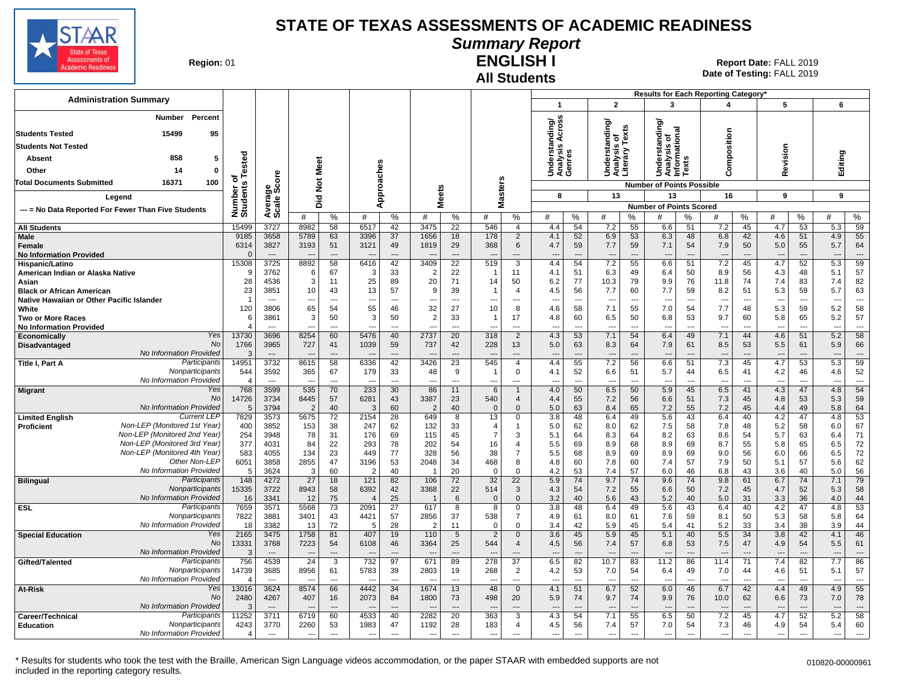

#### **Summary Report**

**Region: 01** 

#### **All Students ENGLISH I**

| <b>Administration Summary</b>                                                 |                          |                                  |                                  |                                |                                  |                      |                                  |                      |                                 |                                  |                                 |                                |                                                 |                                |                                                          |                          | Results for Each Reporting Category' |                                |                                 |                      |                  |                                |
|-------------------------------------------------------------------------------|--------------------------|----------------------------------|----------------------------------|--------------------------------|----------------------------------|----------------------|----------------------------------|----------------------|---------------------------------|----------------------------------|---------------------------------|--------------------------------|-------------------------------------------------|--------------------------------|----------------------------------------------------------|--------------------------|--------------------------------------|--------------------------------|---------------------------------|----------------------|------------------|--------------------------------|
|                                                                               |                          |                                  |                                  |                                |                                  |                      |                                  |                      |                                 |                                  | $\mathbf 1$                     |                                | $\overline{2}$                                  |                                | 3                                                        |                          | 4                                    |                                | 5                               |                      | 6                |                                |
| <b>Number</b><br>Percent                                                      |                          |                                  |                                  |                                |                                  |                      |                                  |                      |                                 |                                  | iding/<br>Across                |                                |                                                 |                                |                                                          |                          |                                      |                                |                                 |                      |                  |                                |
| <b>Students Tested</b><br>15499<br>95                                         |                          |                                  |                                  |                                |                                  |                      |                                  |                      |                                 |                                  |                                 |                                | Understanding/<br>Analysis of<br>Literary Texts |                                | tanding<br>Understanding<br>Analysis of<br>Informational |                          |                                      |                                |                                 |                      |                  |                                |
| <b>Students Not Tested</b>                                                    |                          |                                  |                                  |                                |                                  |                      |                                  |                      |                                 |                                  | ∢<br>es<br>≌                    |                                |                                                 |                                |                                                          |                          | Composition                          |                                |                                 |                      |                  |                                |
| 858<br>5<br>Absent                                                            |                          |                                  |                                  |                                |                                  |                      |                                  |                      |                                 |                                  | Underst<br>Analysis<br>Genres   |                                |                                                 |                                |                                                          | <b>SC</b>                |                                      |                                | Revision                        |                      | Editing          |                                |
| 14<br>Other<br>0                                                              | ested                    |                                  | Meet                             |                                |                                  |                      |                                  |                      |                                 |                                  |                                 |                                |                                                 |                                |                                                          | ā                        |                                      |                                |                                 |                      |                  |                                |
| <b>Total Documents Submitted</b><br>16371<br>100                              | ৳৺                       | core                             |                                  |                                |                                  |                      |                                  |                      |                                 |                                  |                                 |                                |                                                 |                                |                                                          |                          |                                      |                                |                                 |                      |                  |                                |
|                                                                               |                          |                                  |                                  | $\breve{\mathbf{z}}$           | pproaches                        |                      |                                  |                      |                                 |                                  | 8                               |                                | 13                                              |                                | <b>Number of Points Possible</b><br>13                   |                          | 16                                   |                                | 9                               |                      | 9                |                                |
| Legend                                                                        | Number of<br>Students    | Average<br>Scale Sc              | $\overline{2}$<br>ة              |                                | ⋖                                |                      | <b>Meets</b>                     |                      |                                 | <b>Masters</b>                   |                                 |                                |                                                 |                                | <b>Number of Points Scored</b>                           |                          |                                      |                                |                                 |                      |                  |                                |
| --- = No Data Reported For Fewer Than Five Students                           |                          |                                  | #                                | $\%$                           | #                                | %                    | #                                | %                    | #                               | ℅                                | #                               | $\%$                           | #                                               | %                              | #                                                        | ℅                        | #                                    | $\%$                           | #                               | ℅                    | #                | ℅                              |
| <b>All Students</b>                                                           | 15499                    | 3727                             | 8982                             | 58                             | 6517                             | 42                   | 3475                             | 22                   | 546                             | $\overline{4}$                   | 4.4                             | 54                             | 7.2                                             | 55                             | 6.6                                                      | 51                       | 7.2                                  | 45                             | 4.7                             | 53                   | 5.3              | 59                             |
| <b>Male</b>                                                                   | 9185                     | 3658                             | 5789                             | 63                             | 3396                             | 37                   | 1656                             | 18                   | 178                             | $\overline{2}$                   | 4.1                             | 52                             | 6.9                                             | 53                             | 6.3                                                      | 48                       | 6.8                                  | 42                             | 4.6                             | 51                   | 4.9              | 55                             |
| Female<br><b>No Information Provided</b>                                      | 6314                     | 3827<br>$---$                    | 3193<br>$\overline{\phantom{a}}$ | 51<br>$---$                    | 3121<br>$\overline{\phantom{a}}$ | 49<br>$\overline{a}$ | 1819<br>$\overline{\phantom{a}}$ | 29<br>$\sim$         | 368<br>$\overline{a}$           | 6<br>---                         | 4.7<br>$---$                    | 59<br>$\overline{\phantom{a}}$ | 7.7<br>$\overline{\phantom{a}}$                 | 59<br>$\overline{\phantom{a}}$ | 7.1<br>$\overline{\phantom{a}}$                          | 54<br>$\overline{a}$     | 7.9<br>$\overline{\phantom{a}}$      | 50<br>$---$                    | 5.0<br>$\overline{\phantom{a}}$ | 55<br>$\overline{a}$ | 5.7<br>---       | 64<br>$\overline{a}$           |
| Hispanic/Latino                                                               | 15308                    | 3725                             | 8892                             | 58                             | 6416                             | 42                   | 3409                             | $\overline{22}$      | 519                             | $\overline{3}$                   | 4.4                             | 54                             | 7.2                                             | 55                             | 6.6                                                      | 51                       | 7.2                                  | 45                             | 4.7                             | 52                   | 5.3              | 59                             |
| American Indian or Alaska Native                                              | ٩                        | 3762                             | 6                                | 67                             | -3                               | 33                   | $\overline{2}$                   | 22                   |                                 | 11                               | 4.1                             | 51                             | 6.3                                             | 49                             | 6.4                                                      | 50                       | 8.9                                  | 56                             | 4.3                             | 48                   | 5.1              | 57                             |
| Asian                                                                         | 28                       | 4536                             | 3                                | 11                             | 25                               | 89                   | 20                               | 71                   | 14                              | 50                               | 6.2                             | 77                             | 10.3                                            | 79                             | 9.9                                                      | 76                       | 11.8                                 | 74                             | 7.4                             | 83                   | 7.4              | 82                             |
| <b>Black or African American</b><br>Native Hawaiian or Other Pacific Islander | 23<br>-1                 | 3851<br>$\overline{a}$           | 10<br>$\overline{a}$             | 43<br>$\overline{a}$           | 13<br>$\overline{a}$             | 57<br>$\overline{a}$ | 9<br>---                         | 39<br>$\overline{a}$ | -1<br>---                       | $\overline{4}$<br>$\overline{a}$ | 4.5<br>$\sim$                   | 56<br>$\sim$                   | 7.7<br>$\overline{\phantom{a}}$                 | 60<br>$---$                    | 7.7<br>$\overline{a}$                                    | 59<br>$\sim$             | 8.2<br>$\overline{a}$                | 51<br>$\overline{\phantom{a}}$ | 5.3<br>$\overline{\phantom{a}}$ | 59<br>$\overline{a}$ | 5.7<br>---       | 63<br>$\overline{\phantom{a}}$ |
| White                                                                         | 120                      | 3806                             | 65                               | 54                             | 55                               | 46                   | 32                               | 27                   | 10                              | 8                                | 4.6                             | 58                             | 7.1                                             | 55                             | 7.0                                                      | 54                       | 7.7                                  | 48                             | 5.3                             | 59                   | 5.2              | 58                             |
| <b>Two or More Races</b>                                                      | 6                        | 3861                             | 3                                | 50                             | 3                                | 50                   | $\overline{2}$                   | 33                   | -1                              | 17                               | 4.8                             | 60                             | 6.5                                             | 50                             | 6.8                                                      | 53                       | 9.7                                  | 60                             | 5.8                             | 65                   | 5.2              | 57                             |
| <b>No Information Provided</b>                                                |                          | $\overline{a}$                   | ---                              | $\sim$                         |                                  | $\overline{a}$       | ---                              | $\overline{a}$       |                                 | ---                              | $\overline{\phantom{a}}$        | $\overline{\phantom{a}}$       | $\overline{\phantom{a}}$                        | $\overline{a}$                 | $\overline{a}$                                           | ---                      | $\overline{a}$                       | $\overline{\phantom{a}}$       | $\overline{\phantom{a}}$        | $\overline{a}$       | ---              | $\sim$                         |
| Yes<br>Economically<br>No<br>Disadvantaged                                    | 13730<br>1766            | 3696<br>3965                     | 8254<br>727                      | 60<br>41                       | 5476<br>1039                     | 40<br>59             | 2737<br>737                      | 20<br>42             | 318<br>228                      | $\overline{2}$<br>13             | 4.3<br>5.0                      | 53<br>63                       | 7.1<br>8.3                                      | 54<br>64                       | 6.4<br>7.9                                               | 49<br>61                 | 7.1<br>8.5                           | 44<br>53                       | 4.6<br>5.5                      | 51<br>61             | 5.2<br>5.9       | 58<br>66                       |
| No Information Provided                                                       |                          |                                  |                                  | $\overline{a}$                 |                                  |                      |                                  |                      |                                 | ---                              |                                 | $\overline{\phantom{a}}$       |                                                 | $\overline{a}$                 |                                                          |                          |                                      | ---                            |                                 |                      | ---              | $\overline{\phantom{a}}$       |
| Participants<br>Title I, Part A                                               | 14951                    | 3732                             | 8615                             | 58                             | 6336                             | 42                   | 3426                             | 23                   | 545                             | $\overline{4}$                   | 4.4                             | 55                             | 7.2                                             | 56                             | 6.6                                                      | 51                       | 7.3                                  | 45                             | 4.7                             | 53                   | $\overline{5.3}$ | 59                             |
| Nonparticipants<br>No Information Provided                                    | 544                      | 3592                             | 365                              | 67                             | 179                              | 33                   | 48                               | 9                    | $\overline{\phantom{a}}$        | $\mathbf 0$                      | 4.1                             | 52                             | 6.6                                             | 51                             | 5.7                                                      | 44                       | 6.5                                  | 41                             | 4.2                             | 46                   | 4.6              | 52                             |
| Yes<br><b>Migrant</b>                                                         | 768                      | $---$<br>3599                    | $\overline{\phantom{a}}$<br>535  | $\overline{\phantom{a}}$<br>70 | $\sim$<br>233                    | $\overline{a}$<br>30 | ---<br>86                        | $\overline{a}$<br>11 | ---<br>$6\phantom{1}$           | ---<br>$\overline{1}$            | $\overline{\phantom{a}}$<br>4.0 | $\overline{a}$<br>50           | ---<br>6.5                                      | $\overline{\phantom{a}}$<br>50 | ---<br>5.9                                               | $\overline{a}$<br>45     | $\overline{a}$<br>6.5                | ---<br>41                      | $\overline{\phantom{a}}$<br>4.3 | $\overline{a}$<br>47 | ---<br>4.8       | $\hspace{0.05cm} \ldots$<br>54 |
| No                                                                            | 14726                    | 3734                             | 8445                             | 57                             | 6281                             | 43                   | 3387                             | 23                   | 540                             | $\overline{4}$                   | 4.4                             | 55                             | 7.2                                             | 56                             | 6.6                                                      | 51                       | 7.3                                  | 45                             | 4.8                             | 53                   | 5.3              | 59                             |
| No Information Provided                                                       | 5                        | 3794                             | $\overline{2}$                   | 40                             | -3                               | 60                   | $\overline{2}$                   | 40                   | $\mathbf{0}$                    | $\mathbf{0}$                     | 5.0                             | 63                             | 8.4                                             | 65                             | 7.2                                                      | 55                       | 7.2                                  | 45                             | 4.4                             | 49                   | 5.8              | 64                             |
| <b>Current LEF</b><br><b>Limited English</b><br>Non-LEP (Monitored 1st Year)  | 7829<br>400              | 3573<br>3852                     | 5675                             | $\overline{72}$                | 2154<br>247                      | 28<br>62             | 649<br>132                       | 8                    | 13<br>$\overline{4}$            | $\Omega$<br>1                    | 3.8<br>5.0                      | 48<br>62                       | 6.4<br>8.0                                      | 49<br>62                       | 5.6<br>7.5                                               | 43<br>58                 | 6.4                                  | 40<br>48                       | 4.2                             | 47<br>58             | 4.8<br>6.0       | 53<br>67                       |
| <b>Proficient</b><br>Non-LEP (Monitored 2nd Year)                             | 254                      | 3948                             | 153<br>78                        | 38<br>31                       | 176                              | 69                   | 115                              | 33<br>45             | $\overline{7}$                  | 3                                | 5.1                             | 64                             | 8.3                                             | 64                             | 8.2                                                      | 63                       | 7.8<br>8.6                           | 54                             | 5.2<br>5.7                      | 63                   | 6.4              | 71                             |
| Non-LEP (Monitored 3rd Year)                                                  | 377                      | 4031                             | 84                               | 22                             | 293                              | 78                   | 202                              | 54                   | 16                              | $\overline{4}$                   | 5.5                             | 69                             | 8.9                                             | 68                             | 8.9                                                      | 69                       | 8.7                                  | 55                             | 5.8                             | 65                   | 6.5              | 72                             |
| Non-LEP (Monitored 4th Year)                                                  | 583                      | 4055                             | 134                              | 23                             | 449                              | 77                   | 328                              | 56                   | 38                              | $\overline{7}$                   | 5.5                             | 68                             | 8.9                                             | 69                             | 8.9                                                      | 69                       | 9.0                                  | 56                             | 6.0                             | 66                   | 6.5              | 72                             |
| Other Non-LEP<br>No Information Provided                                      | 6051                     | 3858                             | 2855                             | 47                             | 3196                             | 53                   | 2048                             | 34                   | 468<br>$\Omega$                 | 8                                | 4.8                             | 60                             | 7.8                                             | 60                             | 7.4                                                      | 57                       | 7.9                                  | 50                             | 5.1                             | 57                   | 5.6              | 62                             |
| Participants<br><b>Bilingual</b>                                              | 5<br>148                 | 3624<br>4272                     | 3<br>27                          | 60<br>18                       | $\overline{2}$<br>121            | 40<br>82             | 106                              | 20<br>72             | 32                              | $\Omega$<br>22                   | 4.2<br>5.9                      | 53<br>74                       | 7.4<br>9.7                                      | 57<br>74                       | 6.0<br>9.6                                               | 46<br>74                 | 6.8<br>9.8                           | 43<br>61                       | 3.6<br>6.7                      | 40<br>74             | 5.0<br>7.1       | 56<br>79                       |
| Nonparticipants                                                               | 15335                    | 3722                             | 8943                             | 58                             | 6392                             | 42                   | 3368                             | 22                   | 514                             | $\mathbf{3}$                     | 4.3                             | 54                             | 7.2                                             | 55                             | 6.6                                                      | 50                       | 7.2                                  | 45                             | 4.7                             | 52                   | 5.3              | 58                             |
| No Information Provided                                                       | 16                       | 3341                             | 12                               | 75                             |                                  | 25                   |                                  | 6                    | $\Omega$                        | $\mathbf{0}$                     | 3.2                             | 40                             | 5.6                                             | 43                             | 5.2                                                      | 40                       | 5.0                                  | 31                             | 3.3                             | 36                   | 4.0              | 44                             |
| Participants<br><b>ESL</b><br>Nonparticipants                                 | 7659                     | 3571                             | 5568                             | 73                             | 2091                             | $\overline{27}$      | 617                              | $\overline{8}$       | 8                               | 0                                | 3.8                             | 48                             | 6.4                                             | 49                             | 5.6                                                      | 43                       | 6.4                                  | 40                             | 4.2                             | 47                   | 4.8              | 53                             |
| No Information Provided                                                       | 7822<br>18               | 3881<br>3382                     | 3401<br>13                       | 43<br>72                       | 4421<br>-5                       | 57<br>28             | 2856<br>$\overline{2}$           | 37<br>11             | 538<br>$\Omega$                 | $\overline{7}$<br>$\Omega$       | 4.9<br>3.4                      | 61<br>42                       | 8.0<br>5.9                                      | 61<br>45                       | 7.6<br>5.4                                               | 59<br>41                 | 8.1<br>5.2                           | 50<br>33                       | 5.3<br>3.4                      | 58<br>38             | 5.8<br>3.9       | 64<br>44                       |
| Yes<br><b>Special Education</b>                                               | 2165                     | 3475                             | 1758                             | 81                             | 407                              | 19                   | 110                              | $\sqrt{5}$           | 2                               | $\Omega$                         | 3.6                             | 45                             | 5.9                                             | 45                             | 5.1                                                      | 40                       | 5.5                                  | 34                             | 3.8                             | 42                   | 4.1              | 46                             |
| No                                                                            | 13331                    | 3768                             | 7223                             | 54                             | 6108                             | 46                   | 3364                             | 25                   | 544                             | $\overline{4}$                   | 4.5                             | 56                             | 7.4                                             | 57                             | 6.8                                                      | 53                       | 7.5                                  | 47                             | 4.9                             | 54                   | 5.5              | 61                             |
| No Information Provided<br>Participants                                       | 3<br>756                 | 4539                             | $\overline{24}$                  | $---$<br>$\overline{3}$        | $\overline{732}$                 | $\overline{97}$      | 671                              | 89                   | 278                             | ---<br>$\overline{37}$           | 6.5                             | $\overline{\phantom{a}}$<br>82 | $\overline{\phantom{a}}$<br>10.7                | $\overline{\phantom{a}}$<br>83 | 11.2                                                     | 86                       | 11.4                                 | ---<br>$\overline{71}$         | 7.4                             | $\overline{82}$      | ÷÷<br>7.7        | $\overline{a}$<br>86           |
| Gifted/Talented<br>Nonparticipants                                            | 14739                    | 3685                             | 8956                             | 61                             | 5783                             | 39                   | 2803                             | 19                   | 268                             | $\overline{2}$                   | 4.2                             | 53                             | 7.0                                             | 54                             | 6.4                                                      | 49                       | 7.0                                  | 44                             | 4.6                             | 51                   | 5.1              | 57                             |
| No Information Provided                                                       | $\boldsymbol{\varDelta}$ | $\overline{\phantom{a}}$         |                                  | $\overline{a}$                 |                                  | $\overline{a}$       |                                  | $\sim$               |                                 | ---                              | $\overline{a}$                  | $\overline{a}$                 |                                                 | $\overline{a}$                 | ---                                                      | $\sim$                   |                                      | $\overline{a}$                 | $\overline{\phantom{a}}$        | $\overline{a}$       | ---              | $---$                          |
| Yes<br>At-Risk                                                                | 13016                    | 3624                             | 8574                             | 66                             | 4442                             | 34                   | 1674                             | 13                   | 48                              | $\mathbf{0}$                     | 4.1                             | 51                             | 6.7                                             | 52                             | 6.0                                                      | 46                       | 6.7                                  | 42                             | 4.4                             | 49                   | 4.9              | 55                             |
| No<br>No Information Provided                                                 | 2480                     | 4267                             | 407                              | 16                             | 2073                             | 84                   | 1800                             | 73                   | 498                             | 20                               | 5.9                             | 74                             | 9.7                                             | 74                             | 9.9                                                      | 76                       | 10.0                                 | 62                             | 6.6                             | 73                   | 7.0              | 78<br>$---$                    |
| Participants<br>Career/Technical                                              | 11252                    | $\overline{\phantom{a}}$<br>3711 | 6719                             | $---$<br>60                    | 4533                             | $---$<br>40          | 2282                             | $---$<br>20          | $\overline{\phantom{a}}$<br>363 | $---$<br>3                       | $---$<br>4.3                    | $\overline{\phantom{a}}$<br>54 | $\overline{\phantom{a}}$<br>7.1                 | $---$<br>55                    | ---<br>6.5                                               | $---$<br>50              | 7.2                                  | $---$<br>45                    | $- -$<br>4.7                    | $\overline{a}$<br>52 | ---<br>5.2       | 58                             |
| Nonparticipants<br><b>Education</b>                                           | 4243                     | 3770                             | 2260                             | 53                             | 1983                             | 47                   | 1192                             | 28                   | 183                             | $\overline{4}$                   | 4.5                             | 56                             | 7.4                                             | 57                             | 7.0                                                      | 54                       | 7.3                                  | 46                             | 4.9                             | 54                   | 5.4              | 60                             |
| No Information Provided                                                       | $\overline{4}$           | $\overline{\phantom{a}}$         | $\overline{a}$                   | ---                            | $\overline{\phantom{a}}$         | ---                  | $\overline{\phantom{a}}$         | $\sim$               | $\overline{\phantom{a}}$        | $\overline{a}$                   | $\sim$                          | $\sim$                         | $\sim$                                          | $\overline{a}$                 | $\overline{\phantom{a}}$                                 | $\overline{\phantom{a}}$ | $\sim$                               | $\overline{a}$                 | ---                             | $\overline{a}$       | ---              | $\overline{\phantom{a}}$       |
|                                                                               |                          |                                  |                                  |                                |                                  |                      |                                  |                      |                                 |                                  |                                 |                                |                                                 |                                |                                                          |                          |                                      |                                |                                 |                      |                  |                                |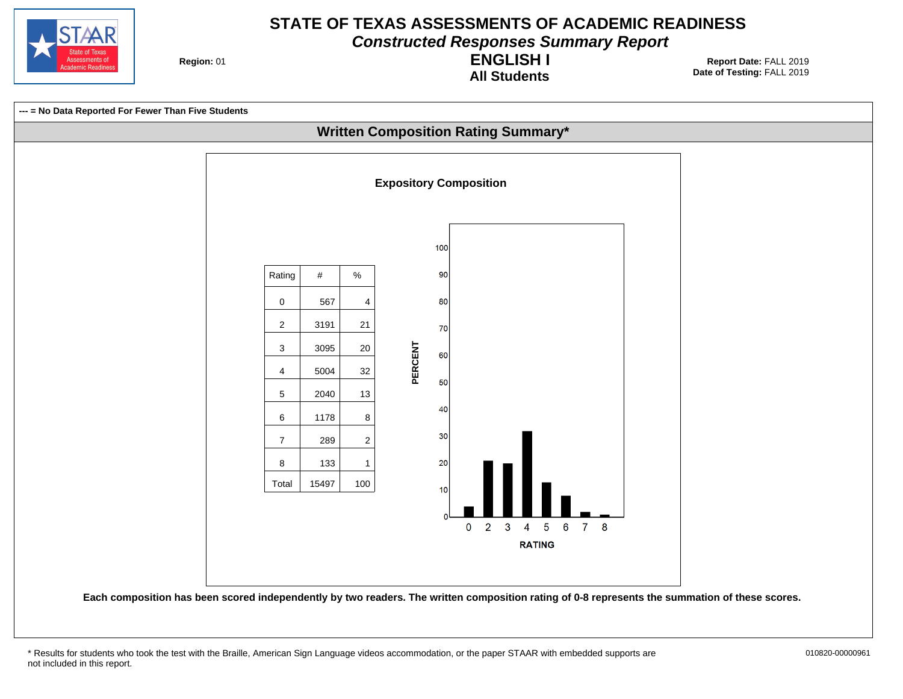

**Constructed Responses Summary Report**

**Region: 01** 

**All Students ENGLISH I**



<sup>\*</sup> Results for students who took the test with the Braille, American Sign Language videos accommodation, or the paper STAAR with embedded supports are 010820-00000961 not included in this report.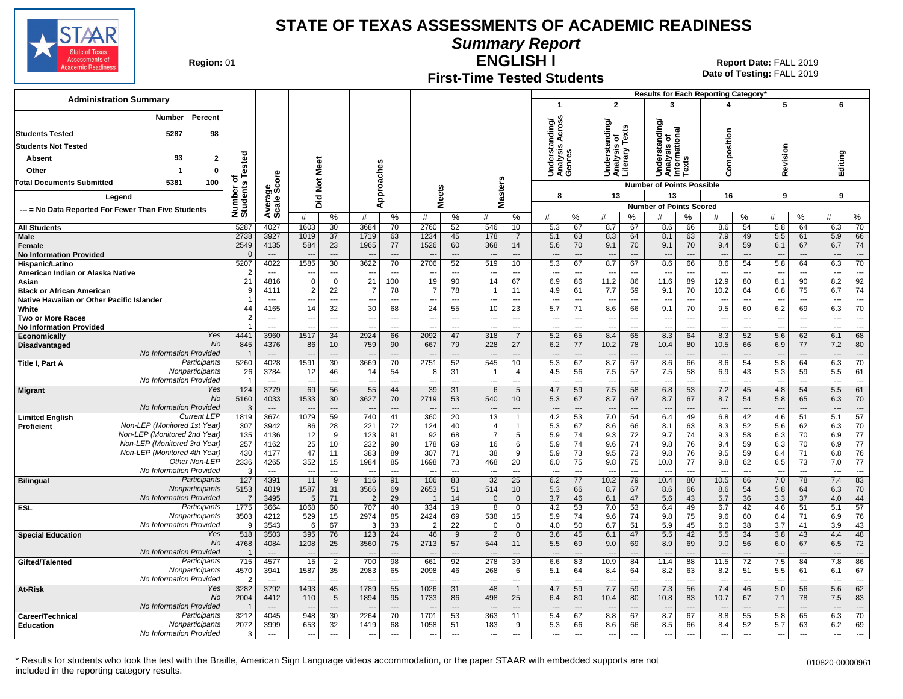

**Summary Report**

**Region: 01** 

#### **First-Time Tested Students ENGLISH I**

**Date of Testing:**  FALL 2019 01 **Report Date:** FALL 2019

| <b>Administration Summary</b>                                                |                              |                                  |                          |                                  |                          |                          |                                |                          |                                  |                                |                                                       |                                |                                                 |                                |                                                   |                                | Results for Each Reporting Category' |                                |                                 |                                |                          |                      |
|------------------------------------------------------------------------------|------------------------------|----------------------------------|--------------------------|----------------------------------|--------------------------|--------------------------|--------------------------------|--------------------------|----------------------------------|--------------------------------|-------------------------------------------------------|--------------------------------|-------------------------------------------------|--------------------------------|---------------------------------------------------|--------------------------------|--------------------------------------|--------------------------------|---------------------------------|--------------------------------|--------------------------|----------------------|
|                                                                              |                              |                                  |                          |                                  |                          |                          |                                |                          |                                  |                                | $\mathbf{1}$                                          |                                | $\overline{2}$                                  |                                | 3                                                 |                                | 4                                    |                                | 5                               |                                | 6                        |                      |
| Percent<br>Number                                                            |                              |                                  |                          |                                  |                          |                          |                                |                          |                                  |                                |                                                       |                                |                                                 |                                | টা                                                |                                |                                      |                                |                                 |                                |                          |                      |
| 5287<br><b>Students Tested</b><br>98                                         |                              |                                  |                          |                                  |                          |                          |                                |                          |                                  |                                | Across<br>Understanding/<br>Analysis Across<br>Genres |                                | Understanding/<br>Analysis of<br>Literary Texts |                                | tandin<br>onal                                    |                                |                                      |                                |                                 |                                |                          |                      |
| <b>Students Not Tested</b>                                                   |                              |                                  |                          |                                  |                          |                          |                                |                          |                                  |                                |                                                       |                                |                                                 |                                | ō<br>w                                            |                                | omposition                           |                                |                                 |                                |                          |                      |
| 93<br>$\mathbf{2}$<br>Absent                                                 |                              |                                  |                          |                                  |                          |                          |                                |                          |                                  |                                |                                                       |                                |                                                 |                                | rmatio<br>Underst<br>Analysis<br>Informa<br>Texts |                                |                                      |                                | Revision                        |                                | Editing                  |                      |
| Other<br>$\mathbf 0$                                                         |                              |                                  |                          |                                  |                          |                          |                                |                          |                                  |                                |                                                       |                                |                                                 |                                |                                                   |                                |                                      |                                |                                 |                                |                          |                      |
| 5381<br>100<br><b>Total Documents Submitted</b>                              |                              |                                  | <b>Not Meet</b>          |                                  |                          |                          |                                |                          |                                  |                                |                                                       |                                |                                                 |                                |                                                   |                                | $\epsilon$                           |                                |                                 |                                |                          |                      |
|                                                                              | Number of<br>Students Tested |                                  |                          |                                  |                          | Approaches               | <b>Meets</b>                   |                          | asters                           |                                | 8                                                     |                                | 13                                              |                                | <b>Number of Points Possible</b><br>13            |                                | 16                                   |                                | 9                               |                                | 9                        |                      |
| Legend                                                                       |                              |                                  | id<br>O                  |                                  |                          |                          |                                |                          | Σ                                |                                |                                                       |                                |                                                 |                                | <b>Number of Points Scored</b>                    |                                |                                      |                                |                                 |                                |                          |                      |
| --- = No Data Reported For Fewer Than Five Students                          |                              | Average<br>Scale Score           | #                        | %                                | #                        | %                        | #                              | %                        | #                                | %                              | #                                                     | %                              | #                                               | %                              |                                                   | %                              | #                                    | %                              | #                               | %                              | #                        | ℅                    |
| <b>All Students</b>                                                          | 5287                         | 4027                             | 1603                     | 30                               | 3684                     | 70                       | 2760                           | 52                       | 546                              | 10                             | 5.3                                                   | 67                             | 8.7                                             | 67                             | 8.6                                               | 66                             | 8.6                                  | 54                             | 5.8                             | 64                             | 6.3                      | 70                   |
| Male                                                                         | 2738                         | 3927                             | 1019                     | 37                               | 1719                     | 63                       | 1234                           | 45                       | 178                              | $\overline{7}$                 | 5.1                                                   | 63                             | 8.3                                             | 64                             | 8.1                                               | 63                             | 7.9                                  | 49                             | 5.5                             | 61                             | 5.9                      | 66                   |
| Female<br><b>No Information Provided</b>                                     | 2549<br>$\Omega$             | 4135<br>$\overline{\phantom{a}}$ | 584<br>$\sim$            | 23<br>$\sim$                     | 1965                     | 77<br>---                | 1526                           | 60<br>$---$              | 368<br>--                        | 14<br>---                      | 5.6<br>$\overline{\phantom{a}}$                       | 70<br>$\overline{a}$           | 9.1<br>$\overline{\phantom{a}}$                 | 70<br>$\overline{\phantom{a}}$ | 9.1<br>$\overline{\phantom{a}}$                   | 70<br>$\overline{\phantom{a}}$ | 9.4<br>$\overline{\phantom{a}}$      | 59<br>$\overline{\phantom{a}}$ | 6.1<br>$\overline{\phantom{a}}$ | 67<br>$\overline{\phantom{a}}$ | 6.7<br>$\overline{a}$    | 74<br>$\overline{a}$ |
| Hispanic/Latino                                                              | 5207                         | 4022                             | 1585                     | 30                               | 3622                     | 70                       | 2706                           | 52                       | 519                              | 10                             | 5.3                                                   | 67                             | 8.7                                             | 67                             | 8.6                                               | 66                             | 8.6                                  | 54                             | 5.8                             | 64                             | 6.3                      | 70                   |
| American Indian or Alaska Native                                             | 2                            | $\overline{\phantom{a}}$         | ---                      | $\overline{a}$                   | $\overline{\phantom{a}}$ | $\overline{\phantom{a}}$ | $\overline{\phantom{a}}$       | $\overline{\phantom{a}}$ | ---                              | $\overline{a}$                 | ---                                                   | $\overline{\phantom{a}}$       | $\overline{\phantom{a}}$                        | $\overline{\phantom{a}}$       | ---                                               | ---                            | $\overline{\phantom{a}}$             | ---                            | $\overline{\phantom{a}}$        | $\overline{\phantom{a}}$       | $\overline{\phantom{a}}$ |                      |
| Asian                                                                        | 21                           | 4816                             | $\mathbf 0$              | $\mathbf 0$                      | 21                       | 100                      | 19                             | 90                       | 14                               | 67                             | 6.9                                                   | 86                             | 11.2                                            | 86                             | 11.6                                              | 89                             | 12.9                                 | 80                             | 8.1                             | 90                             | 8.2                      | 92                   |
| <b>Black or African American</b>                                             | $\mathbf 1$                  | 4111<br>$\overline{\phantom{a}}$ | $\overline{2}$<br>---    | 22<br>$\overline{a}$             | 7<br>---                 | 78<br>$\overline{a}$     | $\overline{\phantom{a}}$       | 78<br>$\overline{a}$     | -1<br>---                        | 11<br>$\overline{\phantom{a}}$ | 4.9<br>---                                            | 61<br>---                      | 7.7<br>$\overline{\phantom{a}}$                 | 59<br>$\overline{a}$           | 9.1<br>$\overline{a}$                             | 70<br>$\overline{\phantom{a}}$ | 10.2<br>$\overline{a}$               | 64<br>$\overline{\phantom{a}}$ | 6.8<br>$\overline{a}$           | 75<br>$\overline{a}$           | 6.7                      | 74<br>$\overline{a}$ |
| Native Hawaiian or Other Pacific Islander<br>White                           | 44                           | 4165                             | 14                       | 32                               | 30                       | 68                       | 24                             | 55                       | 10                               | 23                             | 5.7                                                   | 71                             | 8.6                                             | 66                             | 9.1                                               | 70                             | 9.5                                  | 60                             | 6.2                             | 69                             | ---<br>6.3               | 70                   |
| Two or More Races                                                            | $\overline{2}$               | $---$                            | ---                      | $\overline{a}$                   |                          | $\overline{a}$           | --                             | $\overline{a}$           | ---                              | $\sim$                         | $\overline{\phantom{a}}$                              | $\overline{\phantom{a}}$       | $\overline{\phantom{a}}$                        | $---$                          | $\overline{\phantom{a}}$                          | $\sim$                         | $\overline{\phantom{a}}$             | $\overline{\phantom{a}}$       | $\sim$                          | $\overline{\phantom{a}}$       | ---                      | $\overline{a}$       |
| <b>No Information Provided</b>                                               |                              | $\sim$                           | $\overline{\phantom{a}}$ | $\overline{a}$                   | $\overline{a}$           | ---                      | $\sim$                         | $\overline{a}$           | ---                              | $\overline{a}$                 | $\overline{a}$                                        | $\overline{a}$                 | $\overline{\phantom{a}}$                        | $\overline{a}$                 | $\overline{a}$                                    | $\overline{a}$                 | $\overline{a}$                       | $\overline{\phantom{a}}$       | $\overline{\phantom{a}}$        | $\sim$                         | ---                      | $\overline{a}$       |
| Yes<br>Economically<br>No<br><b>Disadvantaged</b>                            | 4441<br>845                  | 3960<br>4376                     | 1517<br>86               | 34<br>10                         | 2924<br>759              | 66<br>90                 | 2092<br>667                    | 47<br>79                 | 318<br>228                       | $\overline{7}$<br>27           | 5.2<br>6.2                                            | 65<br>77                       | 8.4<br>10.2                                     | 65<br>78                       | 8.3<br>10.4                                       | 64<br>80                       | 8.3<br>10.5                          | 52<br>66                       | 5.6<br>6.9                      | 62<br>77                       | 6.1<br>7.2               | 68<br>80             |
| No Information Provided                                                      |                              |                                  |                          | $\overline{a}$                   |                          |                          |                                |                          |                                  | ---                            | $-$                                                   |                                | $\overline{\phantom{a}}$                        | $\overline{a}$                 |                                                   |                                | $\overline{a}$                       | $\overline{\phantom{a}}$       | $\overline{\phantom{a}}$        |                                | $\overline{a}$           | $\overline{a}$       |
| Participants<br>Title I, Part A                                              | 5260                         | 4028                             | 1591                     | 30                               | 3669                     | 70                       | 2751                           | 52                       | 545                              | 10                             | 5.3                                                   | 67                             | 8.7                                             | 67                             | 8.6                                               | 66                             | 8.6                                  | 54                             | 5.8                             | 64                             | 6.3                      | 70                   |
| Nonparticipants                                                              | 26                           | 3784                             | 12                       | 46                               | 14                       | 54                       | 8                              | 31                       |                                  | $\overline{4}$                 | 4.5                                                   | 56                             | 7.5                                             | 57                             | 7.5                                               | 58                             | 6.9                                  | 43                             | 5.3                             | 59                             | 5.5                      | 61                   |
| No Information Provided<br>Yes<br><b>Migrant</b>                             | $\overline{1}$<br>124        | $\overline{a}$<br>3779           | ---<br>69                | ---<br>56                        | ---<br>55                | ---<br>44                | $\overline{\phantom{a}}$<br>39 | $\overline{a}$<br>31     | -−∙<br>6                         | ---<br>$5\phantom{1}$          | ---<br>4.7                                            | ---<br>59                      | ---<br>7.5                                      | $\overline{a}$<br>58           | $\overline{\phantom{a}}$<br>6.8                   | ---<br>53                      | $\overline{a}$<br>7.2                | $\overline{a}$<br>45           | $\overline{a}$<br>4.8           | ---<br>54                      | ---<br>5.5               | $\overline{a}$<br>61 |
| No                                                                           | 5160                         | 4033                             | 1533                     | 30                               | 3627                     | 70                       | 2719                           | 53                       | 540                              | 10                             | 5.3                                                   | 67                             | 8.7                                             | 67                             | 8.7                                               | 67                             | 8.7                                  | 54                             | 5.8                             | 65                             | 6.3                      | 70                   |
| No Information Provided                                                      | 3                            | $\overline{\phantom{a}}$         |                          | $\overline{a}$                   |                          |                          |                                |                          |                                  | $\overline{a}$                 | $\overline{a}$                                        | ---                            |                                                 |                                |                                                   |                                |                                      | $\overline{a}$                 | $\overline{\phantom{a}}$        | $\overline{a}$                 | $\overline{\phantom{a}}$ |                      |
| <b>Current LEP</b><br><b>Limited English</b><br>Non-LEP (Monitored 1st Year) | 1819                         | 3674                             | 1079                     | 59                               | 740                      | 41                       | 360                            | 20                       | 13                               | 1                              | 4.2                                                   | 53                             | 7.0                                             | 54                             | 6.4                                               | 49                             | 6.8                                  | 42                             | 4.6                             | 51                             | 5.1                      | 57                   |
| <b>Proficient</b><br>Non-LEP (Monitored 2nd Year)                            | 307<br>135                   | 3942<br>4136                     | 86<br>12                 | 28<br>9                          | 221<br>123               | 72<br>91                 | 124<br>92                      | 40<br>68                 | $\overline{4}$<br>$\overline{7}$ | $\mathbf{1}$<br>5              | 5.3<br>5.9                                            | 67<br>74                       | 8.6<br>9.3                                      | 66<br>72                       | 8.1<br>9.7                                        | 63<br>74                       | 8.3<br>9.3                           | 52<br>58                       | 5.6<br>6.3                      | 62<br>70                       | 6.3<br>6.9               | 70<br>77             |
| Non-LEP (Monitored 3rd Year)                                                 | 257                          | 4162                             | 25                       | 10                               | 232                      | 90                       | 178                            | 69                       | 16                               | 6                              | 5.9                                                   | 74                             | 9.6                                             | 74                             | 9.8                                               | 76                             | 9.4                                  | 59                             | 6.3                             | 70                             | 6.9                      | 77                   |
| Non-LEP (Monitored 4th Year)                                                 | 430                          | 4177                             | 47                       | 11                               | 383                      | 89                       | 307                            | 71                       | 38                               | 9                              | 5.9                                                   | 73                             | 9.5                                             | 73                             | 9.8                                               | 76                             | 9.5                                  | 59                             | 6.4                             | 71                             | 6.8                      | 76                   |
| Other Non-LEP<br>No Information Provided                                     | 2336                         | 4265                             | 352                      | 15                               | 1984                     | 85                       | 1698                           | 73                       | 468                              | 20                             | 6.0                                                   | 75                             | 9.8                                             | 75                             | 10.0                                              | 77                             | 9.8                                  | 62                             | 6.5                             | 73                             | 7.0                      | 77                   |
| Participants<br><b>Bilingual</b>                                             | 3<br>127                     | $\sim$<br>4391                   | ---<br>11                | $\overline{a}$<br>9              | 116                      | ---<br>91                | 106                            | $\overline{a}$<br>83     | ---<br>32                        | $\overline{a}$<br>25           | 6.2                                                   | $\overline{a}$<br>77           | 10.2                                            | $\overline{\phantom{a}}$<br>79 | 10.4                                              | $\overline{a}$<br>80           | 10.5                                 | $\overline{\phantom{a}}$<br>66 | 7.0                             | $---$<br>78                    | ---<br>7.4               | ---<br>83            |
| Nonparticipants                                                              | 5153                         | 4019                             | 1587                     | 31                               | 3566                     | 69                       | 2653                           | 51                       | 514                              | 10                             | 5.3                                                   | 66                             | 8.7                                             | 67                             | 8.6                                               | 66                             | 8.6                                  | 54                             | 5.8                             | 64                             | 6.3                      | 70                   |
| No Information Provided                                                      | $\overline{7}$               | 3495                             | 5                        | 71                               | $\overline{2}$           | 29                       |                                | 14                       | $\mathbf 0$                      | $\mathbf{0}$                   | 3.7                                                   | 46                             | 6.1                                             | 47                             | 5.6                                               | 43                             | 5.7                                  | 36                             | 3.3                             | 37                             | 4.0                      | 44                   |
| Participants<br><b>ESL</b><br>Nonparticipants                                | 1775<br>3503                 | 3664                             | 1068                     | 60                               | 707<br>2974              | 40                       | 334                            | 19                       | 8                                | $\mathbf 0$                    | 4.2                                                   | 53                             | 7.0                                             | 53                             | 6.4                                               | 49                             | 6.7                                  | 42                             | 4.6                             | 51                             | 5.1                      | 57                   |
| No Information Provided                                                      | g                            | 4212<br>3543                     | 529<br>6                 | 15<br>67                         | 3                        | 85<br>33                 | 2424                           | 69<br>22                 | 538<br>$\Omega$                  | 15<br>$\mathbf 0$              | 5.9<br>4.0                                            | 74<br>50                       | 9.6<br>6.7                                      | 74<br>51                       | 9.8<br>5.9                                        | 75<br>45                       | 9.6<br>6.0                           | 60<br>38                       | 6.4<br>3.7                      | 71<br>41                       | 6.9<br>3.9               | 76<br>43             |
| Yes<br><b>Special Education</b>                                              | 518                          | 3503                             | 395                      | 76                               | 123                      | 24                       | 46                             | 9                        | $\overline{2}$                   | $\mathbf 0$                    | 3.6                                                   | 45                             | 6.1                                             | 47                             | 5.5                                               | 42                             | 5.5                                  | 34                             | 3.8                             | 43                             | 4.4                      | 48                   |
| <b>No</b>                                                                    | 4768                         | 4084                             | 1208                     | 25                               | 3560                     | 75                       | 2713                           | 57                       | 544                              | 11                             | 5.5                                                   | 69                             | 9.0                                             | 69                             | 8.9                                               | 69                             | 9.0                                  | 56                             | 6.0                             | 67                             | 6.5                      | 72                   |
| No Information Provided<br>Participants                                      |                              | $\overline{\phantom{a}}$         | $\overline{\phantom{a}}$ | $\overline{a}$<br>$\overline{2}$ |                          |                          |                                |                          | --                               | $\overline{a}$                 | ---                                                   |                                | $\overline{\phantom{a}}$                        | ---                            | $\overline{\phantom{a}}$                          |                                | $\overline{\phantom{a}}$             | $\overline{\phantom{a}}$       | $\overline{\phantom{a}}$        |                                | $\overline{\phantom{a}}$ | ---                  |
| Gifted/Talented<br>Nonparticipants                                           | 715<br>4570                  | 4577<br>3941                     | 15<br>1587               | 35                               | 700<br>2983              | 98<br>65                 | 661<br>2098                    | 92<br>46                 | 278<br>268                       | 39<br>6                        | 6.6<br>5.1                                            | 83<br>64                       | 10.9<br>8.4                                     | 84<br>64                       | 11.4<br>8.2                                       | 88<br>63                       | 11.5<br>8.2                          | 72<br>51                       | 7.5<br>5.5                      | 84<br>61                       | 7.8<br>6.1               | 86<br>67             |
| No Information Provided                                                      | 2                            | $\sim$                           | $\sim$                   | $---$                            | $\overline{\phantom{a}}$ | $\overline{a}$           | --                             | $---$                    | ---                              | ---                            | $\overline{\phantom{a}}$                              | $\overline{a}$                 | $\overline{\phantom{a}}$                        | $\overline{a}$                 | $\sim$                                            | $\overline{a}$                 | $\overline{\phantom{a}}$             | $---$                          | $\overline{a}$                  | $\overline{\phantom{a}}$       | ---                      | $---$                |
| Yes<br>At-Risk                                                               | 3282                         | 3792                             | 1493                     | 45                               | 1789                     | 55                       | 1026                           | 31                       | 48                               | $\overline{1}$                 | 4.7                                                   | 59                             | 7.7                                             | 59                             | 7.3                                               | 56                             | 7.4                                  | 46                             | 5.0                             | 56                             | 5.6                      | 62                   |
| No                                                                           | 2004                         | 4412                             | 110                      | 5                                | 1894                     | 95                       | 1733                           | 86                       | 498                              | 25                             | 6.4                                                   | 80                             | 10.4                                            | 80                             | 10.8                                              | 83                             | 10.7                                 | 67                             | 7.1                             | 78                             | 7.5                      | 83                   |
| No Information Provided<br>Participants<br>Career/Technical                  | $\overline{1}$<br>3212       | $---$<br>4045                    | 948                      | $-$<br>30                        | 2264                     | 70                       | 1701                           | 53                       | 363                              | $\overline{\phantom{a}}$<br>11 | 5.4                                                   | $\overline{\phantom{a}}$<br>67 | 8.8                                             | 67                             | 8.7                                               | 67                             | 8.8                                  | 55                             | 5.8                             | 65                             | 6.3                      | 70                   |
| Nonparticipants<br><b>Education</b>                                          | 2072                         | 3999                             | 653                      | 32                               | 1419                     | 68                       | 1058                           | 51                       | 183                              | 9                              | 5.3                                                   | 66                             | 8.6                                             | 66                             | 8.5                                               | 66                             | 8.4                                  | 52                             | 5.7                             | 63                             | 6.2                      | 69                   |
| No Information Provided                                                      | 3                            | $\overline{a}$                   | $\overline{a}$           | $\overline{a}$                   |                          | ---                      | $\overline{\phantom{a}}$       | $\overline{a}$           | ---                              | ---                            | ---                                                   |                                | ---                                             | $\overline{a}$                 | $\overline{\phantom{a}}$                          | $\overline{a}$                 | ---                                  | $\overline{a}$                 | $\overline{a}$                  |                                | ---                      |                      |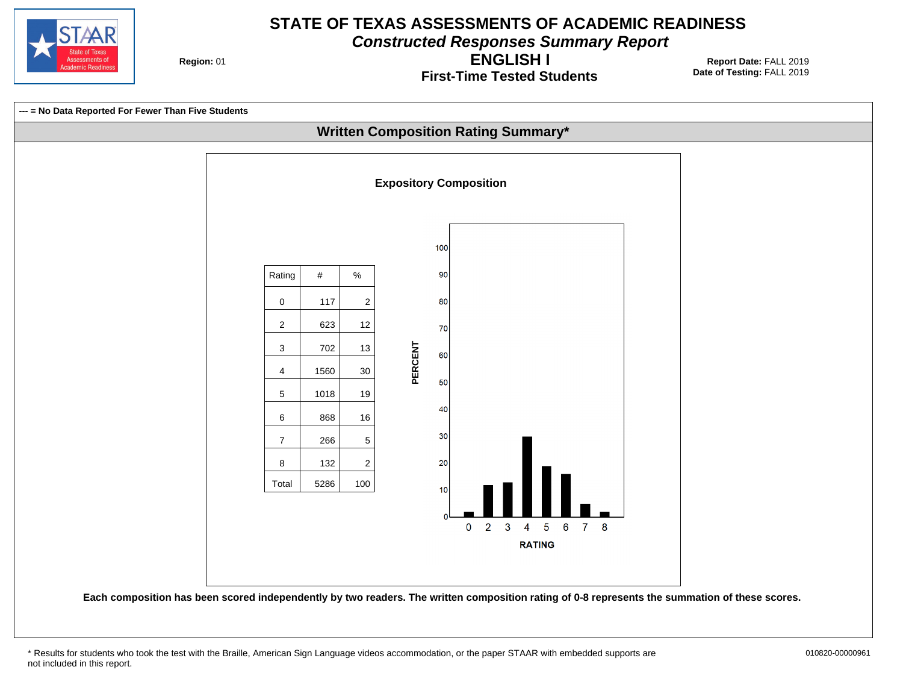

**Constructed Responses Summary Report**

**Region: 01** 

**First-Time Tested Students ENGLISH I**

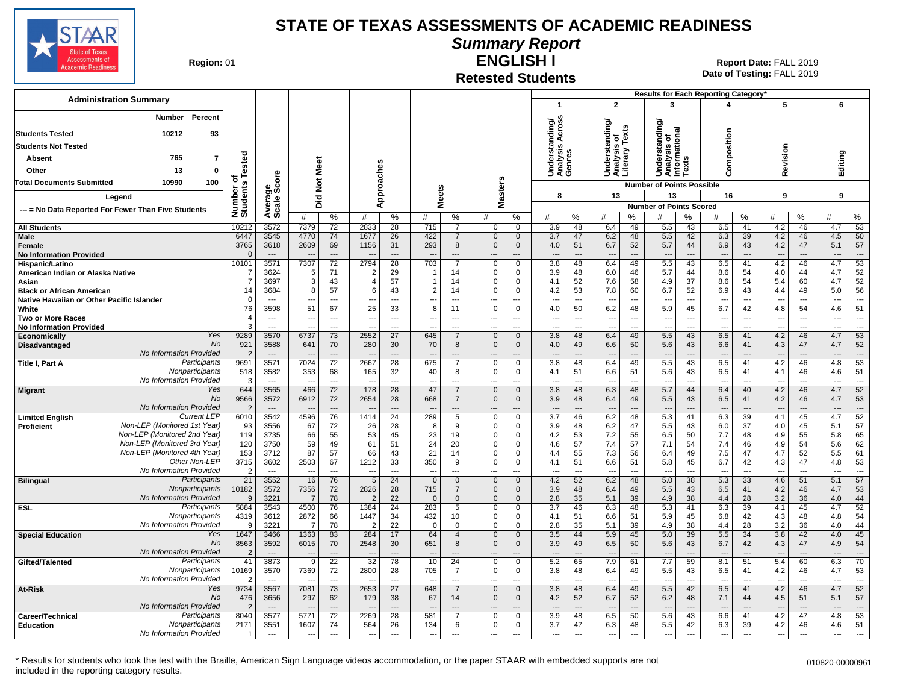

**Summary Report**

**Region: 01** 

#### **Retested Students ENGLISH I**

**Date of Testing:**  FALL 2019 01 **Report Date:** FALL 2019

|                                                                         |                        |                                  |                          |                       |                                  |                          |                                |                          |                               |                                |                                 |                          |                                 |                          | Results for Each Reporting Category*                              |                                |                          |                                |                                 |                                |            |                                |
|-------------------------------------------------------------------------|------------------------|----------------------------------|--------------------------|-----------------------|----------------------------------|--------------------------|--------------------------------|--------------------------|-------------------------------|--------------------------------|---------------------------------|--------------------------|---------------------------------|--------------------------|-------------------------------------------------------------------|--------------------------------|--------------------------|--------------------------------|---------------------------------|--------------------------------|------------|--------------------------------|
| <b>Administration Summary</b>                                           |                        |                                  |                          |                       |                                  |                          |                                |                          |                               |                                | $\mathbf 1$                     |                          | $\overline{2}$                  |                          | 3                                                                 |                                | 4                        |                                | 5                               |                                | 6          |                                |
| Percent<br>Number<br>10212<br><b>Students Tested</b><br>93              |                        |                                  |                          |                       |                                  |                          |                                |                          |                               |                                | nding/<br>Across                |                          | ding/<br>s of<br>Texts          |                          | tanding<br>Understanding<br>Analysis of<br>Informational<br>Texts |                                |                          |                                |                                 |                                |            |                                |
| <b>Students Not Tested</b>                                              |                        |                                  |                          |                       |                                  |                          |                                |                          |                               |                                | დ. ლ                            |                          | Ĕ                               |                          |                                                                   |                                | Composition              |                                |                                 |                                |            |                                |
| 765                                                                     |                        |                                  |                          |                       |                                  |                          |                                |                          |                               |                                | ទីខ្ទឹ                          |                          | ក្ខុនី<br>និង                   |                          |                                                                   |                                |                          |                                | Revision                        |                                |            |                                |
| Absent<br>7                                                             | Tested                 |                                  |                          | Meet                  |                                  |                          |                                |                          |                               |                                |                                 |                          |                                 |                          |                                                                   |                                |                          |                                |                                 |                                | Editing    |                                |
| 13<br>Other<br>0                                                        |                        | ទី                               |                          |                       |                                  |                          |                                |                          |                               |                                | 호로<br>국주                        |                          | <b>BEE</b><br>SEE               |                          |                                                                   |                                |                          |                                |                                 |                                |            |                                |
| 100<br><b>Total Documents Submitted</b><br>10990                        | $\circ$                | န္တီတိ                           |                          | $\frac{5}{2}$         |                                  | Approaches               |                                |                          |                               | <b>Masters</b>                 |                                 |                          |                                 |                          | <b>Number of Points Possible</b>                                  |                                |                          |                                |                                 |                                |            |                                |
| Legend                                                                  |                        |                                  |                          | 고                     |                                  |                          | <b>Meets</b>                   |                          |                               |                                | 8                               |                          | 13                              |                          | 13                                                                |                                | 16                       |                                | 9                               |                                | 9          |                                |
| --- = No Data Reported For Fewer Than Five Students                     | Number of<br>Students  | Avera<br>Scale                   |                          | ۵                     |                                  |                          |                                |                          |                               |                                |                                 |                          |                                 |                          | <b>Number of Points Scored</b>                                    |                                |                          |                                |                                 |                                |            |                                |
|                                                                         |                        |                                  | #                        | %                     | #                                | %                        | #                              | %                        | #                             | %                              | #                               | %                        | #                               | %                        | #                                                                 | %                              | #                        | %                              | #                               | %                              | #          | %                              |
| <b>All Students</b>                                                     | 10212                  | 3572                             | 7379                     | 72                    | 2833                             | 28                       | 715                            | 7                        | $\Omega$                      | $\mathbf 0$                    | 3.9                             | 48                       | 6.4                             | 49                       | 5.5                                                               | 43                             | 6.5                      | 41                             | 4.2                             | 46                             | 4.7        | 53                             |
| Male                                                                    | 6447                   | 3545                             | 4770                     | 74                    | 1677                             | 26                       | 422<br>293                     | 7<br>8                   | $\mathbf 0$<br>$\Omega$       | $\mathbf 0$                    | 3.7                             | 47                       | 6.2                             | 48                       | 5.5                                                               | 42<br>44                       | 6.3                      | 39                             | 4.2                             | 46<br>47                       | 4.5        | 50<br>57                       |
| Female<br><b>No Information Provided</b>                                | 3765<br>$\epsilon$     | 3618                             | 2609                     | 69<br>---             | 1156<br>$\overline{\phantom{a}}$ | 31<br>$\overline{a}$     |                                |                          | --                            | $\mathbf 0$<br>---             | 4.0<br>$\overline{a}$           | 51<br>$\overline{a}$     | 6.7<br>---                      | 52<br>---                | 5.7<br>---                                                        | ---                            | 6.9                      | 43<br>$\overline{\phantom{a}}$ | 4.2<br>$\overline{\phantom{a}}$ | $\overline{\phantom{a}}$       | 5.1<br>--- | $\overline{\phantom{a}}$       |
| Hispanic/Latino                                                         | 10101                  | 3571                             | 7307                     | 72                    | 2794                             | 28                       | 703                            | $\overline{7}$           | $\Omega$                      | $\overline{0}$                 | 3.8                             | 48                       | 6.4                             | 49                       | 5.5                                                               | 43                             | 6.5                      | 41                             | 4.2                             | 46                             | 4.7        | 53                             |
| American Indian or Alaska Native                                        | -7                     | 3624                             | 5                        | 71                    | $\overline{2}$                   | 29                       |                                | 14                       | $\mathbf 0$                   | 0                              | 3.9                             | 48                       | 6.0                             | 46                       | 5.7                                                               | 44                             | 8.6                      | 54                             | 4.0                             | 44                             | 4.7        | 52                             |
| Asian                                                                   | 7                      | 3697                             | 3                        | 43                    | $\overline{4}$                   | 57                       | 1                              | 14                       | $\Omega$                      | $\mathbf 0$                    | 4.1                             | 52                       | 7.6                             | 58                       | 4.9                                                               | 37                             | 8.6                      | 54                             | 5.4                             | 60                             | 4.7        | 52                             |
| <b>Black or African American</b>                                        | 14<br>$\Omega$         | 3684<br>$\overline{\phantom{a}}$ | 8<br>$\overline{a}$      | 57<br>$---$           | -6<br>$\overline{a}$             | 43<br>$---$              | $\overline{2}$<br>---          | 14<br>$\sim$             | $\Omega$                      | $\Omega$<br>$\overline{a}$     | 4.2<br>$\overline{a}$           | 53<br>$\sim$             | 7.8<br>$\overline{\phantom{a}}$ | 60<br>$\overline{a}$     | 6.7<br>$\overline{a}$                                             | 52<br>$\overline{\phantom{a}}$ | 6.9<br>$\sim$            | 43<br>$\sim$                   | 4.4<br>$\sim$                   | 49<br>$\overline{a}$           | 5.0<br>--- | 56<br>$\overline{a}$           |
| Native Hawaiian or Other Pacific Islander<br>White                      | 76                     | 3598                             | 51                       | 67                    | 25                               | 33                       | 8                              | 11                       | ---<br>$\Omega$               | $\mathbf 0$                    | 4.0                             | 50                       | 6.2                             | 48                       | 5.9                                                               | 45                             | 6.7                      | 42                             | 4.8                             | 54                             | 4.6        | 51                             |
| <b>Two or More Races</b>                                                | $\overline{4}$         | $\overline{\phantom{a}}$         | $\overline{\phantom{a}}$ | ---                   | $\overline{\phantom{a}}$         | $\overline{\phantom{a}}$ | ---                            | $\overline{\phantom{a}}$ | ---                           | $\overline{\phantom{a}}$       | $\overline{\phantom{a}}$        | $\overline{\phantom{a}}$ | $\overline{\phantom{a}}$        | ---                      | ---                                                               | ---                            | $\overline{a}$           | $\overline{\phantom{a}}$       | $\overline{\phantom{a}}$        | $\ldots$                       | ---        | $\overline{\phantom{a}}$       |
| <b>No Information Provided</b>                                          |                        | $\overline{a}$                   |                          |                       |                                  |                          |                                |                          | ---                           | ---                            | $\overline{a}$                  | $\overline{a}$           |                                 | ---                      | ---                                                               | $\overline{a}$                 |                          | $\overline{\phantom{a}}$       |                                 | $\overline{a}$                 | ---        | $\overline{\phantom{a}}$       |
| Yes<br><b>Economically</b>                                              | 9289                   | 3570                             | 6737                     | 73                    | 2552                             | 27                       | 645                            | $\overline{7}$           | $\Omega$                      | $\mathbf{0}$                   | 3.8                             | 48                       | 6.4                             | 49                       | 5.5                                                               | 43                             | 6.5                      | 41                             | 4.2                             | 46                             | 4.7        | 53                             |
| <b>No</b><br>Disadvantaged<br>No Information Provided                   | 921<br>$\overline{2}$  | 3588<br>$---$                    | 641                      | 70<br>$---$           | 280<br>$---$                     | 30<br>$---$              | 70<br>$\overline{\phantom{a}}$ | 8<br>$\overline{a}$      | $\mathbf 0$<br>$\overline{a}$ | $\mathbf 0$<br>$\overline{a}$  | 4.0<br>$\overline{a}$           | 49<br>$---$              | 6.6<br>$\overline{\phantom{a}}$ | 50<br>$\overline{a}$     | 5.6<br>$\overline{a}$                                             | 43<br>$\overline{\phantom{a}}$ | 6.6                      | 41<br>$---$                    | 4.3<br>$\overline{\phantom{a}}$ | 47<br>$\overline{\phantom{a}}$ | 4.7<br>--- | 52<br>$---$                    |
| Participants<br>Title I, Part A                                         | 9691                   | 3571                             | 7024                     | 72                    | 2667                             | 28                       | 675                            | 7                        | $\Omega$                      | 0                              | 3.8                             | 48                       | 6.4                             | 49                       | 5.5                                                               | 43                             | 6.5                      | 41                             | 4.2                             | 46                             | 4.8        | 53                             |
| Nonparticipants                                                         | 518                    | 3582                             | 353                      | 68                    | 165                              | 32                       | 40                             | 8                        | $\Omega$                      | $\mathbf 0$                    | 4.1                             | 51                       | 6.6                             | 51                       | 5.6                                                               | 43                             | 6.5                      | 41                             | 4.1                             | 46                             | 4.6        | 51                             |
| No Information Provided                                                 | -3                     | $\sim$                           |                          | $\overline{a}$        |                                  | $\overline{a}$           |                                | $\overline{a}$           | $\overline{a}$                | ---                            |                                 | $\overline{a}$           | $\overline{\phantom{a}}$        | $\overline{a}$           | $\overline{a}$                                                    | $\overline{\phantom{a}}$       |                          | $\overline{\phantom{a}}$       | $\overline{\phantom{a}}$        | $\overline{a}$                 | ---        | $\sim$                         |
| Yes<br><b>Migrant</b>                                                   | 644                    | 3565                             | 466                      | 72                    | 178                              | 28                       | 47                             | $\overline{7}$           | $\mathbf{0}$                  | $\overline{0}$                 | 3.8                             | 48                       | 6.3                             | 48                       | 5.7                                                               | 44                             | 6.4                      | 40                             | 4.2                             | 46                             | 4.7        | 52                             |
| No<br>No Information Provided                                           | 9566<br>$\overline{2}$ | 3572<br>$\overline{\phantom{a}}$ | 6912                     | 72<br>$\overline{a}$  | 2654                             | 28                       | 668                            | $\overline{7}$           | $\mathbf{0}$                  | $\mathbf{0}$<br>$\overline{a}$ | 3.9<br>$\overline{\phantom{a}}$ | 48<br>$\overline{a}$     | 6.4<br>$\overline{\phantom{a}}$ | 49<br>$\overline{a}$     | 5.5<br>---                                                        | 43                             | 6.5                      | 41                             | 4.2<br>$\overline{\phantom{a}}$ | 46                             | 4.7<br>--- | 53<br>$\overline{\phantom{a}}$ |
| <b>Current LEP</b><br><b>Limited English</b>                            | 6010                   | 3542                             | 4596                     | 76                    | 1414                             | 24                       | 289                            | $\overline{5}$           | $\mathbf 0$                   | $\overline{0}$                 | $\overline{3.7}$                | 46                       | 6.2                             | 48                       | 5.3                                                               | 41                             | 6.3                      | 39                             | 4.1                             | 45                             | 4.7        | 52                             |
| Non-LEP (Monitored 1st Year)<br><b>Proficient</b>                       | 93                     | 3556                             | 67                       | 72                    | 26                               | 28                       | -8                             | 9                        | $\mathbf 0$                   | 0                              | 3.9                             | 48                       | 6.2                             | 47                       | 5.5                                                               | 43                             | 6.0                      | 37                             | 4.0                             | 45                             | 5.1        | 57                             |
| Non-LEP (Monitored 2nd Year)                                            | 119                    | 3735                             | 66                       | 55                    | 53                               | 45                       | 23                             | 19                       | $\Omega$                      | 0                              | 4.2                             | 53                       | 7.2                             | 55                       | 6.5                                                               | 50                             | 7.7                      | 48                             | 4.9                             | 55                             | 5.8        | 65                             |
| Non-LEP (Monitored 3rd Year)<br>Non-LEP (Monitored 4th Year)            | 120                    | 3750                             | 59                       | 49                    | 61                               | 51                       | 24                             | 20                       | $\Omega$                      | $\Omega$                       | 4.6                             | 57                       | 7.4                             | 57                       | 7.1                                                               | 54                             | 7.4                      | 46                             | 4.9                             | 54                             | 5.6        | 62                             |
| Other Non-LEP                                                           | 153<br>3715            | 3712<br>3602                     | 87<br>2503               | 57<br>67              | 66<br>1212                       | 43<br>33                 | 21<br>350                      | 14<br>9                  | $\Omega$<br>$\Omega$          | $\Omega$<br>$\mathbf 0$        | 4.4<br>4.1                      | 55<br>51                 | 7.3<br>6.6                      | 56<br>51                 | 6.4<br>5.8                                                        | 49<br>45                       | 7.5<br>6.7               | 47<br>42                       | 4.7<br>4.3                      | 52<br>47                       | 5.5<br>4.8 | 61<br>53                       |
| No Information Provided                                                 | $\overline{2}$         | $\overline{a}$                   | $\overline{\phantom{a}}$ | $\overline{a}$        | $\sim$                           |                          | ---                            |                          | ---                           | ---                            | $\overline{\phantom{a}}$        | $\overline{\phantom{a}}$ | ---                             | $\overline{a}$           | $\overline{\phantom{a}}$                                          | ---                            | ---                      |                                | $\overline{\phantom{a}}$        | $\overline{a}$                 | ---        | $\overline{a}$                 |
| Participants<br><b>Bilingual</b>                                        | 21                     | 3552                             | 16                       | 76                    | $\overline{5}$                   | 24                       | $\mathbf 0$                    | $\mathbf 0$              | $\mathbf 0$                   | $\mathbf 0$                    | 4.2                             | 52                       | 6.2                             | 48                       | 5.0                                                               | 38                             | 5.3                      | 33                             | 4.6                             | 51                             | 5.1        | 57                             |
| Nonparticipants                                                         | 10182                  | 3572                             | 7356                     | 72                    | 2826                             | 28                       | 715                            | $\overline{7}$           | $\Omega$                      | $\mathbf 0$                    | 3.9                             | 48                       | 6.4                             | 49                       | 5.5                                                               | 43                             | 6.5                      | 41                             | 4.2                             | 46                             | 4.7        | 53                             |
| No Information Provided<br>Participants                                 | 9                      | 3221                             | 7                        | 78                    | $\overline{2}$                   | 22                       | $\mathbf 0$                    | $\mathbf 0$              | $\mathbf 0$                   | $\mathbf 0$                    | 2.8                             | 35                       | 5.1                             | 39                       | 4.9                                                               | 38                             | 4.4                      | 28                             | 3.2                             | 36                             | 4.0        | 44                             |
| <b>ESL</b><br>Nonparticipants                                           | 5884<br>4319           | 3543<br>3612                     | 4500<br>2872             | 76<br>66              | 1384<br>1447                     | 24<br>34                 | 283<br>432                     | 5<br>10                  | $\mathbf 0$<br>0              | 0<br>0                         | 3.7<br>4.1                      | 46<br>51                 | 6.3<br>6.6                      | 48<br>51                 | 5.3<br>5.9                                                        | 41<br>45                       | 6.3<br>6.8               | 39<br>42                       | 4.1<br>4.3                      | 45<br>48                       | 4.7<br>4.8 | 52<br>54                       |
| No Information Provided                                                 | 9                      | 3221                             | 7                        | 78                    |                                  | 22                       | $\Omega$                       | $\Omega$                 | $\Omega$                      | 0                              | 2.8                             | 35                       | 5.1                             | 39                       | 4.9                                                               | 38                             | 4.4                      | 28                             | 3.2                             | 36                             | 4.0        | 44                             |
| <b>Special Education</b><br>Yes                                         | 1647                   | 3466                             | 1363                     | 83                    | 284                              | 17                       | 64                             | $\overline{4}$           | $\Omega$                      | $\mathbf 0$                    | 3.5                             | 44                       | 5.9                             | 45                       | 5.0                                                               | 39                             | 5.5                      | 34                             | 3.8                             | 42                             | 4.0        | 45                             |
| No                                                                      | 8563                   | 3592                             | 6015                     | 70                    | 2548                             | 30                       | 651                            | 8                        | $\Omega$                      | $\mathbf 0$                    | 3.9                             | 49                       | 6.5                             | 50                       | 5.6                                                               | 43                             | 6.7                      | 42                             | 4.3                             | 47                             | 4.9        | 54                             |
| No Information Provided                                                 | -2                     |                                  | $\overline{\phantom{a}}$ | $---$                 |                                  |                          |                                |                          | ÷÷                            | ---                            |                                 |                          |                                 | ---                      |                                                                   | $\overline{a}$                 |                          |                                |                                 |                                | ÷÷         | $\overline{\phantom{a}}$       |
| Participants<br>Gifted/Talented<br>Nonparticipants                      | 41<br>10169            | 3873<br>3570                     | 9<br>7369                | $\overline{22}$<br>72 | 32<br>2800                       | 78<br>28                 | 10<br>705                      | 24<br>$\overline{7}$     | $\mathbf 0$<br>$\mathbf 0$    | $\mathbf 0$<br>$\mathbf 0$     | 5.2<br>3.8                      | 65<br>48                 | 7.9<br>6.4                      | 61<br>49                 | 7.7<br>5.5                                                        | 59<br>43                       | 8.1<br>6.5               | 51<br>41                       | 5.4<br>4.2                      | 60<br>46                       | 6.3<br>4.7 | 70<br>53                       |
| No Information Provided                                                 | 2                      | $\sim$                           | $\overline{a}$           | $---$                 | $\sim$                           | $---$                    | $\sim$                         | $---$                    | ---                           | ---                            | $-$                             | $\overline{a}$           | $---$                           | $---$                    | ---                                                               | $\overline{a}$                 | $---$                    | $\sim$                         | $---$                           | $---$                          | ---        | $\qquad \qquad \cdots$         |
| Yes<br><b>At-Risk</b>                                                   | 9734                   | 3567                             | 7081                     | 73                    | 2653                             | 27                       | 648                            | $\overline{7}$           | $\mathbf 0$                   | $\mathbf 0$                    | 3.8                             | 48                       | 6.4                             | 49                       | 5.5                                                               | 42                             | 6.5                      | 41                             | 4.2                             | 46                             | 4.7        | 52                             |
| No                                                                      | 476                    | 3656                             | 297                      | 62                    | 179                              | 38                       | 67                             | 14                       | $\mathbf 0$                   | $\mathbf 0$                    | 4.2                             | 52                       | 6.7                             | 52                       | 6.2                                                               | 48                             | 7.1                      | 44                             | 4.5                             | 51                             | 5.1        | 57                             |
| No Information Provided                                                 | $\overline{2}$         | $\overline{\phantom{a}}$         |                          | $\overline{a}$        |                                  |                          |                                |                          |                               |                                |                                 | $\overline{a}$           |                                 | $\overline{a}$           | $\overline{\phantom{a}}$                                          |                                |                          |                                |                                 | $\overline{a}$                 |            | $\overline{a}$                 |
| Participants<br>Career/Technical<br>Nonparticipants<br><b>Education</b> | 8040<br>2171           | 3577<br>3551                     | 5771<br>1607             | $\overline{72}$<br>74 | 2269<br>564                      | 28<br>26                 | 581<br>134                     | $\overline{7}$<br>6      | $\Omega$<br>$\mathbf 0$       | $\mathbf 0$<br>0               | 3.9<br>3.7                      | 48<br>47                 | 6.5<br>6.3                      | 50<br>48                 | 5.6<br>5.5                                                        | 43<br>42                       | 6.6<br>6.3               | 41<br>39                       | 4.2<br>4.2                      | 47<br>46                       | 4.8<br>4.6 | 53<br>51                       |
| No Information Provided                                                 |                        | $\hspace{0.05cm} \ldots$         | $\overline{\phantom{a}}$ | $\cdots$              | $\overline{\phantom{a}}$         | $\cdots$                 | $\overline{\phantom{a}}$       | $---$                    | ---                           | ---                            | $\overline{\phantom{a}}$        | $\ldots$                 | $\overline{\phantom{a}}$        | $\hspace{0.05cm} \ldots$ | $\ldots$                                                          | ---                            | $\hspace{0.05cm} \ldots$ | $\sim$                         | $\cdots$                        | $\overline{\phantom{a}}$       | ---        | $\overline{\phantom{a}}$       |
|                                                                         |                        |                                  |                          |                       |                                  |                          |                                |                          |                               |                                |                                 |                          |                                 |                          |                                                                   |                                |                          |                                |                                 |                                |            |                                |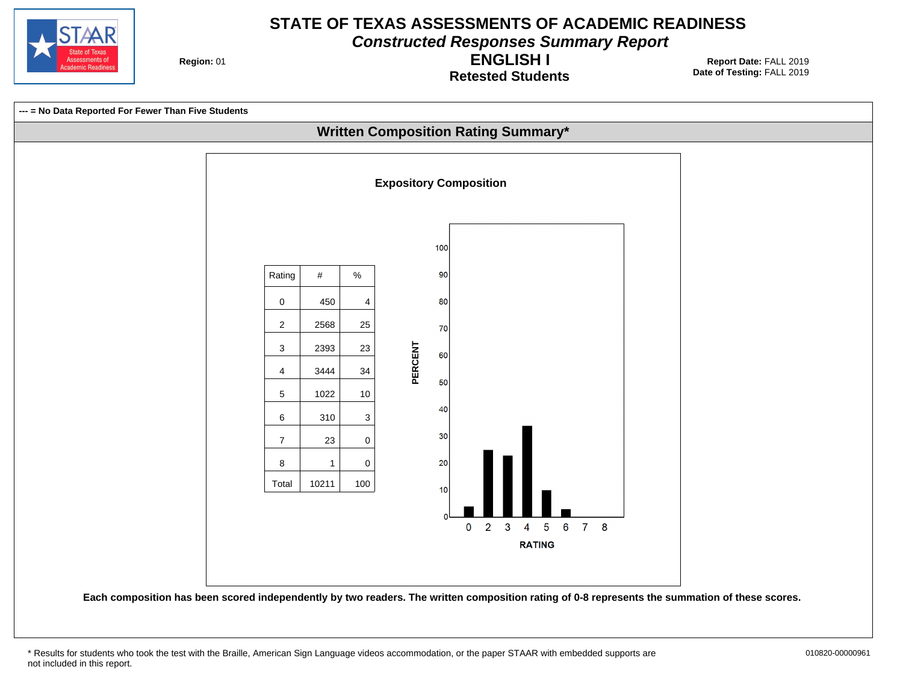

**Constructed Responses Summary Report**

**Region: 01** 

**Retested Students ENGLISH I**



<sup>\*</sup> Results for students who took the test with the Braille, American Sign Language videos accommodation, or the paper STAAR with embedded supports are 010820-00000961 not included in this report.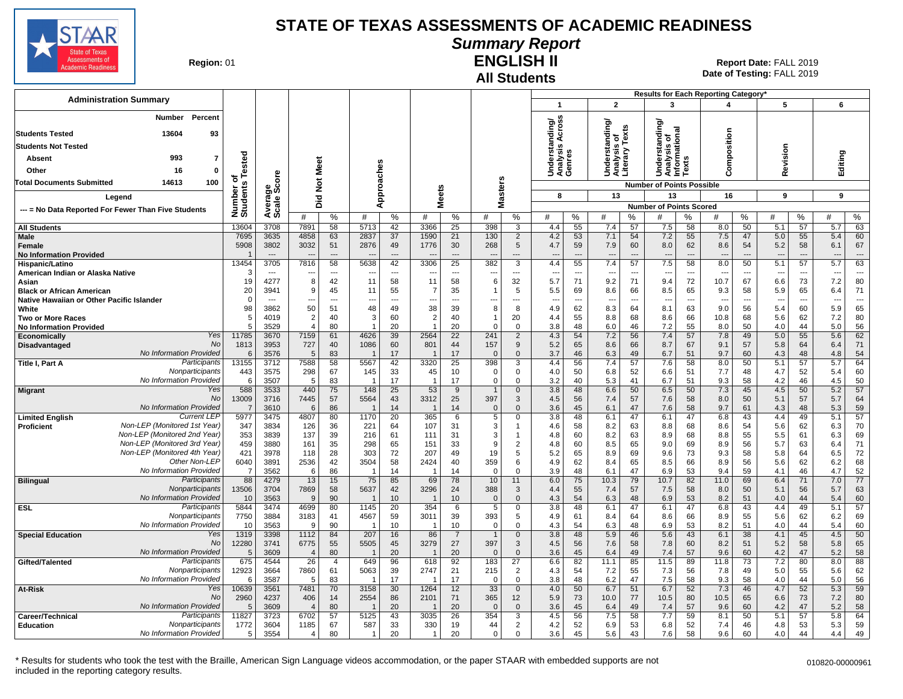

#### **Summary Report**

**Region: 01** 

#### **All Students ENGLISH II**

**Date of Testing:**  FALL 2019 01 **Report Date:** FALL 2019

| <b>Administration Summary</b>                                |                              |                        |                          |                      |                          |                          |                                  |                       |                    |                         |                                 |                          |                                                 |           | Results for Each Reporting Category'    |                                |                                 |                                |                                 |           |            |                      |
|--------------------------------------------------------------|------------------------------|------------------------|--------------------------|----------------------|--------------------------|--------------------------|----------------------------------|-----------------------|--------------------|-------------------------|---------------------------------|--------------------------|-------------------------------------------------|-----------|-----------------------------------------|--------------------------------|---------------------------------|--------------------------------|---------------------------------|-----------|------------|----------------------|
|                                                              |                              |                        |                          |                      |                          |                          |                                  |                       |                    |                         | $\mathbf{1}$                    |                          | $\overline{2}$                                  |           | 3                                       |                                | 4                               |                                | 5                               |           | 6          |                      |
| Percent<br><b>Number</b>                                     |                              |                        |                          |                      |                          |                          |                                  |                       |                    |                         | ding/<br>Across                 |                          |                                                 |           |                                         |                                |                                 |                                |                                 |           |            |                      |
| <b>Students Tested</b><br>13604<br>93                        |                              |                        |                          |                      |                          |                          |                                  |                       |                    |                         |                                 |                          | Understanding/<br>Analysis of<br>Literary Texts |           | tanding<br>Analysis of<br>Informational |                                |                                 |                                |                                 |           |            |                      |
| <b>Students Not Tested</b>                                   |                              |                        |                          |                      |                          |                          |                                  |                       |                    |                         | ∢                               |                          |                                                 |           |                                         |                                | Composition                     |                                |                                 |           |            |                      |
| 993<br>$\overline{7}$<br>Absent                              |                              |                        |                          |                      |                          |                          |                                  |                       |                    |                         | Underst<br>Analysis<br>Genres   |                          |                                                 |           | ders                                    | <b>u</b>                       |                                 |                                | Revision                        |           | Editing    |                      |
| Other<br>16<br>$\mathbf{0}$                                  |                              |                        | Meet                     |                      |                          |                          |                                  |                       |                    |                         |                                 |                          | šž                                              |           |                                         | ā                              |                                 |                                |                                 |           |            |                      |
| 14613<br>100<br><b>Total Documents Submitted</b>             |                              |                        |                          |                      |                          |                          |                                  |                       |                    |                         |                                 |                          |                                                 |           | 5                                       |                                |                                 |                                |                                 |           |            |                      |
|                                                              |                              |                        | $\breve{\mathbf{z}}$     |                      |                          |                          |                                  |                       |                    |                         |                                 |                          |                                                 |           | <b>Number of Points Possible</b>        |                                |                                 |                                |                                 |           |            |                      |
| Legend                                                       |                              |                        | 흐<br>$\Omega$            |                      | Approaches               |                          | <b>Meets</b>                     |                       |                    | <b>Masters</b>          | 8                               |                          | 13                                              |           | 13<br><b>Number of Points Scored</b>    |                                | 16                              |                                | 9                               |           | 9          |                      |
| --- = No Data Reported For Fewer Than Five Students          | Number of<br>Students Tested | Average<br>Scale Score | #                        | %                    | #                        | %                        | #                                | %                     | #                  | %                       | #                               | %                        | #                                               | ℅         | #                                       | ℅                              | #                               | %                              | #                               | %         | #          | ℅                    |
| <b>All Students</b>                                          | 13604                        | 3708                   | 7891                     | 58                   | 5713                     | 42                       | 3366                             | 25                    | 398                | 3                       | 4.4                             | 55                       | 7.4                                             | 57        | 7.5                                     | 58                             | 8.0                             | 50                             | 5.1                             | 57        | 5.7        | 63                   |
| Male                                                         | 7695                         | 3635                   | 4858                     | 63                   | 2837                     | 37                       | 1590                             | 21                    | 130                | $\overline{2}$          | 4.2                             | 53                       | 7.1                                             | 54        | 7.2                                     | 55                             | 7.5                             | 47                             | 5.0                             | 55        | 5.4        | 60                   |
| Female                                                       | 5908                         | 3802                   | 3032                     | 51                   | 2876                     | 49                       | 1776                             | 30                    | 268                | $5\phantom{.0}$         | 4.7                             | 59                       | 7.9                                             | 60        | 8.0                                     | 62                             | 8.6                             | 54                             | 5.2                             | 58        | 6.1        | 67                   |
| <b>No Information Provided</b><br>Hispanic/Latino            | 13454                        | $---$<br>3705          | $\overline{a}$<br>7816   | $\overline{a}$<br>58 | ---<br>5638              | $---$<br>42              | $\overline{\phantom{a}}$<br>3306 | $---$<br>25           | ---<br>382         | $---$<br>$\overline{3}$ | $\overline{\phantom{a}}$<br>4.4 | $---$<br>55              | $\overline{\phantom{a}}$<br>7.4                 | ---<br>57 | $\overline{\phantom{a}}$<br>7.5         | $\overline{\phantom{a}}$<br>58 | $\overline{\phantom{a}}$<br>8.0 | $---$<br>50                    | $\overline{\phantom{a}}$<br>5.1 | ---<br>57 | ---<br>5.7 | $\overline{a}$<br>63 |
| American Indian or Alaska Native                             |                              | $---$                  | $\overline{\phantom{a}}$ | $\overline{a}$       | $\overline{\phantom{a}}$ | $\overline{\phantom{a}}$ | $\overline{\phantom{a}}$         | $\overline{a}$        | ---                | ---                     | $\overline{\phantom{a}}$        | $\overline{\phantom{a}}$ | ---                                             | ---       | $\overline{\phantom{a}}$                | $\overline{\phantom{a}}$       | $\overline{\phantom{a}}$        | ---                            | $\overline{\phantom{a}}$        | ---       | ---        | $\overline{a}$       |
| Asian                                                        | 19                           | 4277                   | 8                        | 42                   | 11                       | 58                       | 11                               | 58                    | 6                  | 32                      | 5.7                             | 71                       | 9.2                                             | 71        | 9.4                                     | 72                             | 10.7                            | 67                             | 6.6                             | 73        | 7.2        | 80                   |
| <b>Black or African American</b>                             | 20                           | 3941                   | 9                        | 45                   | 11                       | 55                       | 7                                | 35                    | -1                 | 5                       | 5.5                             | 69                       | 8.6                                             | 66        | 8.5                                     | 65                             | 9.3                             | 58                             | 5.9                             | 65        | 6.4        | 71                   |
| Native Hawaiian or Other Pacific Islander<br>White           | $\Omega$<br>98               | 3862                   | ---<br>50                | ---<br>51            | ---<br>48                | $\overline{a}$<br>49     | 38                               | 39                    | ---<br>8           | $\overline{a}$<br>8     | $\overline{\phantom{a}}$<br>4.9 | $\overline{a}$<br>62     | $\overline{\phantom{a}}$<br>8.3                 | ---<br>64 | ---<br>8.1                              | $\sim$<br>63                   | 9.0                             | $\overline{\phantom{a}}$<br>56 | $\overline{\phantom{a}}$        | ---<br>60 | ---<br>5.9 | $\ddotsc$<br>65      |
| <b>Two or More Races</b>                                     | 5                            | 4019                   | 2                        | 40                   | -3                       | 60                       | $\overline{2}$                   | 40                    | -1                 | 20                      | 4.4                             | 55                       | 8.8                                             | 68        | 8.6                                     | 66                             | 10.8                            | 68                             | 5.4<br>5.6                      | 62        | 7.2        | 80                   |
| <b>No Information Provided</b>                               | 5                            | 3529                   | $\Delta$                 | 80                   | $\overline{1}$           | 20                       | 1                                | 20                    | $\Omega$           | $\mathbf 0$             | 3.8                             | 48                       | 6.0                                             | 46        | 7.2                                     | 55                             | 8.0                             | 50                             | 4.0                             | 44        | 5.0        | 56                   |
| Yes<br>Economically                                          | 11785                        | 3670                   | 7159                     | 61                   | 4626                     | 39                       | 2564                             | 22                    | 241                | $\overline{2}$          | 4.3                             | 54                       | 7.2                                             | 56        | 7.4                                     | 57                             | 7.8                             | 49                             | 5.0                             | 55        | 5.6        | 62                   |
| No<br>Disadvantaged<br>No Information Provided               | 1813                         | 3953                   | 727<br>5                 | 40                   | 1086                     | 60                       | 801                              | 44                    | 157                | 9                       | 5.2                             | 65                       | 8.6                                             | 66        | 8.7                                     | 67                             | 9.1                             | 57                             | 5.8                             | 64        | 6.4        | 71                   |
| Participants<br>Title I, Part A                              | 6<br>13155                   | 3576<br>3712           | 7588                     | 83<br>58             | 5567                     | 17<br>42                 | 3320                             | 17<br>$\overline{25}$ | $\Omega$<br>398    | $\mathbf 0$<br>3        | 3.7<br>4.4                      | 46<br>56                 | 6.3<br>7.4                                      | 49<br>57  | 6.7<br>7.6                              | 51<br>58                       | 9.7<br>8.0                      | 60<br>50                       | 4.3<br>5.1                      | 48<br>57  | 4.8<br>5.7 | 54<br>64             |
| Nonparticipants                                              | 443                          | 3575                   | 298                      | 67                   | 145                      | 33                       | 45                               | 10                    | $\mathbf 0$        | 0                       | 4.0                             | 50                       | 6.8                                             | 52        | 6.6                                     | 51                             | 7.7                             | 48                             | 4.7                             | 52        | 5.4        | 60                   |
| No Information Provided                                      | 6                            | 3507                   | 5                        | 83                   |                          | 17                       | -1                               | 17                    | $\mathbf 0$        | 0                       | 3.2                             | 40                       | 5.3                                             | 41        | 6.7                                     | 51                             | 9.3                             | 58                             | 4.2                             | 46        | 4.5        | 50                   |
| Yes<br><b>Migrant</b><br><b>No</b>                           | 588                          | 3533                   | 440                      | 75                   | 148                      | 25                       | 53                               | 9                     |                    | $\mathbf 0$             | 3.8                             | 48                       | 6.6                                             | 50        | 6.5                                     | 50                             | 7.3                             | 45                             | 4.5                             | 50        | 5.2        | 57                   |
| No Information Provided                                      | 13009<br>$\overline{7}$      | 3716<br>3610           | 7445<br>6                | 57<br>86             | 5564<br>-1               | 43<br>14                 | 3312<br>$\overline{1}$           | 25<br>14              | 397<br>$\mathbf 0$ | 3<br>$\overline{0}$     | 4.5<br>3.6                      | 56<br>45                 | 7.4<br>6.1                                      | 57<br>47  | 7.6<br>7.6                              | 58<br>58                       | 8.0<br>9.7                      | 50<br>61                       | 5.1<br>4.3                      | 57<br>48  | 5.7<br>5.3 | 64<br>59             |
| <b>Current LEP</b><br><b>Limited English</b>                 | 5977                         | 3475                   | 4807                     | 80                   | 1170                     | 20                       | 365                              | 6                     | $\overline{5}$     | 0                       | 3.8                             | 48                       | 6.1                                             | 47        | 6.1                                     | 47                             | 6.8                             | 43                             | 4.4                             | 49        | 5.1        | 57                   |
| Non-LEP (Monitored 1st Year)<br><b>Proficient</b>            | 347                          | 3834                   | 126                      | 36                   | 221                      | 64                       | 107                              | 31                    | 3                  | $\overline{1}$          | 4.6                             | 58                       | 8.2                                             | 63        | 8.8                                     | 68                             | 8.6                             | 54                             | 5.6                             | 62        | 6.3        | 70                   |
| Non-LEP (Monitored 2nd Year)                                 | 353                          | 3839                   | 137                      | 39                   | 216                      | 61                       | 111                              | 31                    | 3                  | $\mathbf 1$             | 4.8                             | 60                       | 8.2                                             | 63        | 8.9                                     | 68                             | 8.8                             | 55                             | 5.5                             | 61        | 6.3        | 69                   |
| Non-LEP (Monitored 3rd Year)<br>Non-LEP (Monitored 4th Year) | 459<br>421                   | 3880<br>3978           | 161<br>118               | 35<br>28             | 298<br>303               | 65<br>72                 | 151<br>207                       | 33<br>49              | 9<br>19            | 2<br>5                  | 4.8<br>5.2                      | 60<br>65                 | 8.5<br>8.9                                      | 65<br>69  | 9.0<br>9.6                              | 69<br>73                       | 8.9<br>9.3                      | 56<br>58                       | 5.7<br>5.8                      | 63<br>64  | 6.4<br>6.5 | 71<br>72             |
| Other Non-LEP                                                | 6040                         | 3891                   | 2536                     | 42                   | 3504                     | 58                       | 2424                             | 40                    | 359                | 6                       | 4.9                             | 62                       | 8.4                                             | 65        | 8.5                                     | 66                             | 8.9                             | 56                             | 5.6                             | 62        | 6.2        | 68                   |
| No Information Provided                                      | $\overline{7}$               | 3562                   | 6                        | 86                   | $\overline{1}$           | 14                       |                                  | 14                    | $\Omega$           | $\mathbf 0$             | 3.9                             | 48                       | 6.1                                             | 47        | 6.9                                     | 53                             | 9.4                             | 59                             | 4.1                             | 46        | 4.7        | 52                   |
| Participants<br><b>Bilingual</b>                             | 88                           | 4279                   | 13                       | 15                   | 75                       | 85                       | 69                               | 78                    | 10                 | 11                      | 6.0                             | 75                       | 10.3                                            | 79        | 10.7                                    | 82                             | 11.0                            | 69                             | 6.4                             | 71        | 7.0        | 77                   |
| Nonparticipants<br>No Information Provided                   | 13506<br>10                  | 3704<br>3563           | 7869<br>$\mathbf{Q}$     | 58<br>90             | 5637                     | 42<br>10                 | 3296<br>$\overline{1}$           | 24<br>10              | 388<br>$\Omega$    | 3<br>$\overline{0}$     | 4.4<br>4.3                      | 55<br>54                 | 7.4<br>6.3                                      | 57<br>48  | 7.5<br>6.9                              | 58<br>53                       | 8.0<br>8.2                      | 50<br>51                       | 5.1<br>4.0                      | 56<br>44  | 5.7<br>5.4 | 63<br>60             |
| Participants<br><b>ESL</b>                                   | 5844                         | 3474                   | 4699                     | 80                   | 1145                     | 20                       | 354                              | 6                     | 5                  | 0                       | 3.8                             | 48                       | 6.1                                             | 47        | 6.1                                     | 47                             | 6.8                             | 43                             | 4.4                             | 49        | 5.1        | 57                   |
| Nonparticipants                                              | 7750                         | 3884                   | 3183                     | 41                   | 4567                     | 59                       | 3011                             | 39                    | 393                | 5                       | 4.9                             | 61                       | 8.4                                             | 64        | 8.6                                     | 66                             | 8.9                             | 55                             | 5.6                             | 62        | 6.2        | 69                   |
| No Information Provided                                      | 10                           | 3563                   | <sub>9</sub>             | 90                   |                          | 10                       |                                  | 10                    | $\mathbf{0}$       | 0                       | 4.3                             | 54                       | 6.3                                             | 48        | 6.9                                     | 53                             | 8.2                             | 51                             | 4.0                             | 44        | 5.4        | 60                   |
| <b>Special Education</b><br>Yes<br><b>No</b>                 | 1319<br>12280                | 3398                   | 1112                     | 84                   | 207                      | 16<br>45                 | 86                               | $\overline{7}$        | 397                | 0                       | 3.8                             | 48                       | 5.9                                             | 46        | 5.6                                     | 43                             | 6.1                             | 38                             | 4.1                             | 45        | 4.5        | 50<br>65             |
| No Information Provided                                      | 5                            | 3741<br>3609           | 6775<br>$\overline{4}$   | 55<br>80             | 5505<br>-1               | 20                       | 3279                             | 27<br>20              | $\overline{0}$     | 3<br>$\mathbf 0$        | 4.5<br>3.6                      | 56<br>45                 | 7.6<br>6.4                                      | 58<br>49  | 7.8<br>7.4                              | 60<br>57                       | 8.2<br>9.6                      | 51<br>60                       | 5.2<br>4.2                      | 58<br>47  | 5.8<br>5.2 | 58                   |
| Participants<br>Gifted/Talented                              | 675                          | 4544                   | 26                       | $\overline{4}$       | 649                      | 96                       | 618                              | 92                    | 183                | 27                      | 6.6                             | 82                       | 11.1                                            | 85        | 11.5                                    | 89                             | 11.8                            | 73                             | 7.2                             | 80        | 8.0        | 88                   |
| Nonparticipants                                              | 12923                        | 3664                   | 7860                     | 61                   | 5063                     | 39                       | 2747                             | 21                    | 215                | 2                       | 4.3                             | 54                       | 7.2                                             | 55        | 7.3                                     | 56                             | 7.8                             | 49                             | 5.0                             | 55        | 5.6        | 62                   |
| No Information Provided                                      | 6                            | 3587                   | 5                        | 83                   |                          | 17                       | -1                               | 17                    | -0                 | 0                       | 3.8                             | 48                       | 6.2                                             | 47        | 7.5                                     | 58                             | 9.3                             | 58                             | 4.0                             | 44        | 5.0        | 56                   |
| Yes<br><b>At-Risk</b><br>No                                  | 10639<br>2960                | 3561<br>4237           | 7481<br>406              | 70<br>14             | 3158<br>2554             | 30<br>86                 | 1264<br>2101                     | 12<br>71              | 33<br>365          | $\mathbf{0}$<br>12      | 4.0<br>5.9                      | 50<br>73                 | 6.7<br>10.0                                     | 51<br>77  | 6.7<br>10.5                             | 52<br>80                       | 7.3<br>10.5                     | 46<br>65                       | 4.7<br>6.6                      | 52<br>73  | 5.3<br>7.2 | 59<br>80             |
| No Information Provided                                      |                              | 3609                   |                          | 80                   |                          | 20                       |                                  | 20                    | $\Omega$           | $\mathbf 0$             | 3.6                             | 45                       | 6.4                                             | 49        | 7.4                                     | 57                             | 9.6                             | 60                             | 4.2                             | 47        | 5.2        | 58                   |
| Participants<br>Career/Technical                             | 11827                        | 3723                   | 6702                     | 57                   | 5125                     | 43                       | 3035                             | 26                    | 354                | 3                       | 4.5                             | 56                       | 7.5                                             | 58        | 7.7                                     | 59                             | 8.1                             | 50                             | 5.1                             | 57        | 5.8        | 64                   |
| Nonparticipants<br><b>Education</b>                          | 1772                         | 3604                   | 1185                     | 67                   | 587                      | 33                       | 330                              | 19                    | 44                 | $\overline{2}$          | 4.2                             | 52                       | 6.9                                             | 53        | 6.8                                     | 52                             | 7.4                             | 46                             | 4.8                             | 53        | 5.3        | 59                   |
| No Information Provided                                      | 5                            | 3554                   | 4                        | 80                   | $\overline{1}$           | 20                       | $\overline{1}$                   | 20                    | $\mathbf 0$        | $\mathbf 0$             | 3.6                             | 45                       | 5.6                                             | 43        | 7.6                                     | 58                             | 9.6                             | 60                             | 4.0                             | 44        | 4.4        | 49                   |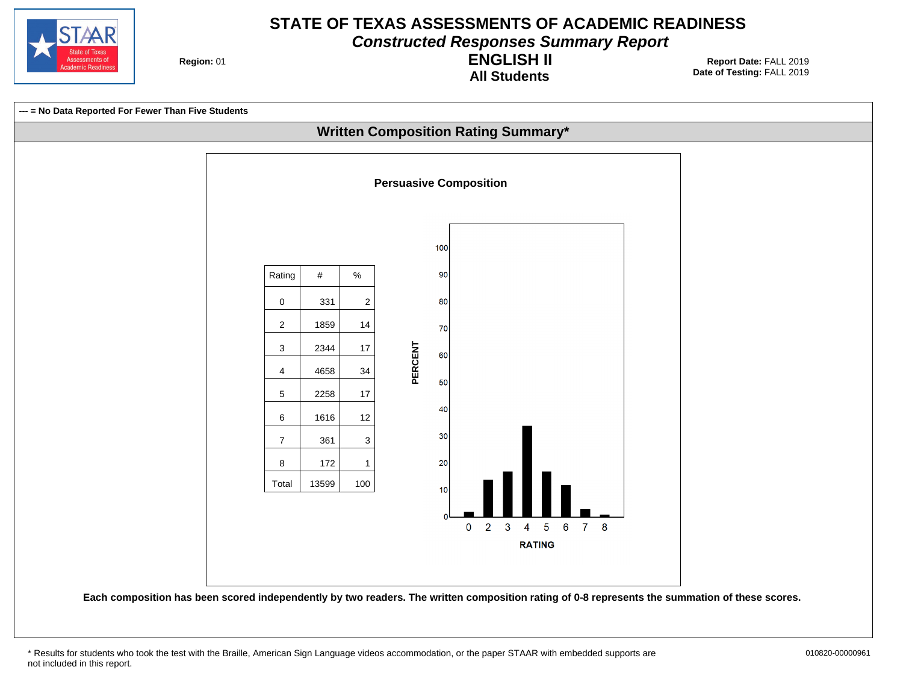

**Constructed Responses Summary Report**

**Region: 01** 

**All Students ENGLISH II**

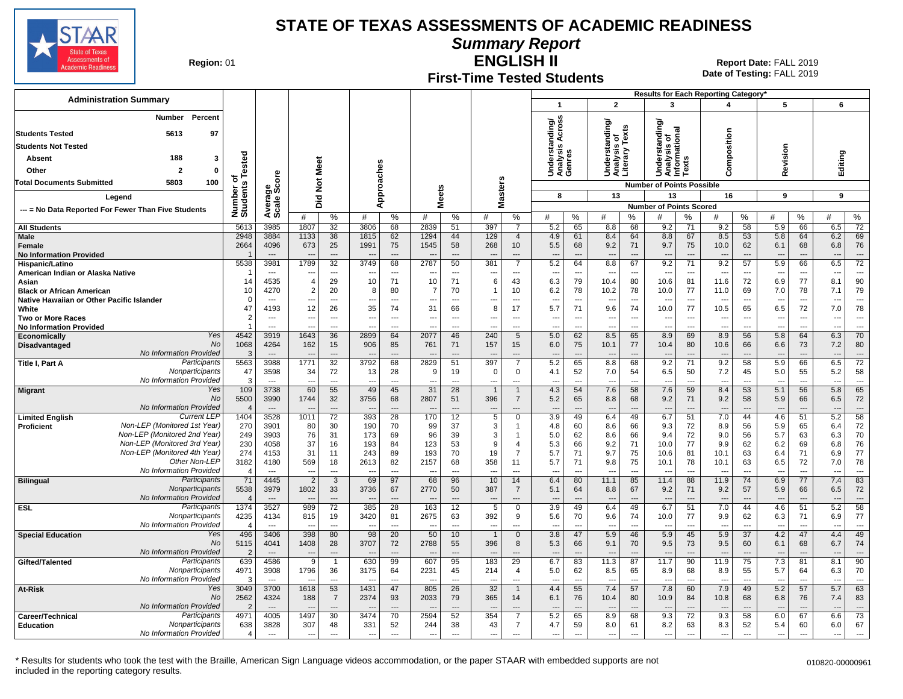

**Summary Report**

**Region: 01** 

## **First-Time Tested Students**

**ENGLISH II** 01 **Report Date:** FALL 2019 **Date of Testing:**  FALL 2019

| <b>Administration Summary</b>                                        |                                |                                  |                          |                                |                                |                                |                          |                                |                          |                                |                                 |                                |                                  |                                |                                        |                              | <b>Results for Each Reporting Category</b> |                          |                                 |                                |                                 |                                |
|----------------------------------------------------------------------|--------------------------------|----------------------------------|--------------------------|--------------------------------|--------------------------------|--------------------------------|--------------------------|--------------------------------|--------------------------|--------------------------------|---------------------------------|--------------------------------|----------------------------------|--------------------------------|----------------------------------------|------------------------------|--------------------------------------------|--------------------------|---------------------------------|--------------------------------|---------------------------------|--------------------------------|
|                                                                      |                                |                                  |                          |                                |                                |                                |                          |                                |                          |                                | $\mathbf{1}$                    |                                | $\mathbf{2}$                     |                                | 3                                      |                              | 4                                          |                          | 5                               |                                | 6                               |                                |
| Percent<br><b>Number</b>                                             |                                |                                  |                          |                                |                                |                                |                          |                                |                          |                                | Across<br>tanding/<br>is Across |                                | ttanding/<br>is of<br>y Texts    |                                | ৯                                      |                              |                                            |                          |                                 |                                |                                 |                                |
| <b>Students Tested</b><br>5613<br>97                                 |                                |                                  |                          |                                |                                |                                |                          |                                |                          |                                |                                 |                                |                                  |                                | tanding<br>र्<br>उटि<br>प्रथ           |                              | omposition                                 |                          |                                 |                                |                                 |                                |
| <b>Students Not Tested</b>                                           |                                |                                  |                          |                                |                                |                                |                          |                                |                          |                                |                                 |                                |                                  |                                | ö                                      | nalysis<br>nformatio<br>exts |                                            |                          | evision                         |                                |                                 |                                |
| 188<br>Absent<br>3                                                   | Tested                         |                                  |                          |                                |                                |                                |                          |                                |                          |                                | Inderst<br>.nalysi:<br>.enres   |                                | Underst<br>Analysis<br>Literary  |                                | ō                                      |                              |                                            |                          |                                 |                                | Editing                         |                                |
| Other<br>2<br>$\Omega$                                               |                                |                                  |                          | Meet                           |                                |                                |                          |                                |                          |                                | ⊃ ⋖ ७                           |                                |                                  |                                | 콛<br>호출<br>⊃                           | š                            | ω                                          |                          | ∝                               |                                |                                 |                                |
| 5803<br>100<br><b>Total Documents Submitted</b>                      | ठ                              | ge<br>Score                      |                          |                                |                                |                                |                          |                                |                          |                                |                                 |                                |                                  |                                |                                        |                              |                                            |                          |                                 |                                |                                 |                                |
|                                                                      |                                |                                  |                          | $\frac{5}{2}$                  |                                | pproaches                      |                          |                                |                          | asters                         | 8                               |                                | 13                               |                                | <b>Number of Points Possible</b><br>13 |                              | 16                                         |                          | 9                               |                                | 9                               |                                |
| Legend                                                               |                                |                                  |                          | Did                            |                                | ⋖                              | <b>Meets</b>             |                                |                          | Σ                              |                                 |                                |                                  |                                | <b>Number of Points Scored</b>         |                              |                                            |                          |                                 |                                |                                 |                                |
| --- = No Data Reported For Fewer Than Five Students                  | Number o<br>Students           | Avera<br>Scale                   | #                        | %                              | #                              | $\%$                           | #                        | %                              | #                        | %                              | #                               | %                              | #                                | %                              | #                                      | %                            | #                                          | %                        | #                               | ℅                              | #                               | %                              |
| <b>All Students</b>                                                  | 5613                           | 3985                             | 1807                     | 32                             | 3806                           | 68                             | 2839                     | 51                             | 397                      | $\overline{7}$                 | 5.2                             | 65                             | 8.8                              | 68                             | 9.2                                    | 71                           | 9.2                                        | 58                       | 5.9                             | 66                             | 6.5                             | $\overline{72}$                |
| <b>Male</b>                                                          | 2948                           | 3884                             | 1133                     | 38                             | 1815                           | 62                             | 1294                     | 44                             | 129                      | $\overline{4}$                 | 4.9                             | 61                             | 8.4                              | 64                             | 8.8                                    | 67                           | 8.5                                        | 53                       | 5.8                             | 64                             | 6.2                             | 69                             |
| Female                                                               | 2664                           | 4096<br>$\overline{\phantom{a}}$ | 673                      | 25<br>$\sim$                   | 1991                           | 75                             | 1545                     | 58<br>$-$                      | 268                      | 10<br>---                      | 5.5<br>$\overline{a}$           | 68<br>$\sim$                   | 9.2                              | 71<br>$\overline{a}$           | 9.7                                    | 75<br>$\overline{a}$         | 10.0                                       | 62<br>---                | 6.1<br>$\overline{\phantom{a}}$ | 68                             | 6.8                             | 76<br>$\overline{a}$           |
| <b>No Information Provided</b><br>Hispanic/Latino                    | 5538                           | 3981                             | 1789                     | 32                             | 3749                           | 68                             | 2787                     | 50                             | 381                      | $\overline{7}$                 | 5.2                             | 64                             | 8.8                              | 67                             | 9.2                                    | 71                           | 9.2                                        | 57                       | 5.9                             | 66                             | 6.5                             | $\overline{72}$                |
| American Indian or Alaska Native                                     |                                | $\sim$                           |                          | $---$                          |                                | $---$                          |                          | $---$                          | $\overline{\phantom{a}}$ | ---                            | $\sim$                          | ---                            | $\sim$                           | $---$                          | $\sim$                                 | $---$                        | ---                                        | $\sim$                   |                                 | ---                            | $\sim$                          | $---$                          |
| Asian                                                                | 14                             | 4535                             | $\overline{4}$           | 29                             | 10                             | 71                             | 10                       | 71                             | 6                        | 43                             | 6.3                             | 79                             | 10.4                             | 80                             | 10.6                                   | 81                           | 11.6                                       | 72                       | 6.9                             | 77                             | 8.1                             | 90                             |
| <b>Black or African American</b>                                     | 10                             | 4270                             | $\overline{2}$           | 20                             | 8                              | 80                             | 7                        | 70                             |                          | 10                             | 6.2                             | 78                             | 10.2                             | 78                             | 10.0                                   | 77                           | 11.0                                       | 69                       | 7.0                             | 78                             | 7.1                             | 79                             |
| Native Hawaiian or Other Pacific Islander                            | $\mathcal{C}$                  | $\overline{\phantom{a}}$         | ---                      | $\overline{\phantom{a}}$       | ---                            | $\overline{\phantom{a}}$       | ---                      | $---$                          | ---                      | $\overline{a}$                 | $\overline{a}$                  | $\overline{\phantom{a}}$       | $\overline{\phantom{a}}$         | $\overline{\phantom{a}}$       | $\overline{\phantom{a}}$               | ---                          | ---                                        | $\overline{\phantom{a}}$ | $\overline{\phantom{a}}$        | $\overline{\phantom{a}}$       | $\overline{\phantom{a}}$        | $\overline{\phantom{a}}$       |
| White<br><b>Two or More Races</b>                                    | 47<br>2                        | 4193<br>$\overline{\phantom{a}}$ | 12<br>---                | 26<br>$\overline{a}$           | 35<br>$\overline{\phantom{a}}$ | 74<br>$\overline{\phantom{a}}$ | 31<br>---                | 66<br>$\overline{\phantom{a}}$ | 8<br>---                 | 17<br>$\overline{\phantom{a}}$ | 5.7<br>---                      | 71<br>$\overline{\phantom{a}}$ | 9.6<br>$\overline{\phantom{a}}$  | 74<br>$\overline{\phantom{a}}$ | 10.0<br>$\overline{\phantom{a}}$       | 77<br>---                    | 10.5<br>---                                | 65<br>$\ldots$           | 6.5<br>---                      | 72<br>$\overline{\phantom{a}}$ | 7.0<br>$\overline{\phantom{a}}$ | 78<br>$\overline{\phantom{a}}$ |
| <b>No Information Provided</b>                                       |                                | $\overline{\phantom{a}}$         |                          | $\overline{a}$                 |                                | $\overline{a}$                 |                          | $\overline{a}$                 |                          | ---                            | $\overline{a}$                  | $\overline{a}$                 | $\overline{a}$                   | $\overline{a}$                 | ---                                    | $\overline{a}$               |                                            | $\overline{a}$           | $\overline{a}$                  | $\sim$                         |                                 | $\overline{a}$                 |
| Yes<br>Economically                                                  | 4542                           | 3919                             | 1643                     | 36                             | 2899                           | 64                             | 2077                     | 46                             | 240                      | $5\overline{)}$                | 5.0                             | 62                             | 8.5                              | 65                             | 8.9                                    | 69                           | 8.9                                        | 56                       | 5.8                             | 64                             | 6.3                             | 70                             |
| <b>No</b><br><b>Disadvantaged</b>                                    | 1068                           | 4264                             | 162                      | 15                             | 906                            | 85                             | 761                      | 71                             | 157                      | 15                             | 6.0                             | 75                             | 10.1                             | 77                             | 10.4                                   | 80                           | 10.6                                       | 66                       | 6.6                             | 73                             | 7.2                             | 80                             |
| No Information Provided<br>Participants                              | -3                             | $\overline{\phantom{a}}$         |                          | $\overline{a}$                 |                                | $\overline{a}$                 |                          | $---$                          |                          | ---<br>$\overline{7}$          | $---$                           | $---$                          | ---                              | $---$                          |                                        | $\overline{\phantom{a}}$     | $\overline{a}$                             | ---                      | $\overline{\phantom{a}}$        | $\overline{a}$                 | ---                             | $---$                          |
| Title I, Part A<br>Nonparticipants                                   | 5563<br>47                     | 3988<br>3598                     | 1771<br>34               | 32<br>72                       | 3792<br>13                     | 68<br>28                       | 2829<br>9                | 51<br>19                       | 397<br>$\mathbf 0$       | 0                              | 5.2<br>4.1                      | 65<br>52                       | 8.8<br>7.0                       | 68<br>54                       | 9.2<br>6.5                             | 71<br>50                     | 9.2<br>7.2                                 | 58<br>45                 | 5.9<br>5.0                      | 66<br>55                       | 6.5<br>5.2                      | $\overline{72}$<br>58          |
| No Information Provided                                              | -S                             | $\overline{a}$                   | ---                      | $\overline{a}$                 | $-$                            | $---$                          | ---                      | $\sim$                         | ---                      | ---                            | $\overline{\phantom{a}}$        | $\overline{a}$                 | $-$                              | $---$                          | $\sim$                                 | $\overline{a}$               | $\overline{a}$                             | ---                      | $\sim$                          | $\overline{a}$                 | $\sim$                          | $---$                          |
| Yes<br><b>Migrant</b>                                                | 109                            | 3738                             | 60                       | 55                             | 49                             | 45                             | 31                       | 28                             | $\overline{1}$           | $\overline{1}$                 | 4.3                             | 54                             | 7.6                              | 58                             | 7.6                                    | 59                           | 8.4                                        | 53                       | 5.1                             | 56                             | 5.8                             | 65                             |
| <b>No</b>                                                            | 5500                           | 3990                             | 1744                     | 32                             | 3756                           | 68                             | 2807                     | 51                             | 396                      | $\overline{7}$                 | 5.2                             | 65                             | 8.8                              | 68                             | 9.2                                    | 71                           | 9.2                                        | 58                       | 5.9                             | 66                             | 6.5                             | 72                             |
| No Information Provided<br><b>Current LEP</b>                        | $\sqrt{2}$                     | $\overline{\phantom{a}}$         |                          | $\overline{a}$                 |                                |                                |                          |                                |                          | ---                            |                                 | $\overline{\phantom{a}}$       |                                  | $\overline{a}$                 |                                        | $\overline{\phantom{a}}$     |                                            | ---                      |                                 | ---                            |                                 |                                |
| <b>Limited English</b><br>Non-LEP (Monitored 1st Year)<br>Proficient | 1404<br>270                    | 3528<br>3901                     | 1011<br>80               | 72<br>30                       | 393<br>190                     | 28<br>70                       | 170<br>99                | 12<br>37                       | $\overline{5}$<br>3      | $\overline{0}$<br>-1           | 3.9<br>4.8                      | 49<br>60                       | 6.4<br>8.6                       | 49<br>66                       | 6.7<br>9.3                             | 51<br>72                     | 7.0<br>8.9                                 | 44<br>56                 | 4.6<br>5.9                      | 51<br>65                       | 5.2<br>6.4                      | 58<br>72                       |
| Non-LEP (Monitored 2nd Year)                                         | 249                            | 3903                             | 76                       | 31                             | 173                            | 69                             | 96                       | 39                             | 3                        | $\overline{1}$                 | 5.0                             | 62                             | 8.6                              | 66                             | 9.4                                    | 72                           | 9.0                                        | 56                       | 5.7                             | 63                             | 6.3                             | 70                             |
| Non-LEP (Monitored 3rd Year)                                         | 230                            | 4058                             | 37                       | 16                             | 193                            | 84                             | 123                      | 53                             | 9                        | $\overline{4}$                 | 5.3                             | 66                             | 9.2                              | 71                             | 10.0                                   | 77                           | 9.9                                        | 62                       | 6.2                             | 69                             | 6.8                             | 76                             |
| Non-LEP (Monitored 4th Year)                                         | 274                            | 4153                             | 31                       | 11                             | 243                            | 89                             | 193                      | 70                             | 19                       | $\overline{7}$                 | 5.7                             | 71                             | 9.7                              | 75                             | 10.6                                   | 81                           | 10.1                                       | 63                       | 6.4                             | 71                             | 6.9                             | 77                             |
| Other Non-LEF                                                        | 3182                           | 4180                             | 569                      | 18                             | 2613                           | 82                             | 2157                     | 68                             | 358                      | 11                             | 5.7                             | 71                             | 9.8                              | 75                             | 10.1                                   | 78                           | 10.1                                       | 63                       | 6.5                             | 72                             | 7.0                             | 78                             |
| No Information Provided<br>Participants<br><b>Bilingual</b>          | $\overline{\phantom{a}}$<br>71 | $\sim$<br>4445                   | $\sim$<br>$\overline{2}$ | $\overline{a}$<br>$\mathbf{3}$ | 69                             | $\overline{a}$<br>97           | 68                       | $\sim$<br>96                   | 10                       | ---<br>14                      | $\overline{a}$<br>6.4           | $\overline{a}$<br>80           | $\overline{\phantom{a}}$<br>11.1 | $\overline{a}$<br>85           | $\overline{\phantom{a}}$<br>11.4       | $\overline{a}$<br>88         | $\overline{a}$<br>11.9                     | $\overline{a}$<br>74     | 6.9                             | $\overline{a}$<br>77           | $\overline{\phantom{a}}$<br>7.4 | $\overline{a}$<br>83           |
| Nonparticipants                                                      | 5538                           | 3979                             | 1802                     | 33                             | 3736                           | 67                             | 2770                     | 50                             | 387                      | $\overline{7}$                 | 5.1                             | 64                             | 8.8                              | 67                             | 9.2                                    | 71                           | 9.2                                        | 57                       | 5.9                             | 66                             | 6.5                             | 72                             |
| No Information Provided                                              | $\sqrt{2}$                     | $\overline{\phantom{a}}$         | $\overline{\phantom{a}}$ | $\overline{a}$                 | $\overline{\phantom{a}}$       |                                |                          | $\overline{\phantom{a}}$       | $\overline{\phantom{a}}$ | ---                            | ---                             | ---                            | $\overline{\phantom{a}}$         | $\overline{a}$                 | $\overline{\phantom{a}}$               | $\overline{\phantom{a}}$     | $\overline{\phantom{a}}$                   | ---                      | $\overline{\phantom{a}}$        |                                |                                 | $\overline{a}$                 |
| Participants<br>ESL                                                  | 1374                           | 3527                             | 989                      | 72                             | 385                            | 28                             | 163                      | 12                             | 5                        | 0                              | 3.9                             | 49                             | 6.4                              | 49                             | 6.7                                    | 51                           | 7.0                                        | 44                       | 4.6                             | 51                             | 5.2                             | $\overline{58}$                |
| Nonparticipants<br>No Information Provided                           | 4235                           | 4134                             | 815                      | 19                             | 3420                           | 81                             | 2675                     | 63                             | 392                      | 9                              | 5.6                             | 70                             | 9.6                              | 74                             | 10.0                                   | 77                           | 9.9                                        | 62                       | 6.3                             | 71                             | 6.9                             | 77                             |
| Yes<br><b>Special Education</b>                                      | 496                            | $---$<br>3406                    | 398                      | $\overline{a}$<br>80           | 98                             | $\overline{a}$<br>20           | 50                       | $\overline{a}$<br>10           |                          | ---<br>$\mathbf 0$             | 3.8                             | $\overline{a}$<br>47           | 5.9                              | $\overline{a}$<br>46           | 5.9                                    | $\overline{a}$<br>45         | 5.9                                        | ---<br>37                | 4.2                             | $\overline{a}$<br>47           | 4.4                             | $\overline{a}$<br>49           |
| No                                                                   | 5115                           | 4041                             | 1408                     | 28                             | 3707                           | 72                             | 2788                     | 55                             | 396                      | 8                              | 5.3                             | 66                             | 9.1                              | 70                             | 9.5                                    | 73                           | 9.5                                        | 60                       | 6.1                             | 68                             | 6.7                             | 74                             |
| No Information Provided                                              | -2                             | $\overline{\phantom{a}}$         | $\overline{a}$           | $\overline{a}$                 |                                | $\overline{a}$                 |                          | $\overline{a}$                 |                          | ---                            | $\overline{a}$                  | $\overline{\phantom{a}}$       |                                  | $---$                          | ---                                    | $\overline{\phantom{a}}$     |                                            | ---                      |                                 | $\overline{a}$                 | $\overline{\phantom{a}}$        | $---$                          |
| Participants<br>Gifted/Talented                                      | 639                            | 4586                             | 9                        | $\mathbf{1}$                   | 630                            | 99                             | 607                      | 95                             | 183                      | 29                             | 6.7                             | 83                             | 11.3                             | 87                             | 11.7                                   | 90                           | 11.9                                       | 75                       | 7.3                             | 81                             | 8.1                             | 90                             |
| Nonparticipants                                                      | 4971                           | 3908                             | 1796                     | 36                             | 3175                           | 64                             | 2231                     | 45                             | 214                      | 4                              | 5.0                             | 62                             | 8.5                              | 65                             | 8.9                                    | 68                           | 8.9                                        | 55                       | 5.7                             | 64                             | 6.3                             | 70                             |
| No Information Provided<br>Yes<br>At-Risk                            | -3<br>3049                     | $---$<br>3700                    | $\overline{a}$<br>1618   | $\overline{a}$<br>53           | $-$<br>1431                    | $\overline{a}$<br>47           | ---<br>805               | $\overline{a}$<br>26           | ---<br>32                | ---<br>$\overline{1}$          | $\overline{a}$<br>4.4           | ---<br>55                      | $\overline{\phantom{a}}$<br>7.4  | $\overline{a}$<br>57           | $\overline{\phantom{a}}$<br>7.8        | $\overline{a}$<br>60         | $\overline{a}$<br>7.9                      | ---<br>49                | $\overline{\phantom{a}}$<br>5.2 | 57                             | $\overline{\phantom{a}}$<br>5.7 | $---$<br>63                    |
| No                                                                   | 2562                           | 4324                             | 188                      | $\overline{7}$                 | 2374                           | 93                             | 2033                     | 79                             | 365                      | 14                             | 6.1                             | 76                             | 10.4                             | 80                             | 10.9                                   | 84                           | 10.8                                       | 68                       | 6.8                             | 76                             | 7.4                             | 83                             |
| No Information Provided                                              | -2                             |                                  |                          |                                |                                |                                |                          |                                |                          | ---                            |                                 |                                |                                  |                                |                                        |                              |                                            |                          |                                 |                                |                                 |                                |
| Participants<br>Career/Technical                                     | 4971                           | 4005                             | 1497                     | 30                             | 3474                           | 70                             | 2594                     | 52                             | 354                      | $\overline{7}$                 | 5.2                             | 65                             | 8.9                              | 68                             | 9.3                                    | 72                           | 9.3                                        | 58                       | 6.0                             | 67                             | 6.6                             | 73                             |
| Nonparticipants<br><b>Education</b>                                  | 638                            | 3828                             | 307                      | 48                             | 331                            | 52                             | 244                      | 38                             | 43                       | $\overline{7}$                 | 4.7                             | 59                             | 8.0                              | 61                             | 8.2                                    | 63                           | 8.3                                        | 52                       | 5.4                             | 60                             | 6.0                             | 67                             |
| No Information Provided                                              | $\overline{4}$                 | $---$                            | ---                      | $---$                          | $\overline{a}$                 | $\overline{a}$                 | $\overline{\phantom{a}}$ | $\overline{a}$                 | $\overline{a}$           | $\overline{a}$                 | $\overline{a}$                  | ---                            | $\overline{a}$                   | $\overline{a}$                 | $\overline{a}$                         | $\sim$                       | $\overline{a}$                             | $\sim$                   | $\overline{a}$                  | $\overline{a}$                 | $\overline{\phantom{a}}$        | $---$                          |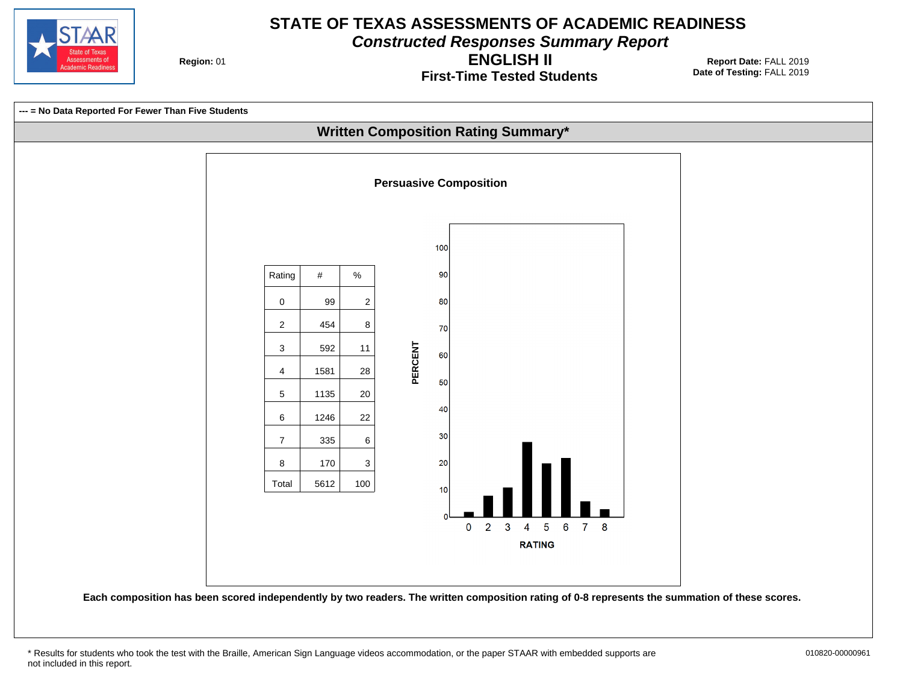

**Constructed Responses Summary Report**

**Region: 01** 

**First-Time Tested Students ENGLISH II**



<sup>\*</sup> Results for students who took the test with the Braille, American Sign Language videos accommodation, or the paper STAAR with embedded supports are 010820-00000961 not included in this report.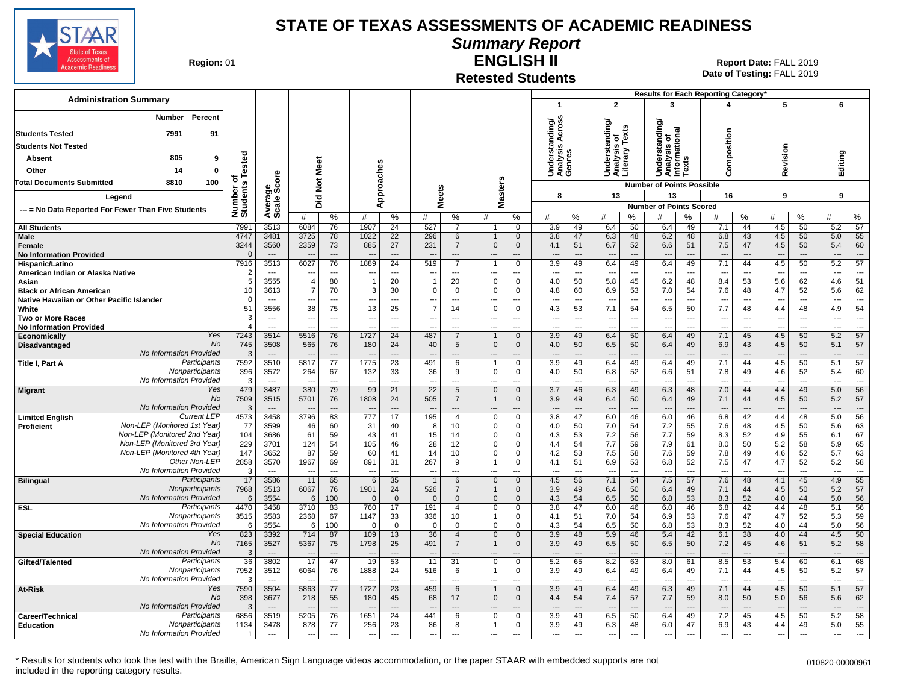

#### **Summary Report**

**Region: 01** 

#### **Retested Students ENGLISH II**

**Date of Testing:**  FALL 2019 01 **Report Date:** FALL 2019

| <b>Administration Summary</b>                                                 |                              |                                  |                                  |                                |                          |                          |                                 |                          |                            |                               |                                                         |                                                 |                      |                                               |                                | Results for Each Reporting Category' |                                |                                 |                      |                                 |                                |
|-------------------------------------------------------------------------------|------------------------------|----------------------------------|----------------------------------|--------------------------------|--------------------------|--------------------------|---------------------------------|--------------------------|----------------------------|-------------------------------|---------------------------------------------------------|-------------------------------------------------|----------------------|-----------------------------------------------|--------------------------------|--------------------------------------|--------------------------------|---------------------------------|----------------------|---------------------------------|--------------------------------|
|                                                                               |                              |                                  |                                  |                                |                          |                          |                                 |                          |                            |                               | $\mathbf{1}$                                            | $\overline{2}$                                  |                      | 3                                             |                                | 4                                    |                                | 5                               |                      | 6                               |                                |
| Percent<br><b>Number</b>                                                      |                              |                                  |                                  |                                |                          |                          |                                 |                          |                            |                               | ding/<br>Across                                         | Understanding/<br>Analysis of<br>Literary Texts |                      | tanding                                       |                                |                                      |                                |                                 |                      |                                 |                                |
| <b>Students Tested</b><br>7991<br>91                                          |                              |                                  |                                  |                                |                          |                          |                                 |                          |                            |                               | ∢                                                       |                                                 |                      |                                               |                                |                                      |                                |                                 |                      |                                 |                                |
| <b>Students Not Tested</b>                                                    |                              |                                  |                                  |                                |                          |                          |                                 |                          |                            |                               |                                                         |                                                 |                      |                                               |                                |                                      |                                |                                 |                      |                                 |                                |
| 805<br><b>Absent</b><br>9                                                     |                              |                                  |                                  |                                |                          |                          |                                 |                          |                            |                               | Underst<br>Analysis<br>Genres                           |                                                 |                      | Understanding<br>Analysis of<br>Informational | S                              | Composition                          |                                | Revision                        |                      | Editing                         |                                |
| Other<br>14<br>0                                                              |                              |                                  | Meet                             |                                |                          |                          |                                 |                          |                            |                               |                                                         |                                                 |                      |                                               | š                              |                                      |                                |                                 |                      |                                 |                                |
| <b>Total Documents Submitted</b><br>8810<br>100                               |                              |                                  | $\breve{\mathbf{z}}$             |                                | Approaches               |                          |                                 |                          |                            |                               |                                                         |                                                 |                      | <b>Number of Points Possible</b>              |                                |                                      |                                |                                 |                      |                                 |                                |
| Legend                                                                        |                              |                                  |                                  |                                |                          |                          | <b>Meets</b>                    |                          |                            | <b>Masters</b>                | 8                                                       | 13                                              |                      | 13                                            |                                | 16                                   |                                | 9                               |                      | 9                               |                                |
|                                                                               | Number of<br>Students Tested | Average<br>Scale Score           | $\overline{2}$<br>۵              |                                |                          |                          |                                 |                          |                            |                               |                                                         |                                                 |                      | <b>Number of Points Scored</b>                |                                |                                      |                                |                                 |                      |                                 |                                |
| --- = No Data Reported For Fewer Than Five Students                           |                              |                                  | #                                | %                              | #                        | %                        | #                               | %                        | #                          | %                             | %<br>#                                                  | #                                               | %                    | #                                             | ℅                              | #                                    | %                              | #                               | %                    | #                               | ℅                              |
| <b>All Students</b>                                                           | 7991                         | 3513                             | 6084                             | 76                             | 1907                     | 24                       | 527                             | $\overline{7}$           |                            | $\mathbf 0$                   | 3.9<br>49                                               | 6.4                                             | 50                   | 6.4                                           | 49                             | 7.1                                  | 44                             | 4.5                             | 50                   | 5.2                             | 57                             |
| Male                                                                          | 4747                         | 3481                             | 3725                             | 78                             | 1022                     | 22                       | 296                             | 6                        | $\mathbf{1}$               | $\mathbf 0$                   | 3.8<br>47                                               | 6.3                                             | 48                   | 6.2                                           | 48                             | 6.8                                  | 43                             | 4.5                             | 50                   | 5.0                             | 55                             |
| Female<br><b>No Information Provided</b>                                      | 3244<br>$\Omega$             | 3560<br>$---$                    | 2359<br>$\overline{\phantom{a}}$ | 73<br>$\overline{a}$           | 885<br>---               | 27<br>$---$              | 231<br>$\overline{\phantom{a}}$ | $\overline{7}$<br>$---$  | $\mathbf 0$<br>---         | $\mathbf 0$<br>---            | 4.1<br>51<br>$\overline{\phantom{a}}$<br>$\sim$         | 6.7<br>$\overline{\phantom{a}}$                 | 52<br>---            | 6.6<br>$\overline{\phantom{a}}$               | 51<br>$\overline{\phantom{a}}$ | 7.5<br>$---$                         | 47<br>$---$                    | 4.5<br>$\overline{\phantom{a}}$ | 50<br>---            | 5.4<br>---                      | 60<br>$\overline{a}$           |
| Hispanic/Latino                                                               | 7916                         | 3513                             | 6027                             | 76                             | 1889                     | 24                       | 519                             | $\overline{7}$           | $\overline{1}$             | $\mathbf 0$                   | 3.9<br>49                                               | 6.4                                             | 49                   | 6.4                                           | 49                             | 7.1                                  | 44                             | 4.5                             | 50                   | 5.2                             | 57                             |
| American Indian or Alaska Native                                              | 2                            | $\overline{\phantom{a}}$         | $\overline{\phantom{a}}$         | $\overline{a}$                 | ---                      | $\overline{\phantom{a}}$ | $\overline{\phantom{a}}$        | $\overline{\phantom{a}}$ | ---                        | ---                           | $\overline{\phantom{a}}$<br>$\overline{\phantom{a}}$    | ---                                             | $\overline{a}$       | $\overline{\phantom{a}}$                      | $\overline{\phantom{a}}$       | $\overline{\phantom{a}}$             | $\overline{\phantom{a}}$       | $\overline{\phantom{a}}$        | ---                  | ---                             | $\overline{a}$                 |
| Asian                                                                         | 5                            | 3555                             | $\overline{\mathcal{A}}$         | 80                             | $\overline{1}$           | 20                       | $\mathbf 1$                     | 20                       | $\mathbf 0$                | $\mathsf 0$                   | 50<br>4.0                                               | 5.8                                             | 45                   | 6.2                                           | 48                             | 8.4                                  | 53                             | 5.6                             | 62                   | 4.6                             | 51                             |
| <b>Black or African American</b><br>Native Hawaiian or Other Pacific Islander | 10<br>$\Omega$               | 3613                             | $\overline{7}$<br>---            | 70<br>$\overline{\phantom{a}}$ | 3<br>---                 | 30<br>$\overline{a}$     | $\mathbf 0$                     | $\mathbf 0$              | $\Omega$<br>---            | $\mathbf 0$<br>---            | 60<br>4.8<br>---<br>$\overline{a}$                      | 6.9<br>$\overline{\phantom{a}}$                 | 53<br>$\overline{a}$ | 7.0<br>---                                    | 54<br>$\overline{\phantom{a}}$ | 7.6<br>$\overline{a}$                | 48<br>$\overline{\phantom{a}}$ | 4.7<br>$\overline{\phantom{a}}$ | 52<br>---            | 5.6<br>---                      | 62<br>$\sim$                   |
| White                                                                         | 51                           | 3556                             | 38                               | 75                             | 13                       | 25                       | $\overline{7}$                  | 14                       | $\mathbf 0$                | $\mathsf 0$                   | 4.3<br>53                                               | 7.1                                             | 54                   | 6.5                                           | 50                             | 7.7                                  | 48                             | 4.4                             | 48                   | 4.9                             | 54                             |
| <b>Two or More Races</b>                                                      | 3                            | $-$                              | ---                              | $\overline{a}$                 | ---                      | $\overline{a}$           | ---                             | $\sim$                   | ---                        | $---$                         | $\overline{\phantom{a}}$<br>$-$                         | ---                                             | $\overline{a}$       | $\overline{\phantom{a}}$                      | $\sim$                         | $\overline{a}$                       | $---$                          | $\overline{a}$                  | $\overline{a}$       | ---                             | $\sim$                         |
| <b>No Information Provided</b>                                                |                              | $\overline{\phantom{a}}$         | $\sim$                           | $\overline{a}$                 | $\overline{a}$           | $\overline{a}$           | ---                             | $\sim$                   | ---                        | $\sim$                        | $\overline{a}$<br>$-$                                   | $\sim$                                          | $\overline{a}$       | ---                                           | $\sim$                         | $\sim$                               | $\overline{a}$                 | $\overline{a}$                  | $\overline{a}$       | ---                             | $\overline{a}$                 |
| <b>Yes</b><br>Economically<br>No<br>Disadvantaged                             | 7243<br>745                  | 3514<br>3508                     | 5516<br>565                      | 76<br>76                       | 1727<br>180              | 24<br>24                 | 487<br>40                       | $\overline{7}$<br>5      | $\overline{1}$<br>$\Omega$ | $\mathbf 0$<br>$\mathbf 0$    | 3.9<br>49<br>4.0<br>50                                  | 6.4<br>6.5                                      | 50<br>50             | 6.4<br>6.4                                    | 49<br>49                       | 7.1<br>6.9                           | 45<br>43                       | 4.5<br>4.5                      | 50<br>50             | 5.2<br>5.1                      | 57<br>57                       |
| No Information Provided                                                       | $\cdot$ 3                    |                                  |                                  | $\overline{a}$                 |                          |                          |                                 |                          | ---                        | $\overline{a}$                | $\overline{\phantom{a}}$                                | $\overline{\phantom{a}}$                        | ---                  | $\overline{\phantom{a}}$                      |                                |                                      | ---                            | $\overline{\phantom{a}}$        |                      | ---                             | $\overline{\phantom{a}}$       |
| Participants<br>Title I, Part A                                               | 7592                         | 3510                             | 5817                             | $\overline{77}$                | 1775                     | 23                       | 491                             | 6                        | $\overline{1}$             | $\mathbf 0$                   | 3.9<br>49                                               | 6.4                                             | 49                   | 6.4                                           | 49                             | 7.1                                  | 44                             | 4.5                             | 50                   | 5.1                             | 57                             |
| Nonparticipants                                                               | 396                          | 3572                             | 264                              | 67                             | 132                      | 33                       | 36                              | 9                        | $\mathbf 0$                | 0                             | 4.0<br>50                                               | 6.8                                             | 52                   | 6.6                                           | 51                             | 7.8                                  | 49                             | 4.6                             | 52                   | 5.4                             | 60                             |
| No Information Provided<br>Yes<br><b>Migrant</b>                              | 3<br>479                     | $\overline{\phantom{a}}$<br>3487 | $\overline{a}$<br>380            | $\overline{a}$<br>79           | $\overline{a}$<br>99     | $\overline{a}$<br>21     | $\overline{\phantom{a}}$<br>22  | $---$<br>5               | ---<br>$\mathbf 0$         | $\overline{a}$<br>$\mathbf 0$ | $\overline{a}$<br>$\overline{a}$<br>3.7<br>46           | $\overline{\phantom{a}}$<br>6.3                 | $\overline{a}$<br>49 | $\overline{\phantom{a}}$<br>6.3               | $\overline{\phantom{a}}$<br>48 | $\overline{\phantom{a}}$<br>7.0      | $\overline{a}$<br>44           | $\overline{a}$<br>4.4           | $\overline{a}$<br>49 | ---<br>5.0                      | $\overline{\phantom{a}}$<br>56 |
| <b>No</b>                                                                     | 7509                         | 3515                             | 5701                             | 76                             | 1808                     | 24                       | 505                             | $\overline{7}$           | $\mathbf{1}$               | $\mathbf 0$                   | 3.9<br>49                                               | 6.4                                             | 50                   | 6.4                                           | 49                             | 7.1                                  | 44                             | 4.5                             | 50                   | 5.2                             | 57                             |
| No Information Provided                                                       | 3                            | $\overline{\phantom{a}}$         |                                  | $\overline{a}$                 |                          | $\overline{a}$           |                                 |                          |                            | ---                           | $\overline{a}$                                          | $\overline{\phantom{a}}$                        | $\overline{a}$       |                                               | $\sim$                         |                                      | $\overline{a}$                 |                                 | $\overline{a}$       | $\overline{a}$                  | $\overline{\phantom{a}}$       |
| <b>Current LEP</b><br><b>Limited English</b><br>Non-LEP (Monitored 1st Year)  | 4573                         | 3458                             | 3796                             | 83                             | 777                      | 17                       | 195                             | $\overline{4}$           | $\mathbf 0$                | $\mathbf 0$                   | 3.8<br>47                                               | 6.0                                             | 46                   | 6.0                                           | 46                             | 6.8                                  | 42                             | 4.4                             | 48                   | 5.0                             | 56                             |
| <b>Proficient</b><br>Non-LEP (Monitored 2nd Year)                             | 77<br>104                    | 3599<br>3686                     | 46<br>61                         | 60<br>59                       | 31<br>43                 | 40<br>41                 | -8<br>15                        | 10<br>14                 | $\mathbf 0$<br>$\Omega$    | $\mathbf 0$<br>0              | 4.0<br>50<br>4.3<br>53                                  | 7.0<br>7.2                                      | 54<br>56             | 7.2<br>7.7                                    | 55<br>59                       | 7.6<br>8.3                           | 48<br>52                       | 4.5<br>4.9                      | 50<br>55             | 5.6<br>6.1                      | 63<br>67                       |
| Non-LEP (Monitored 3rd Year)                                                  | 229                          | 3701                             | 124                              | 54                             | 105                      | 46                       | 28                              | 12                       | $\mathbf 0$                | $\mathbf 0$                   | 54<br>4.4                                               | 7.7                                             | 59                   | 7.9                                           | 61                             | 8.0                                  | 50                             | 5.2                             | 58                   | 5.9                             | 65                             |
| Non-LEP (Monitored 4th Year)                                                  | 147                          | 3652                             | 87                               | 59                             | 60                       | 41                       | 14                              | 10                       | $\Omega$                   | $\mathbf 0$                   | 53<br>4.2                                               | 7.5                                             | 58                   | 7.6                                           | 59                             | 7.8                                  | 49                             | 4.6                             | 52                   | 5.7                             | 63                             |
| Other Non-LEP<br>No Information Provided                                      | 2858                         | 3570                             | 1967                             | 69                             | 891                      | 31                       | 267                             | 9                        | -1                         | $\mathbf 0$                   | 4.1<br>51                                               | 6.9                                             | 53                   | 6.8                                           | 52                             | 7.5                                  | 47                             | 4.7                             | 52                   | 5.2                             | 58                             |
| Participants<br><b>Bilingual</b>                                              | 3<br>17                      | $\sim$<br>3586                   | $\overline{a}$<br>11             | $\overline{a}$<br>65           | $\sim$<br>6              | $---$<br>35              | $\sim$<br>$\mathbf 1$           | $\overline{a}$<br>6      | ---<br>$\mathbf 0$         | $\overline{a}$<br>$\mathbf 0$ | $\overline{a}$<br>$\sim$<br>4.5<br>56                   | $\overline{\phantom{a}}$<br>7.1                 | $\overline{a}$<br>54 | ---<br>7.5                                    | $\sim$<br>57                   | $\sim$<br>7.6                        | $---$<br>48                    | $\sim$<br>4.1                   | $\overline{a}$<br>45 | ---<br>4.9                      | $\sim$<br>55                   |
| Nonparticipants                                                               | 7968                         | 3513                             | 6067                             | 76                             | 1901                     | 24                       | 526                             | 7                        | $\mathbf 1$                | $\mathbf 0$                   | 3.9<br>49                                               | 6.4                                             | 50                   | 6.4                                           | 49                             | 7.1                                  | 44                             | 4.5                             | 50                   | 5.2                             | 57                             |
| No Information Provided                                                       | 6                            | 3554                             | 6                                | 100                            | $\Omega$                 | $\Omega$                 | $\mathbf{0}$                    | $\Omega$                 | $\Omega$                   | $\mathbf{0}$                  | 4.3<br>54                                               | 6.5                                             | 50                   | 6.8                                           | 53                             | 8.3                                  | 52                             | 4.0                             | 44                   | 5.0                             | 56                             |
| Participants<br><b>ESL</b>                                                    | 4470                         | 3458                             | 3710                             | 83                             | 760                      | 17                       | 191                             | $\overline{4}$           | 0                          | 0                             | 3.8<br>47                                               | 6.0                                             | 46                   | 6.0                                           | 46                             | 6.8                                  | 42                             | 4.4                             | 48                   | 5.1                             | 56                             |
| Nonparticipants<br>No Information Provided                                    | 3515<br>6                    | 3583<br>3554                     | 2368<br>6                        | 67<br>100                      | 1147<br>$\Omega$         | 33<br>$\mathbf 0$        | 336<br>$\Omega$                 | 10<br>$\Omega$           | -1<br>$\Omega$             | $\mathbf 0$<br>$\Omega$       | 4.1<br>51<br>4.3<br>54                                  | 7.0<br>6.5                                      | 54<br>50             | 6.9<br>6.8                                    | 53<br>53                       | 7.6<br>8.3                           | 47<br>52                       | 4.7<br>4.0                      | 52<br>44             | 5.3<br>5.0                      | 59<br>56                       |
| <b>Special Education</b><br>Yes                                               | 823                          | 3392                             | 714                              | 87                             | 109                      | 13                       | 36                              | $\overline{4}$           | $\mathbf 0$                | $\overline{0}$                | 3.9<br>48                                               | 5.9                                             | 46                   | 5.4                                           | 42                             | 6.1                                  | 38                             | 4.0                             | 44                   | 4.5                             | 50                             |
| <b>No</b>                                                                     | 7165                         | 3527                             | 5367                             | 75                             | 1798                     | 25                       | 491                             | $\overline{7}$           | $\overline{1}$             | $\mathbf 0$                   | 3.9<br>49                                               | 6.5                                             | 50                   | 6.5                                           | 50                             | 7.2                                  | 45                             | 4.6                             | 51                   | 5.2                             | 58                             |
| No Information Provided                                                       | 3                            | $\overline{\phantom{a}}$         |                                  | $\overline{a}$                 |                          | $\overline{a}$           |                                 |                          | ---                        | ---                           | $\overline{a}$                                          | $\overline{\phantom{a}}$                        | $\overline{a}$       |                                               | $\overline{a}$                 |                                      | $\overline{a}$                 |                                 | $\overline{a}$       | $\overline{a}$                  | $\overline{\phantom{a}}$       |
| Participants<br>Gifted/Talented<br>Nonparticipants                            | 36<br>7952                   | 3802<br>3512                     | 17<br>6064                       | 47<br>76                       | 19<br>1888               | 53<br>24                 | 11<br>516                       | 31<br>6                  | $\Omega$<br>$\overline{1}$ | $\overline{0}$<br>0           | 5.2<br>65<br>3.9<br>49                                  | 8.2<br>6.4                                      | 63<br>49             | 8.0<br>6.4                                    | 61<br>49                       | 8.5<br>7.1                           | 53<br>44                       | 5.4<br>4.5                      | 60<br>50             | 6.1<br>5.2                      | 68<br>57                       |
| No Information Provided                                                       | 3                            | $\overline{\phantom{a}}$         |                                  | $\overline{a}$                 | $\overline{\phantom{a}}$ | ---                      | ---                             | $\overline{\phantom{a}}$ | ---                        | ---                           | $\overline{\phantom{a}}$<br>---                         | ---                                             | ---                  | ---                                           | $\overline{\phantom{a}}$       | ---                                  | ---                            | $\overline{\phantom{a}}$        | ---                  | ---                             | $\ddotsc$                      |
| Yes<br><b>At-Risk</b>                                                         | 7590                         | 3504                             | 5863                             | $\overline{77}$                | 1727                     | 23                       | 459                             | 6                        | $\mathbf{1}$               | $\overline{0}$                | 3.9<br>49                                               | 6.4                                             | 49                   | 6.3                                           | 49                             | 7.1                                  | 44                             | 4.5                             | 50                   | 5.1                             | 57                             |
| No<br>No Information Provided                                                 | 398                          | 3677                             | 218                              | 55                             | 180                      | 45                       | 68                              | 17                       | $\mathbf 0$                | $\mathbf 0$                   | 4.4<br>54                                               | 7.4                                             | 57                   | 7.7                                           | 59                             | 8.0                                  | 50                             | 5.0                             | 56                   | 5.6                             | 62                             |
| Participants<br>Career/Technical                                              | $\mathcal{R}$<br>6856        | $\overline{\phantom{a}}$<br>3519 | 5205                             | $\overline{a}$<br>76           | $\overline{a}$<br>1651   | $\overline{a}$<br>24     | 441                             | 6                        | $\sim$<br>$\mathbf 0$      | $\overline{a}$<br>$\mathbf 0$ | $\overline{\phantom{a}}$<br>$\overline{a}$<br>3.9<br>49 | $\overline{\phantom{a}}$<br>6.5                 | $---$<br>50          | $\overline{\phantom{a}}$<br>6.4               | $\sim$<br>49                   | 7.2                                  | $\overline{a}$<br>45           | $\overline{\phantom{a}}$<br>4.5 | $\overline{a}$<br>50 | $\overline{\phantom{a}}$<br>5.2 | $---$<br>58                    |
| Nonparticipants<br>Education                                                  | 1134                         | 3478                             | 878                              | 77                             | 256                      | 23                       | 86                              | 8                        | $\overline{1}$             | 0                             | 3.9<br>49                                               | 6.3                                             | 48                   | 6.0                                           | 47                             | 6.9                                  | 43                             | 4.4                             | 49                   | 5.0                             | 55                             |
| No Information Provided                                                       | $\overline{1}$               | $\overline{a}$                   | ---                              | $\sim$                         | $\sim$                   | $\overline{a}$           | ---                             | ---                      | $\overline{a}$             | ---                           | $\sim$<br>$\overline{a}$                                | $\sim$                                          | $\overline{a}$       | $\overline{\phantom{a}}$                      | $\overline{a}$                 | $\sim$                               | $\overline{a}$                 | $\sim$                          | $\overline{a}$       | ---                             | ---                            |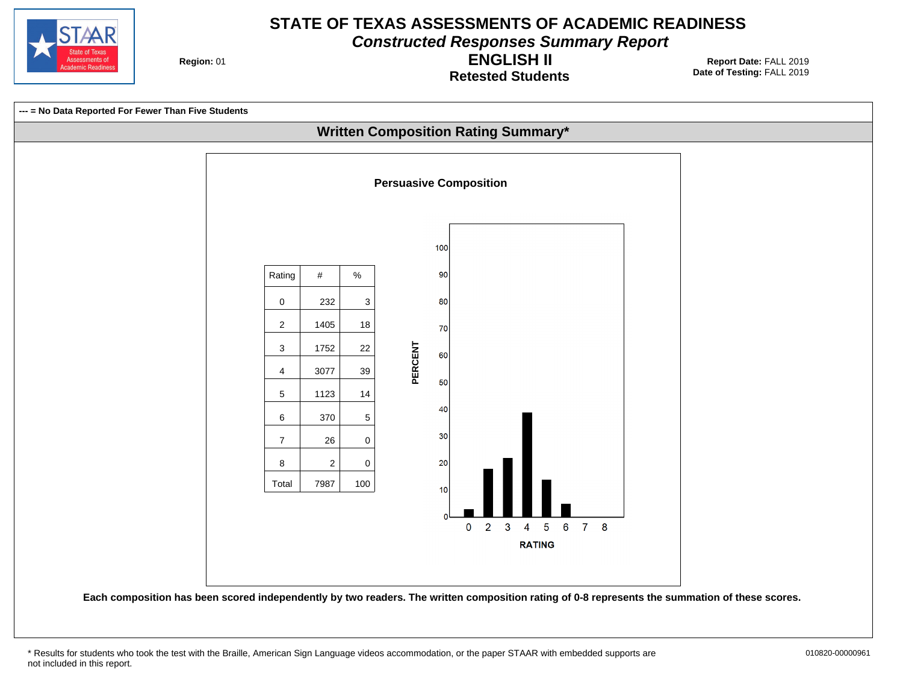

**Constructed Responses Summary Report**

**Region: 01** 

**Retested Students ENGLISH II**

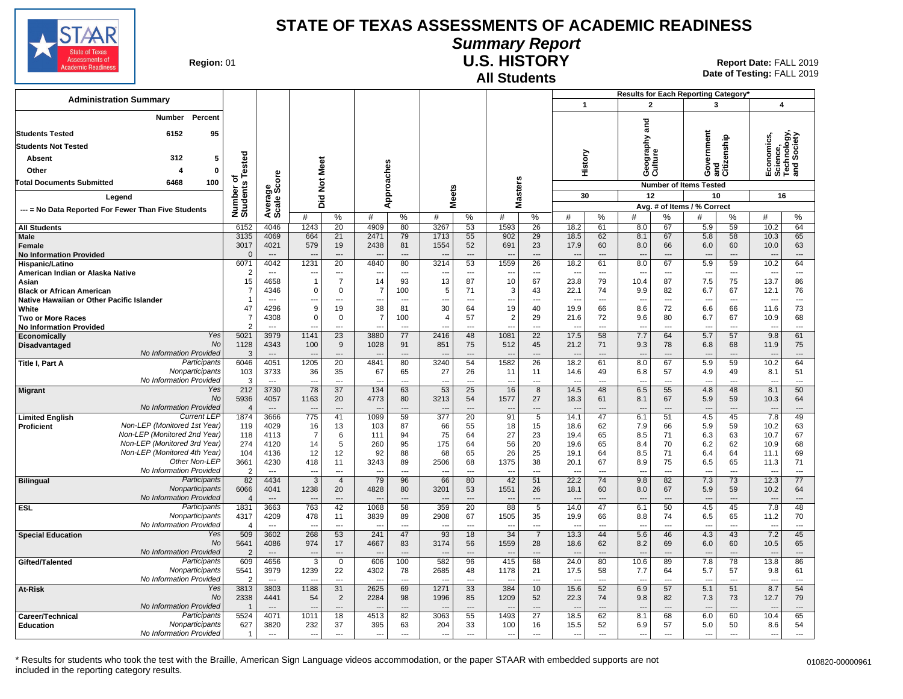

#### **Summary Report**

**Region: 01** 

## **All Students**

**U.S. HISTORY** 01 **Report Date:** FALL 2019 **Date of Testing:**  FALL 2019

|                                                                               |                                                              |                        |                                  |                            |                               |                          |                          |                                |                          |                                |                       |                          |                                |                                 |                          | Results for Each Reporting Category* |                    |                                                      |                          |
|-------------------------------------------------------------------------------|--------------------------------------------------------------|------------------------|----------------------------------|----------------------------|-------------------------------|--------------------------|--------------------------|--------------------------------|--------------------------|--------------------------------|-----------------------|--------------------------|--------------------------------|---------------------------------|--------------------------|--------------------------------------|--------------------|------------------------------------------------------|--------------------------|
| <b>Administration Summary</b>                                                 |                                                              |                        |                                  |                            |                               |                          |                          |                                |                          |                                |                       | $\mathbf{1}$             |                                | $\overline{2}$                  |                          | 3                                    |                    | 4                                                    |                          |
| <b>Number</b><br>Percent<br>6152<br>95<br><b>Students Tested</b>              |                                                              |                        |                                  |                            |                               |                          |                          |                                |                          |                                |                       |                          |                                | and<br>Geography<br>Culture     |                          | Government                           | and<br>Citizenship | Economics,<br>Science,<br>Technology,<br>and Society | hnology,<br>Society      |
| <b>Students Not Tested</b>                                                    |                                                              |                        |                                  |                            |                               |                          |                          |                                |                          |                                |                       |                          |                                |                                 |                          |                                      |                    |                                                      |                          |
| Absent                                                                        | 312<br>5                                                     |                        |                                  |                            |                               |                          |                          |                                |                          |                                |                       | History                  |                                |                                 |                          |                                      |                    |                                                      |                          |
| Other                                                                         | $\bf{0}$<br>$\overline{4}$                                   | Tested<br>৳            | å                                |                            |                               |                          |                          |                                |                          |                                |                       |                          |                                |                                 |                          |                                      |                    |                                                      |                          |
| Total Documents Submitted<br>6468<br>100                                      |                                                              |                        | క్టిట్                           | <b>Not Meet</b>            |                               |                          |                          |                                |                          |                                |                       |                          |                                |                                 |                          | <b>Number of Items Tested</b>        |                    |                                                      |                          |
| Legend                                                                        |                                                              |                        |                                  | Did                        |                               | Approaches               |                          | <b>Meets</b>                   |                          | <b>Masters</b>                 |                       | 30                       |                                | 12                              |                          | 10                                   |                    | 16                                                   |                          |
| --- = No Data Reported For Fewer Than Five Students                           |                                                              | Number of<br>Students  | Averag<br>Scale                  |                            |                               |                          |                          |                                |                          |                                |                       |                          |                                |                                 |                          | Avg. # of Items / % Correct          |                    |                                                      |                          |
|                                                                               |                                                              |                        |                                  | #                          | $\%$                          | #                        | %                        | #                              | %                        | #                              | $\%$                  | #                        | $\%$                           | #                               | $\%$                     | #                                    | $\frac{0}{0}$      | #                                                    | %                        |
| <b>All Students</b>                                                           |                                                              | 6152                   | 4046                             | 1243                       | 20                            | 4909                     | 80                       | 3267                           | 53                       | 1593                           | 26                    | 18.2                     | 61                             | 8.0                             | 67                       | 5.9                                  | 59                 | 10.2                                                 | 64                       |
| <b>Male</b>                                                                   |                                                              | 3135<br>3017           | 4069                             | 664<br>579                 | 21                            | 2471                     | 79<br>81                 | 1713                           | 55                       | 902                            | 29                    | 18.5                     | 62<br>60                       | 8.1<br>8.0                      | 67<br>66                 | 5.8                                  | 58<br>60           | 10.3                                                 | 65<br>63                 |
| Female<br><b>No Information Provided</b>                                      |                                                              | $\overline{0}$         | 4021<br>$\overline{\phantom{a}}$ |                            | 19<br>$---$                   | 2438                     | $\overline{\phantom{a}}$ | 1554                           | 52<br>$\overline{a}$     | 691                            | 23<br>÷÷              | 17.9<br>$\overline{a}$   | $\overline{\phantom{a}}$       | $\overline{a}$                  | $\overline{\phantom{a}}$ | 6.0<br>$\overline{\phantom{a}}$      | $---$              | 10.0<br>$\overline{\phantom{a}}$                     | ---                      |
| Hispanic/Latino                                                               |                                                              | 6071                   | 4042                             | 1231                       | $\overline{20}$               | 4840                     | 80                       | 3214                           | $\overline{53}$          | 1559                           | $\overline{26}$       | 18.2                     | 61                             | 8.0                             | 67                       | 5.9                                  | 59                 | 10.2                                                 | 64                       |
| American Indian or Alaska Native                                              |                                                              | $\overline{2}$         | ---                              |                            | ---                           |                          | ---                      |                                | $\overline{\phantom{a}}$ |                                | ---                   | ---                      | $\overline{\phantom{a}}$       | $\overline{a}$                  | ---                      | $\overline{\phantom{a}}$             | ---                | ---                                                  | ---                      |
| Asian                                                                         |                                                              | 15<br>$\overline{7}$   | 4658                             | $\overline{1}$<br>$\Omega$ | $\overline{7}$                | 14                       | 93                       | 13                             | 87                       | 10                             | 67                    | 23.8                     | 79                             | 10.4                            | 87                       | 7.5                                  | 75                 | 13.7                                                 | 86                       |
| <b>Black or African American</b><br>Native Hawaiian or Other Pacific Islander |                                                              | $\overline{1}$         | 4346<br>$---$                    | ---                        | $\mathbf 0$<br>$\overline{a}$ | 7<br>÷.,                 | 100<br>$\overline{a}$    | 5<br>$\overline{a}$            | 71<br>$\overline{a}$     | 3<br>$\overline{\phantom{a}}$  | 43<br>$\overline{a}$  | 22.1<br>---              | 74<br>$\overline{\phantom{a}}$ | 9.9<br>$\overline{a}$           | 82<br>$\sim$             | 6.7<br>$\overline{\phantom{a}}$      | 67<br>---          | 12.1<br>$\overline{a}$                               | 76<br>$\overline{a}$     |
| White                                                                         |                                                              | 47                     | 4296                             | 9                          | 19                            | 38                       | 81                       | 30                             | 64                       | 19                             | 40                    | 19.9                     | 66                             | 8.6                             | 72                       | 6.6                                  | 66                 | 11.6                                                 | 73                       |
| <b>Two or More Races</b>                                                      |                                                              | $\overline{7}$         | 4308                             | $\mathbf 0$                | $\mathbf 0$                   | $\overline{7}$           | 100                      | $\overline{4}$                 | 57                       | $\overline{2}$                 | 29                    | 21.6                     | 72                             | 9.6                             | 80                       | 6.7                                  | 67                 | 10.9                                                 | 68                       |
| <b>No Information Provided</b>                                                |                                                              | $\overline{2}$         |                                  | ---                        |                               | ---                      | ---                      |                                | ---                      |                                |                       | ---                      | $\overline{a}$                 | $\overline{\phantom{a}}$        |                          | $\overline{a}$                       | ---                | $\overline{\phantom{a}}$                             | ---                      |
| Economically<br><b>Disadvantaged</b>                                          | Yes<br>No                                                    | 5021<br>1128           | 3979<br>4343                     | 1141<br>100                | $\overline{23}$<br>9          | 3880<br>1028             | 77<br>91                 | 2416<br>851                    | 48<br>75                 | 1081<br>512                    | $\overline{22}$<br>45 | 17.5<br>21.2             | 58<br>71                       | 7.7<br>9.3                      | 64<br>78                 | 5.7<br>6.8                           | 57<br>68           | 9.8<br>11.9                                          | 61<br>75                 |
|                                                                               | <b>No Information Provided</b>                               | 3                      | $---$                            | $\overline{a}$             | $\overline{\phantom{a}}$      |                          | $\overline{a}$           |                                | $\overline{a}$           |                                | ---                   | $\overline{a}$           | $\overline{\phantom{a}}$       | $\overline{\phantom{a}}$        | $\overline{\phantom{a}}$ | $\overline{\phantom{a}}$             | ---                | $\overline{\phantom{a}}$                             | $\overline{\phantom{a}}$ |
| Title I, Part A                                                               | Participants                                                 | 6046                   | 4051                             | 1205                       | 20                            | 4841                     | 80                       | 3240                           | 54                       | 1582                           | $\overline{26}$       | 18.2                     | 61                             | 8.0                             | 67                       | 5.9                                  | 59                 | 10.2                                                 | 64                       |
|                                                                               | Nonparticipants                                              | 103                    | 3733                             | 36                         | 35                            | 67                       | 65                       | 27                             | 26                       | 11                             | 11                    | 14.6                     | 49                             | 6.8                             | 57                       | 4.9                                  | 49                 | 8.1                                                  | 51                       |
|                                                                               | No Information Provided<br>Yes                               | 3<br>212               | $\overline{a}$<br>3730           | $\sim$<br>78               | $\overline{a}$<br>37          | $\overline{a}$<br>134    | $\overline{a}$<br>63     | $\overline{a}$<br>53           | $\overline{a}$<br>25     | $\sim$<br>16                   | ---<br>8              | ---<br>14.5              | $\overline{\phantom{a}}$<br>48 | $\overline{a}$<br>6.5           | $\sim$<br>55             | $\overline{a}$<br>4.8                | ---<br>48          | $\overline{a}$<br>8.1                                | ---<br>50                |
| Migrant                                                                       | No                                                           | 5936                   | 4057                             | 1163                       | 20                            | 4773                     | 80                       | 3213                           | 54                       | 1577                           | 27                    | 18.3                     | 61                             | 8.1                             | 67                       | 5.9                                  | 59                 | 10.3                                                 | 64                       |
|                                                                               | No Information Provided                                      | $\overline{4}$         | $\overline{\phantom{a}}$         | $\overline{a}$             | ---                           | ---                      |                          | $\overline{\phantom{a}}$       |                          | $\overline{\phantom{a}}$       | ---                   | $\overline{\phantom{a}}$ | $\overline{\phantom{a}}$       | $\overline{\phantom{a}}$        |                          | ---                                  | ---                | $\overline{\phantom{a}}$                             | ---                      |
| <b>Limited English</b>                                                        | <b>Current LEP</b>                                           | 1874                   | 3666                             | 775                        | 41                            | 1099                     | 59                       | 377                            | $\overline{20}$          | 91                             | $\overline{5}$        | 14.1                     | 47                             | 6.1                             | 51                       | 4.5                                  | 45                 | 7.8                                                  | 49                       |
| <b>Proficient</b>                                                             | Non-LEP (Monitored 1st Year)<br>Non-LEP (Monitored 2nd Year) | 119                    | 4029                             | 16                         | 13                            | 103                      | 87                       | 66                             | 55                       | 18                             | 15                    | 18.6                     | 62                             | 7.9                             | 66                       | 5.9                                  | 59                 | 10.2                                                 | 63                       |
|                                                                               | Non-LEP (Monitored 3rd Year)                                 | 118<br>274             | 4113<br>4120                     | $\overline{7}$<br>14       | 6<br>5                        | 111<br>260               | 94<br>95                 | 75<br>175                      | 64<br>64                 | 27<br>56                       | 23<br>20              | 19.4<br>19.6             | 65<br>65                       | 8.5<br>8.4                      | 71<br>70                 | 6.3<br>6.2                           | 63<br>62           | 10.7<br>10.9                                         | 67<br>68                 |
|                                                                               | Non-LEP (Monitored 4th Year)                                 | 104                    | 4136                             | 12                         | 12                            | 92                       | 88                       | 68                             | 65                       | 26                             | 25                    | 19.1                     | 64                             | 8.5                             | 71                       | 6.4                                  | 64                 | 11.1                                                 | 69                       |
|                                                                               | Other Non-LEP                                                | 3661                   | 4230                             | 418                        | 11                            | 3243                     | 89                       | 2506                           | 68                       | 1375                           | 38                    | 20.1                     | 67                             | 8.9                             | 75                       | 6.5                                  | 65                 | 11.3                                                 | 71                       |
|                                                                               | No Information Provided                                      | $\overline{2}$         |                                  | $--$                       | ---                           |                          |                          | $\overline{\phantom{a}}$       |                          | $\overline{\phantom{a}}$       | ---                   | ---                      | ---                            | $\overline{a}$                  |                          | ---                                  |                    | $\overline{a}$                                       | ---                      |
| <b>Bilingual</b>                                                              | Participants<br>Nonparticipants                              | 82<br>6066             | 4434<br>4041                     | $\overline{3}$<br>1238     | $\overline{4}$<br>20          | 79<br>4828               | 96<br>80                 | 66<br>3201                     | 80<br>53                 | 42<br>1551                     | 51<br>26              | 22.2<br>18.1             | 74<br>60                       | 9.8<br>8.0                      | 82<br>67                 | 7.3<br>5.9                           | 73<br>59           | 12.3<br>10.2                                         | 77<br>64                 |
|                                                                               | <b>No Information Provided</b>                               | $\overline{4}$         | $---$                            | $\overline{a}$             | $\overline{a}$                | $\overline{a}$           | $-$                      |                                | $\overline{a}$           |                                | ---                   | $\overline{a}$           | $\overline{a}$                 | $\overline{\phantom{a}}$        | $\overline{\phantom{a}}$ | $\overline{\phantom{a}}$             | ---                | $\overline{\phantom{a}}$                             | ---                      |
| ESL                                                                           | Participants                                                 | 1831                   | 3663                             | 763                        | 42                            | 1068                     | 58                       | 359                            | 20                       | 88                             | 5                     | 14.0                     | 47                             | 6.1                             | 50                       | 4.5                                  | 45                 | 7.8                                                  | 48                       |
|                                                                               | Nonparticipants                                              | 4317                   | 4209                             | 478                        | 11                            | 3839                     | 89                       | 2908                           | 67                       | 1505                           | 35                    | 19.9                     | 66                             | 8.8                             | 74                       | 6.5                                  | 65                 | 11.2                                                 | 70                       |
|                                                                               | No Information Provided<br>Yes                               | $\overline{4}$         | $\sim$<br>3602                   | $\sim$                     | $\sim$                        | $\overline{a}$<br>241    | $\overline{\phantom{a}}$ | $\overline{\phantom{a}}$<br>93 | $\sim$                   | $\overline{\phantom{a}}$<br>34 | ---                   | $\overline{a}$           | $\overline{\phantom{a}}$       | $\overline{a}$                  | $\overline{\phantom{a}}$ | $\overline{\phantom{a}}$             | ---                | $\overline{a}$                                       | $\sim$<br>45             |
| <b>Special Education</b>                                                      | No                                                           | 509<br>5641            | 4086                             | 268<br>974                 | 53<br>17                      | 4667                     | 47<br>83                 | 3174                           | 18<br>56                 | 1559                           | $\overline{7}$<br>28  | 13.3<br>18.6             | 44<br>62                       | 5.6<br>8.2                      | 46<br>69                 | 4.3<br>6.0                           | 43<br>60           | 7.2<br>10.5                                          | 65                       |
|                                                                               | No Information Provided                                      | $\overline{2}$         |                                  | $\overline{\phantom{a}}$   | ---                           |                          |                          | $\overline{\phantom{a}}$       |                          | $\overline{\phantom{a}}$       |                       | $\overline{a}$           |                                | $\overline{\phantom{a}}$        |                          | $\overline{\phantom{a}}$             |                    | $\overline{\phantom{a}}$                             | ---                      |
| Gifted/Talented                                                               | Participants                                                 | 609                    | 4656                             | $\overline{3}$             | $\mathbf 0$                   | 606                      | 100                      | 582                            | 96                       | 415                            | 68                    | 24.0                     | 80                             | 10.6                            | 89                       | 7.8                                  | 78                 | 13.8                                                 | 86                       |
|                                                                               | Nonparticipants<br>No Information Provided                   | 5541                   | 3979                             | 1239                       | 22                            | 4302                     | 78                       | 2685                           | 48                       | 1178                           | 21                    | 17.5                     | 58                             | 7.7                             | 64                       | 5.7                                  | 57                 | 9.8                                                  | 61                       |
| At-Risk                                                                       | Yes                                                          | $\overline{2}$<br>3813 | $\sim$<br>3803                   | $\sim$<br>1188             | $---$<br>31                   | ---<br>2625              | $---$<br>69              | $\overline{a}$<br>1271         | $---$<br>33              | $\sim$<br>384                  | ---<br>10             | $\overline{a}$<br>15.6   | $---$<br>52                    | $\overline{\phantom{a}}$<br>6.9 | $\sim$<br>57             | $\overline{\phantom{a}}$<br>5.1      | ---<br>51          | $\overline{\phantom{a}}$<br>8.7                      | ---<br>54                |
|                                                                               | No                                                           | 2338                   | 4441                             | 54                         | 2                             | 2284                     | 98                       | 1996                           | 85                       | 1209                           | 52                    | 22.3                     | 74                             | 9.8                             | 82                       | 7.3                                  | 73                 | 12.7                                                 | 79                       |
|                                                                               | No Information Provided                                      |                        |                                  |                            | ---                           |                          |                          |                                |                          |                                | $\overline{a}$        |                          |                                |                                 |                          |                                      |                    |                                                      |                          |
| Career/Technical                                                              | Participants                                                 | 5524                   | 4071                             | 1011                       | 18                            | 4513                     | 82                       | 3063                           | 55                       | 1493                           | 27                    | 18.5                     | 62                             | 8.1                             | 68                       | 6.0                                  | 60                 | 10.4                                                 | 65                       |
| <b>Education</b>                                                              | Nonparticipants<br>No Information Provided                   | 627                    | 3820                             | 232                        | 37                            | 395                      | 63                       | 204                            | 33                       | 100                            | 16                    | 15.5                     | 52                             | 6.9                             | 57                       | 5.0                                  | 50                 | 8.6                                                  | 54                       |
|                                                                               |                                                              | -1                     | $\sim$                           | $\overline{\phantom{a}}$   | $\overline{a}$                | $\overline{\phantom{a}}$ | $\overline{\phantom{a}}$ | $\overline{\phantom{a}}$       | $\overline{a}$           | $\overline{\phantom{a}}$       | ---                   | $\overline{a}$           | $\overline{\phantom{a}}$       | $\overline{a}$                  | $\overline{a}$           | ---                                  | ---                | ---                                                  | ---                      |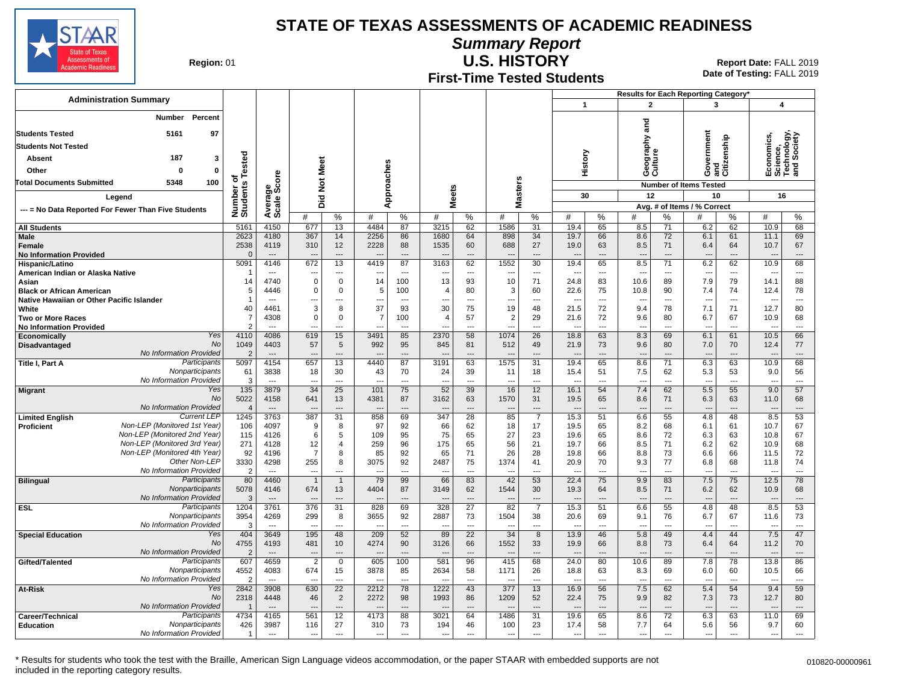

**Summary Report**

**Region: 01** 

## **First-Time Tested Students**

**U.S. HISTORY** 01 **Report Date:** FALL 2019 **Date of Testing:**  FALL 2019

|                                                                               |                                               |                            |                                  |                       |                      |                |                          |                        |                      |                                |                                |                          | Results for Each Reporting Category* |                                 |                      |                                  |                                |                                                      |                                |  |
|-------------------------------------------------------------------------------|-----------------------------------------------|----------------------------|----------------------------------|-----------------------|----------------------|----------------|--------------------------|------------------------|----------------------|--------------------------------|--------------------------------|--------------------------|--------------------------------------|---------------------------------|----------------------|----------------------------------|--------------------------------|------------------------------------------------------|--------------------------------|--|
|                                                                               | <b>Administration Summary</b>                 |                            |                                  |                       |                      |                |                          |                        |                      |                                |                                | $\mathbf{1}$             |                                      | $\mathbf{2}$                    |                      | 3                                |                                | 4                                                    |                                |  |
| Percent<br>Number                                                             |                                               |                            |                                  |                       |                      |                |                          |                        |                      |                                |                                |                          |                                      |                                 |                      |                                  |                                |                                                      |                                |  |
| <b>Students Tested</b>                                                        | 5161<br>97                                    |                            |                                  |                       |                      |                |                          |                        |                      |                                |                                |                          |                                      | na<br>and                       |                      |                                  |                                |                                                      |                                |  |
| <b>Students Not Tested</b>                                                    |                                               |                            |                                  |                       |                      |                |                          |                        |                      |                                |                                |                          |                                      | raphy                           |                      | Government<br>and<br>Citizenship |                                | Economics,<br>Science,<br>Technology,<br>and Society |                                |  |
| <b>Absent</b>                                                                 | 187                                           | 3                          |                                  |                       |                      |                |                          |                        |                      |                                |                                |                          |                                      |                                 |                      |                                  |                                |                                                      |                                |  |
|                                                                               |                                               | ested                      |                                  |                       |                      |                |                          |                        |                      |                                |                                | History                  |                                      | Geograp<br>Culture              |                      |                                  |                                |                                                      |                                |  |
| $\mathbf 0$<br>Other<br>0<br>100<br><b>Total Documents Submitted</b><br>5348  |                                               |                            | δ                                |                       |                      |                |                          |                        |                      |                                |                                |                          |                                      |                                 |                      |                                  |                                |                                                      |                                |  |
|                                                                               |                                               | ō<br>Number or<br>Students | క్టిట్                           | Did Not Meet          |                      | Approaches     |                          | <b>Meets</b>           |                      | Masters                        |                                |                          |                                      |                                 |                      | <b>Number of Items Tested</b>    |                                |                                                      |                                |  |
| Legend                                                                        |                                               |                            |                                  |                       |                      |                |                          |                        |                      |                                |                                | 30                       |                                      | 12                              |                      | 10                               |                                | 16                                                   |                                |  |
| --- = No Data Reported For Fewer Than Five Students                           |                                               |                            | Averag<br>Scale                  | #                     | %                    | #              | %                        | #                      | %                    | #                              | %                              | #                        | %                                    | #                               | %                    | Avg. # of Items / % Correct<br># | %                              | #<br>%                                               |                                |  |
| <b>All Students</b>                                                           |                                               | 5161                       | 4150                             | 677                   | 13                   | 4484           | 87                       | 3215                   | 62                   | 1586                           | 31                             | 19.4                     | 65                                   | 8.5                             | 71                   | 6.2                              | 62                             | 10.9                                                 | 68                             |  |
| Male                                                                          |                                               | 2623                       | 4180                             | 367                   | 14                   | 2256           | 86                       | 1680                   | 64                   | 898                            | 34                             | 19.7                     | 66                                   | 8.6                             | 72                   | 6.1                              | 61                             | 11.1                                                 | 69                             |  |
| Female                                                                        |                                               | 2538                       | 4119                             | 310                   | 12                   | 2228           | 88                       | 1535                   | 60                   | 688                            | 27                             | 19.0                     | 63                                   | 8.5                             | 71                   | 6.4                              | 64                             | 10.7                                                 | 67                             |  |
| <b>No Information Provided</b><br>Hispanic/Latino                             |                                               | $\Omega$<br>5091           | 4146                             | 672                   | ---<br>13            | 4419           | $\overline{a}$<br>87     | 3163                   | $\overline{a}$<br>62 | 1552                           | $\overline{a}$<br>30           | $\overline{a}$<br>19.4   | 65                                   | ---<br>8.5                      | $\overline{a}$<br>71 | $\overline{\phantom{a}}$<br>6.2  | ---<br>62                      | 10.9                                                 | $\overline{\phantom{a}}$<br>68 |  |
| American Indian or Alaska Native                                              |                                               |                            | $\overline{a}$                   |                       | ---                  |                | $\overline{\phantom{a}}$ |                        | $\overline{a}$       |                                | ---                            | ---                      | $\overline{a}$                       | $\overline{\phantom{a}}$        | $\overline{a}$       | ---                              | $\overline{a}$                 |                                                      | $\overline{a}$                 |  |
| Asian                                                                         |                                               | 14                         | 4740                             | $\mathbf 0$           | $\mathbf 0$          | 14             | 100                      | 13                     | 93                   | 10                             | 71                             | 24.8                     | 83                                   | 10.6                            | 89                   | 7.9                              | 79                             | 14.1                                                 | 88                             |  |
| <b>Black or African American</b><br>Native Hawaiian or Other Pacific Islander |                                               | 5                          | 4446<br>---                      | 0                     | $\mathbf 0$<br>---   | 5<br>---       | 100<br>---               | $\overline{4}$<br>---  | 80<br>---            | 3<br>$\overline{\phantom{a}}$  | 60<br>$\overline{\phantom{a}}$ | 22.6<br>---              | 75<br>$\overline{\phantom{a}}$       | 10.8<br>---                     | 90<br>---            | 7.4<br>$\overline{\phantom{a}}$  | 74<br>$\overline{\phantom{a}}$ | 12.4                                                 | 78<br>---                      |  |
| White                                                                         |                                               | 40                         | 4461                             | 3                     | 8                    | 37             | 93                       | 30                     | 75                   | 19                             | 48                             | 21.5                     | 72                                   | 9.4                             | 78                   | 7.1                              | 71                             | 12.7                                                 | 80                             |  |
| <b>Two or More Races</b>                                                      |                                               | 7                          | 4308                             | $\mathbf 0$           | $\mathbf 0$          | $\overline{7}$ | 100                      | $\overline{4}$         | 57                   | $\overline{2}$                 | 29                             | 21.6                     | 72                                   | 9.6                             | 80                   | 6.7                              | 67                             | 10.9                                                 | 68                             |  |
| <b>No Information Provided</b>                                                |                                               | $\mathcal{P}$              | $---$                            | $\overline{a}$        | $---$                | ---            | $\sim$                   | ---                    | $---$                | $\sim$                         | $\overline{a}$                 | $\overline{a}$           | $\sim$                               | $---$                           | $\overline{a}$       | $\overline{a}$                   | $\overline{a}$                 | $\sim$                                               | $\overline{a}$                 |  |
| Economically<br>Disadvantaged                                                 | Yes<br><b>No</b>                              | 4110<br>1049               | 4086<br>4403                     | 619<br>57             | 15<br>5              | 3491<br>992    | 85<br>95                 | 2370<br>845            | 58<br>81             | 1074<br>512                    | 26<br>49                       | 18.8<br>21.9             | 63<br>73                             | 8.3<br>9.6                      | 69<br>80             | 6.1<br>7.0                       | 61<br>70                       | 10.5<br>12.4                                         | 66<br>77                       |  |
|                                                                               | No Information Provided                       | $\overline{2}$             | $---$                            |                       | ---                  |                | $\overline{\phantom{a}}$ |                        | $\overline{a}$       |                                | …                              |                          |                                      |                                 |                      |                                  |                                |                                                      | ---                            |  |
| Title I, Part A                                                               | Participants                                  | 5097                       | 4154                             | 657                   | $\overline{13}$      | 4440           | 87                       | 3191                   | 63                   | 1575                           | $\overline{31}$                | 19.4                     | 65                                   | 8.6                             | $\overline{71}$      | 6.3                              | 63                             | 10.9                                                 | 68                             |  |
|                                                                               | Nonparticipants<br>No Information Provided    | 61<br>3                    | 3838                             | 18                    | 30<br>---            | 43             | 70                       | 24<br>---              | 39                   | 11                             | 18<br>---                      | 15.4                     | 51                                   | 7.5<br>---                      | 62                   | 5.3                              | 53<br>---                      | 9.0                                                  | 56<br>---                      |  |
| <b>Migrant</b>                                                                | Yes                                           | 135                        | 3879                             | 34                    | 25                   | 101            | 75                       | 52                     | 39                   | 16                             | 12                             | 16.1                     | 54                                   | 7.4                             | 62                   | 5.5                              | 55                             | 9.0                                                  | 57                             |  |
|                                                                               | <b>No</b>                                     | 5022                       | 4158                             | 641                   | 13                   | 4381           | 87                       | 3162                   | 63                   | 1570                           | 31                             | 19.5                     | 65                                   | 8.6                             | 71                   | 6.3                              | 63                             | 11.0                                                 | 68                             |  |
|                                                                               | No Information Provided<br><b>Current LEP</b> | $\overline{4}$             | $---$                            | $\overline{a}$        | $\overline{a}$<br>31 | $\overline{a}$ | $---$                    | $\overline{a}$         | $---$                | $\overline{\phantom{a}}$<br>85 | ---                            | $\overline{\phantom{a}}$ | $\overline{\phantom{a}}$             | $\overline{\phantom{a}}$        | ---                  | $\overline{\phantom{a}}$         | $\overline{\phantom{a}}$       | $\overline{\phantom{a}}$                             | $\overline{a}$<br>53           |  |
| <b>Limited English</b><br>Proficient                                          | Non-LEP (Monitored 1st Year)                  | 1245<br>106                | 3763<br>4097                     | 387<br>9              | 8                    | 858<br>97      | 69<br>92                 | 347<br>66              | 28<br>62             | 18                             | $\overline{7}$<br>17           | 15.3<br>19.5             | 51<br>65                             | 6.6<br>8.2                      | 55<br>68             | 4.8<br>6.1                       | 48<br>61                       | 8.5<br>10.7                                          | 67                             |  |
|                                                                               | Non-LEP (Monitored 2nd Year)                  | 115                        | 4126                             | 6                     | 5                    | 109            | 95                       | 75                     | 65                   | 27                             | 23                             | 19.6                     | 65                                   | 8.6                             | 72                   | 6.3                              | 63                             | 10.8                                                 | 67                             |  |
|                                                                               | Non-LEP (Monitored 3rd Year)                  | 271                        | 4128                             | 12                    | $\overline{4}$       | 259            | 96                       | 175                    | 65                   | 56                             | 21                             | 19.7                     | 66                                   | 8.5                             | 71                   | 6.2                              | 62                             | 10.9                                                 | 68                             |  |
|                                                                               | Non-LEP (Monitored 4th Year)<br>Other Non-LEP | 92<br>3330                 | 4196<br>4298                     | $\overline{7}$<br>255 | 8<br>8               | 85<br>3075     | 92<br>92                 | 65<br>2487             | 71<br>75             | 26<br>1374                     | 28<br>41                       | 19.8<br>20.9             | 66<br>70                             | 8.8<br>9.3                      | 73<br>77             | 6.6<br>6.8                       | 66<br>68                       | 11.5<br>11.8                                         | 72<br>74                       |  |
|                                                                               | No Information Provided                       | $\overline{2}$             | ---                              |                       | ---                  |                | ---                      |                        | $\overline{a}$       |                                | ---                            | $\overline{a}$           | $\overline{\phantom{a}}$             | $\overline{\phantom{a}}$        | ---                  | $\overline{\phantom{a}}$         | ---                            |                                                      | ---                            |  |
| <b>Bilingual</b>                                                              | Participants                                  | 80                         | 4460                             |                       | $\overline{1}$       | 79             | 99                       | 66                     | 83                   | 42                             | 53                             | 22.4                     | 75                                   | 9.9                             | 83                   | 7.5                              | 75                             | 12.5                                                 | 78                             |  |
|                                                                               | Nonparticipants<br>No Information Provided    | 5078<br>3                  | 4146<br>$\overline{a}$           | 674                   | 13<br>---            | 4404           | 87<br>$---$              | 3149                   | 62<br>$\overline{a}$ | 1544                           | 30<br>$\overline{a}$           | 19.3<br>$\sim$           | 64<br>$\overline{\phantom{a}}$       | 8.5<br>$\overline{\phantom{a}}$ | 71<br>$\overline{a}$ | 6.2<br>$\overline{\phantom{a}}$  | 62<br>$\overline{a}$           | 10.9                                                 | 68<br>$\overline{a}$           |  |
| ESL                                                                           | Participants                                  | 1204                       | 3761                             | 376                   | 31                   | 828            | 69                       | 328                    | 27                   | 82                             | $\overline{7}$                 | 15.3                     | 51                                   | 6.6                             | 55                   | 4.8                              | 48                             | 8.5                                                  | 53                             |  |
|                                                                               | Nonparticipants                               | 3954                       | 4269                             | 299                   | 8                    | 3655           | 92                       | 2887                   | 73                   | 1504                           | 38                             | 20.6                     | 69                                   | 9.1                             | 76                   | 6.7                              | 67                             | 11.6                                                 | 73                             |  |
|                                                                               | No Information Provided                       | 3                          | $\overline{a}$                   | $\sim$                | ---                  | $\overline{a}$ |                          | ---                    | $\overline{a}$       | $\sim$                         | …                              | ---                      | $\overline{\phantom{a}}$             | ---                             | ---                  | ---                              | ---                            | $\overline{a}$                                       | ---                            |  |
| <b>Special Education</b>                                                      | Yes<br>No                                     | 404<br>4755                | 3649<br>4193                     | 195<br>481            | 48<br>10             | 209<br>4274    | 52<br>90                 | 89<br>3126             | 22<br>66             | 34<br>1552                     | 8<br>33                        | 13.9<br>19.9             | 46<br>66                             | 5.8<br>8.8                      | 49<br>73             | 4.4<br>6.4                       | 44<br>64                       | 7.5<br>11.2                                          | 47<br>70                       |  |
|                                                                               | No Information Provided                       | $\overline{2}$             | ---                              |                       | ---                  |                |                          |                        | $\overline{a}$       |                                | ---                            | $\overline{\phantom{a}}$ | $\overline{\phantom{a}}$             |                                 | ---                  |                                  | $\overline{a}$                 |                                                      | ---                            |  |
| Gifted/Talented                                                               | Participants                                  | 607                        | 4659                             | $\overline{2}$        | $\overline{0}$       | 605            | 100                      | 581                    | 96                   | 415                            | 68                             | 24.0                     | 80                                   | 10.6                            | 89                   | 7.8                              | 78                             | 13.8                                                 | 86                             |  |
|                                                                               | Nonparticipants<br>No Information Provided    | 4552<br>$\overline{2}$     | 4083<br>$\overline{\phantom{a}}$ | 674                   | 15<br>$---$          | 3878<br>--     | 85<br>$---$              | 2634<br>$\overline{a}$ | 58<br>$---$          | 1171                           | 26<br>$\overline{a}$           | 18.8<br>$\overline{a}$   | 63<br>$\overline{a}$                 | 8.3<br>$\overline{\phantom{a}}$ | 69<br>---            | 6.0<br>---                       | 60<br>$\overline{a}$           | 10.5<br>---                                          | 66<br>$\overline{a}$           |  |
| At-Risk                                                                       | Yes                                           | 2842                       | 3908                             | 630                   | $\overline{22}$      | 2212           | 78                       | 1222                   | 43                   | 377                            | 13                             | 16.9                     | 56                                   | 7.5                             | 62                   | 5.4                              | 54                             | 9.4                                                  | 59                             |  |
|                                                                               |                                               | No<br>2318                 | 4448                             | 46                    | 2                    | 2272           | 98                       | 1993                   | 86                   | 1209                           | 52                             | 22.4                     | 75                                   | 9.9                             | 82                   | 7.3                              | 73                             | 12.7                                                 | 80                             |  |
|                                                                               | No Information Provided                       | -1                         | $---$                            | $\overline{a}$        | $---$                | $\sim$         | $---$                    | $\overline{a}$         | $---$                | $\overline{a}$                 | $\overline{a}$                 | ---                      | $\overline{a}$                       | $\overline{\phantom{a}}$        | $---$                | $\overline{\phantom{a}}$         | ---                            | $\overline{\phantom{a}}$                             | $\overline{a}$                 |  |
| Career/Technical<br><b>Education</b>                                          | Participants<br>Nonparticipants               | 4734<br>426                | 4165<br>3987                     | 561<br>116            | 12<br>27             | 4173<br>310    | 88<br>73                 | 3021<br>194            | 64<br>46             | 1486<br>100                    | 31<br>23                       | 19.6<br>17.4             | 65<br>58                             | 8.6<br>7.7                      | 72<br>64             | 6.3<br>5.6                       | 63<br>56                       | 11.0<br>9.7                                          | 69<br>60                       |  |
|                                                                               | No Information Provided                       | $\overline{1}$             | $\overline{\phantom{a}}$         | $\overline{a}$        | ---                  | ---            | $\overline{\phantom{a}}$ | $\overline{a}$         | $\overline{a}$       | $\overline{\phantom{a}}$       | $\overline{a}$                 | ---                      | $\overline{\phantom{a}}$             | $\overline{\phantom{a}}$        | $\overline{a}$       | ---                              | ---                            | $\overline{\phantom{a}}$                             | $\overline{a}$                 |  |